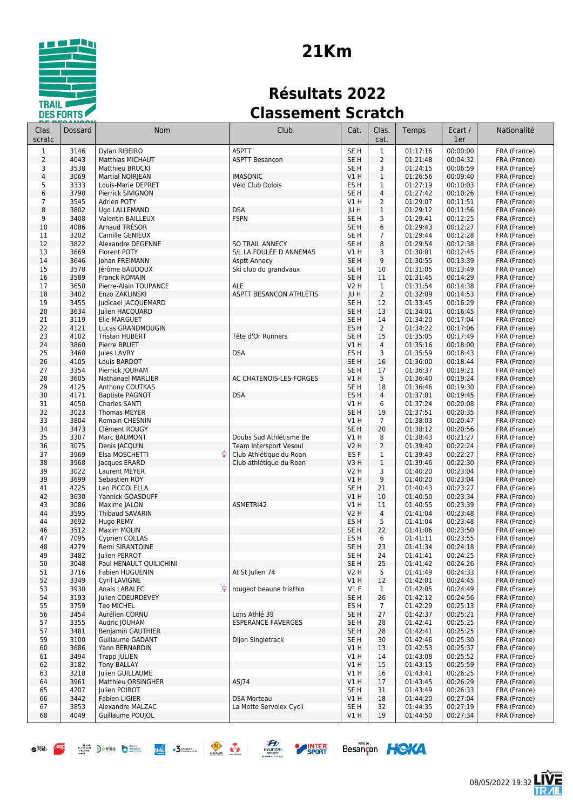

# **21Km**

### **Résultats 2022 Classement Scratch**

| Clas.<br>scratc | Dossard      | <b>Nom</b>                             | Club                                              | Cat.                               | Clas.<br>cat.                    | Temps                | Ecart /<br>1er       | Nationalité                  |
|-----------------|--------------|----------------------------------------|---------------------------------------------------|------------------------------------|----------------------------------|----------------------|----------------------|------------------------------|
| $\mathbf 1$     | 3146         | Dylan RIBEIRO                          | <b>ASPTT</b>                                      | SE <sub>H</sub>                    | $\mathbf{1}$                     | 01:17:16             | 00:00:00             | FRA (France)                 |
| $\overline{2}$  | 4043         | <b>Matthias MICHAUT</b>                | <b>ASPTT Besançon</b>                             | SE <sub>H</sub>                    | $\overline{2}$                   | 01:21:48             | 00:04:32             | FRA (France)                 |
| 3               | 3538         | Matthieu BRUCKI                        |                                                   | SE H                               | 3                                | 01:24:15             | 00:06:59             | FRA (France)                 |
| $\overline{4}$  | 3069         | Martial NOIRJEAN                       | <b>IMASONIC</b>                                   | VIH                                | $\mathbf{1}$                     | 01:26:56             | 00:09:40             | FRA (France)                 |
| 5               | 3333         | Louis-Marie DEPRET                     | Vélo Club Dolois                                  | ES <sub>H</sub>                    | $\mathbf{1}$                     | 01:27:19             | 00:10:03             | FRA (France)                 |
| 6<br>7          | 3790<br>3545 | Pierrick SIVIGNON<br>Adrien POTY       |                                                   | SE <sub>H</sub><br>V1 H            | $\overline{4}$<br>$\overline{2}$ | 01:27:42<br>01:29:07 | 00:10:26<br>00:11:51 | FRA (France)                 |
| 8               | 3802         | Ugo LALLEMAND                          | <b>DSA</b>                                        | JU H                               | $1\,$                            | 01:29:12             | 00:11:56             | FRA (France)<br>FRA (France) |
| 9               | 3408         | Valentin BAILLEUX                      | <b>FSPN</b>                                       | SE <sub>H</sub>                    | 5                                | 01:29:41             | 00:12:25             | FRA (France)                 |
| 10              | 4086         | Arnaud TRÉSOR                          |                                                   | SE <sub>H</sub>                    | 6                                | 01:29:43             | 00:12:27             | FRA (France)                 |
| 11              | 3202         | Camille GENIEUX                        |                                                   | SE H                               | $\overline{7}$                   | 01:29:44             | 00:12:28             | FRA (France)                 |
| 12              | 3822         | Alexandre DEGENNE                      | <b>SO TRAIL ANNECY</b>                            | SE <sub>H</sub>                    | 8                                | 01:29:54             | 00:12:38             | FRA (France)                 |
| 13              | 3669         | Florent POTY                           | S/L LA FOULEE D ANNEMAS                           | V1 H                               | 3                                | 01:30:01             | 00:12:45             | FRA (France)                 |
| 14              | 3646         | Johan FREIMANN                         | Asptt Annecy                                      | SE <sub>H</sub>                    | 9                                | 01:30:55             | 00:13:39             | FRA (France)                 |
| 15<br>16        | 3578<br>3589 | Jérôme BAUDOUX<br><b>Franck ROMAIN</b> | Ski club du grandvaux                             | SE H<br>SE <sub>H</sub>            | 10<br>11                         | 01:31:05<br>01:31:45 | 00:13:49<br>00:14:29 | FRA (France)                 |
| 17              | 3650         | Pierre-Alain TOUPANCE                  | ALE                                               | V2 H                               | $\mathbf{1}$                     | 01:31:54             | 00:14:38             | FRA (France)<br>FRA (France) |
| 18              | 3402         | Enzo ZAKLINSKI                         | ASPTT BESANCON ATHLÉTIS                           | JU H                               | $\overline{2}$                   | 01:32:09             | 00:14:53             | FRA (France)                 |
| 19              | 3455         | Judicael JACQUEMARD                    |                                                   | SE <sub>H</sub>                    | 12                               | 01:33:45             | 00:16:29             | FRA (France)                 |
| 20              | 3634         | Julien HACQUARD                        |                                                   | SE <sub>H</sub>                    | 13                               | 01:34:01             | 00:16:45             | FRA (France)                 |
| 21              | 3119         | Elie MARGUET                           |                                                   | SE <sub>H</sub>                    | 14                               | 01:34:20             | 00:17:04             | FRA (France)                 |
| 22              | 4121         | Lucas GRANDMOUGIN                      |                                                   | ES <sub>H</sub>                    | $\overline{2}$                   | 01:34:22             | 00:17:06             | FRA (France)                 |
| 23              | 4102         | <b>Tristan HUBERT</b>                  | Tête d'Or Runners                                 | SE H                               | 15                               | 01:35:05             | 00:17:49             | FRA (France)                 |
| 24              | 3860         | Pierre BRUET                           |                                                   | V1 H                               | 4                                | 01:35:16             | 00:18:00             | FRA (France)                 |
| 25<br>26        | 3460<br>4105 | Jules LAVRY<br>Louis BARDOT            | <b>DSA</b>                                        | ES H<br>SE <sub>H</sub>            | 3<br>16                          | 01:35:59<br>01:36:00 | 00:18:43<br>00:18:44 | FRA (France)<br>FRA (France) |
| 27              | 3354         | Pierrick JOUHAM                        |                                                   | SE <sub>H</sub>                    | 17                               | 01:36:37             | 00:19:21             | FRA (France)                 |
| 28              | 3605         | Nathanael MARLIER                      | AC CHATENOIS-LES-FORGES                           | V1H                                | 5                                | 01:36:40             | 00:19:24             | FRA (France)                 |
| 29              | 4125         | Anthony COUTKAS                        |                                                   | SE <sub>H</sub>                    | 18                               | 01:36:46             | 00:19:30             | FRA (France)                 |
| 30              | 4171         | <b>Baptiste PAGNOT</b>                 | <b>DSA</b>                                        | ES <sub>H</sub>                    | 4                                | 01:37:01             | 00:19:45             | FRA (France)                 |
| 31              | 4050         | Charles SANTI                          |                                                   | V1 H                               | 6                                | 01:37:24             | 00:20:08             | FRA (France)                 |
| 32              | 3023         | Thomas MEYER                           |                                                   | SE <sub>H</sub>                    | 19                               | 01:37:51             | 00:20:35             | FRA (France)                 |
| 33              | 3804         | Romain CHESNIN                         |                                                   | V1 H                               | $\overline{7}$                   | 01:38:03             | 00:20:47             | FRA (France)                 |
| 34              | 3473         | Clément ROUGY                          |                                                   | SE <sub>H</sub>                    | 20                               | 01:38:12             | 00:20:56             | FRA (France)                 |
| 35<br>36        | 3307<br>3075 | Marc BAUMONT<br>Denis JACQUIN          | Doubs Sud Athlétisme Be<br>Team Intersport Vesoul | V1 H<br>V2 H                       | 8<br>$\overline{2}$              | 01:38:43<br>01:39:40 | 00:21:27<br>00:22:24 | FRA (France)<br>FRA (France) |
| 37              | 3969         | Elsa MOSCHETTI                         | Club Athlétique du Roan                           | ES <sub>F</sub>                    | 1                                | 01:39:43             | 00:22:27             | FRA (France)                 |
| 38              | 3968         | Jacques ERARD                          | Club athlétique du Roan                           | V3 H                               | $\mathbf{1}$                     | 01:39:46             | 00:22:30             | FRA (France)                 |
| 39              | 3022         | Laurent MEYER                          |                                                   | V2 H                               | 3                                | 01:40:20             | 00:23:04             | FRA (France)                 |
| 39              | 3699         | Sebastien ROY                          |                                                   | V1 H                               | 9                                | 01:40:20             | 00:23:04             | FRA (France)                 |
| 41              | 4225         | Leo PICCOLELLA                         |                                                   | SE H                               | 21                               | 01:40:43             | 00:23:27             | FRA (France)                 |
| 42              | 3630         | Yannick GOASDUFF                       |                                                   | $VI$ H                             | 10                               | 01:40:50             | 00:23:34             | FRA (France)                 |
| 43              | 3086         | Maxime JALON                           | ASMETRI42                                         | V1 H                               | 11                               | 01:40:55             | 00:23:39             | FRA (France)                 |
| 44              | 3595         | <b>Thibaud SAVARIN</b>                 |                                                   | V2 H<br>ES <sub>H</sub>            | 4<br>5                           | 01:41:04             | 00:23:48<br>00:23:48 | FRA (France)                 |
| 44<br>46        | 3692<br>3512 | Hugo REMY<br>Maxim MOLIN               |                                                   | SE <sub>H</sub>                    | 22                               | 01:41:04<br>01:41:06 | 00:23:50             | FRA (France)<br>FRA (France) |
| 47              | 7095         | <b>Cyprien COLLAS</b>                  |                                                   | ES H                               | 6                                | 01:41:11             | 00:23:55             | FRA (France)                 |
| 48              | 4279         | Remi SIRANTOINE                        |                                                   | SE <sub>H</sub>                    | 23                               | 01:41:34             | 00:24:18             | FRA (France)                 |
| 49              | 3482         | Julien PERROT                          |                                                   | SE H                               | 24                               | 01:41:41             | 00:24:25             | FRA (France)                 |
| 50              | 3048         | Paul HENAULT QUILICHINI                |                                                   | SE H                               | 25                               | 01:41:42             | 00:24:26             | FRA (France)                 |
| 51              | 3716         | Fabien HUGUENIN                        | At St Julien 74                                   | V2 H                               | 5                                | 01:41:49             | 00:24:33             | FRA (France)                 |
| 52              | 3349         | Cyril LAVIGNE                          |                                                   | V1 H                               | 12                               | 01:42:01             | 00:24:45             | FRA (France)                 |
| 53              | 3930         | Anais LABALEC<br>$\mathsf{Q}$          | rougeot beaune triathlo                           | $VI$ F                             | $\mathbf{1}$                     | 01:42:05             | 00:24:49             | FRA (France)                 |
| 54<br>55        | 3193<br>3759 | Julien COEURDEVEY<br><b>Teo MICHEL</b> |                                                   | SE <sub>H</sub><br>ES <sub>H</sub> | 26<br>$\overline{7}$             | 01:42:12<br>01:42:29 | 00:24:56<br>00:25:13 | FRA (France)<br>FRA (France) |
| 56              | 3454         | Aurélien CORNU                         | Lons Athlé 39                                     | SE H                               | 27                               | 01:42:37             | 00:25:21             | FRA (France)                 |
| 57              | 3355         | Audric JOUHAM                          | <b>ESPERANCE FAVERGES</b>                         | SE H                               | 28                               | 01:42:41             | 00:25:25             | FRA (France)                 |
| 57              | 3481         | Benjamin GAUTHIER                      |                                                   | SE H                               | 28                               | 01:42:41             | 00:25:25             | FRA (France)                 |
| 59              | 3100         | Guillaume GADANT                       | Dijon Singletrack                                 | SE H                               | 30                               | 01:42:46             | 00:25:30             | FRA (France)                 |
| 60              | 3686         | Yann BERNARDIN                         |                                                   | V1 H                               | 13                               | 01:42:53             | 00:25:37             | FRA (France)                 |
| 61              | 3494         | Trapp JULIEN                           |                                                   | V1 H                               | 14                               | 01:43:08             | 00:25:52             | FRA (France)                 |
| 62              | 3182         | <b>Tony BALLAY</b>                     |                                                   | V1 H                               | 15                               | 01:43:15             | 00:25:59             | FRA (France)                 |
| 63              | 3218         | Julien GUILLAUME                       | ASJ74                                             | V1 H                               | 16                               | 01:43:41             | 00:26:25             | FRA (France)                 |
| 64<br>65        | 3961<br>4207 | Matthieu ORSINGHER<br>Julien POIROT    |                                                   | V1 H<br>SE H                       | 17<br>31                         | 01:43:45<br>01:43:49 | 00:26:29<br>00:26:33 | FRA (France)<br>FRA (France) |
| 66              | 3442         | <b>Fabien LIGIER</b>                   | <b>DSA Morteau</b>                                | V1 H                               | 18                               | 01:44:20             | 00:27:04             | FRA (France)                 |
| 67              | 3853         | Alexandre MALZAC                       | La Motte Servolex Cycli                           | SE H                               | 32                               | 01:44:35             | 00:27:19             | FRA (France)                 |
| 68              | 4049         | Guillaume POUJOL                       |                                                   | V1H                                | 19                               | 01:44:50             | 00:27:34             | FRA (France)                 |
|                 |              |                                        |                                                   |                                    |                                  |                      |                      |                              |











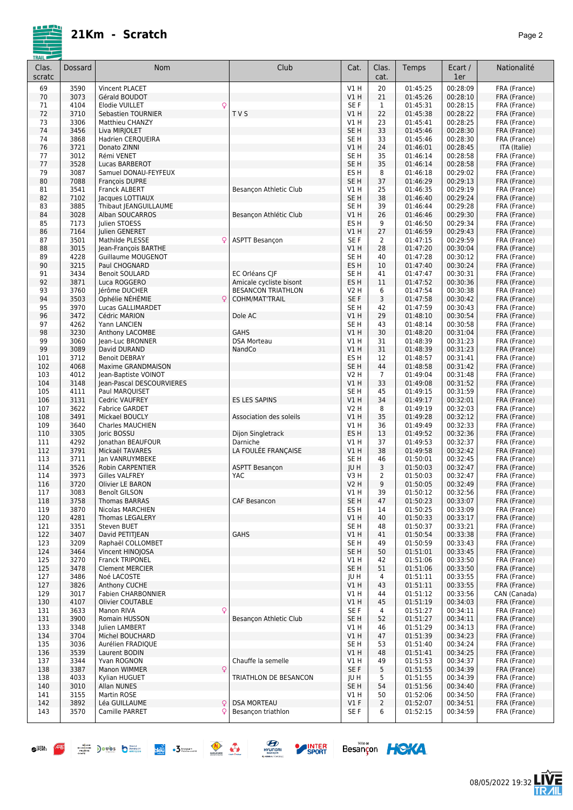

| Clas.<br>scratc | Dossard      | Nom                                        | Club                                                 | Cat.                    | Clas.<br>cat.        | Temps                | Ecart /<br>1er       | Nationalité                  |
|-----------------|--------------|--------------------------------------------|------------------------------------------------------|-------------------------|----------------------|----------------------|----------------------|------------------------------|
| 69              | 3590         | Vincent PLACET                             |                                                      | V1H                     | 20                   | 01:45:25             | 00:28:09             | FRA (France)                 |
| 70              | 3073         | Gérald BOUDOT                              |                                                      | V1H                     | 21                   | 01:45:26             | 00:28:10             | FRA (France)                 |
| 71              | 4104         | Elodie VUILLET<br>Q                        |                                                      | SE F                    | 1                    | 01:45:31             | 00:28:15             | FRA (France)                 |
| 72              | 3710         | Sebastien TOURNIER                         | <b>TVS</b>                                           | V1 H                    | 22                   | 01:45:38             | 00:28:22             | FRA (France)                 |
| 73              | 3306         | Matthieu CHANZY                            |                                                      | V1 H                    | 23                   | 01:45:41             | 00:28:25             | FRA (France)                 |
| 74              | 3456         | Liva MIRJOLET                              |                                                      | SE <sub>H</sub>         | 33                   | 01:45:46             | 00:28:30             | FRA (France)                 |
| 74<br>76        | 3868<br>3721 | Hadrien CERQUEIRA<br>Donato ZINNI          |                                                      | SE H                    | 33<br>24             | 01:45:46<br>01:46:01 | 00:28:30<br>00:28:45 | FRA (France)                 |
| 77              | 3012         | Rémi VENET                                 |                                                      | V1 H<br>SE H            | 35                   | 01:46:14             | 00:28:58             | ITA (Italie)<br>FRA (France) |
| 77              | 3528         | Lucas BARBEROT                             |                                                      | SE <sub>H</sub>         | 35                   | 01:46:14             | 00:28:58             | FRA (France)                 |
| 79              | 3087         | Samuel DONAU-FEYFEUX                       |                                                      | ES H                    | 8                    | 01:46:18             | 00:29:02             | FRA (France)                 |
| 80              | 7088         | François DUPRE                             |                                                      | SE <sub>H</sub>         | 37                   | 01:46:29             | 00:29:13             | FRA (France)                 |
| 81              | 3541         | Franck ALBERT                              | Besançon Athletic Club                               | V1 H                    | 25                   | 01:46:35             | 00:29:19             | FRA (France)                 |
| 82              | 7102         | Jacques LOTTIAUX                           |                                                      | SE <sub>H</sub>         | 38                   | 01:46:40             | 00:29:24             | FRA (France)                 |
| 83              | 3885         | Thibaut JEANGUILLAUME                      |                                                      | SE H                    | 39                   | 01:46:44             | 00:29:28             | FRA (France)                 |
| 84<br>85        | 3028<br>7173 | Alban SOUCARROS<br>Julien STOESS           | Besançon Athlétic Club                               | V1 H<br>ES H            | 26<br>9              | 01:46:46<br>01:46:50 | 00:29:30<br>00:29:34 | FRA (France)<br>FRA (France) |
| 86              | 7164         | Julien GENERET                             |                                                      | V1 H                    | 27                   | 01:46:59             | 00:29:43             | FRA (France)                 |
| 87              | 3501         | Mathilde PLESSE                            | <b>ASPTT Besançon</b>                                | SE F                    | $\overline{2}$       | 01:47:15             | 00:29:59             | FRA (France)                 |
| 88              | 3015         | Jean-François BARTHE                       |                                                      | VIH                     | 28                   | 01:47:20             | 00:30:04             | FRA (France)                 |
| 89              | 4228         | Guillaume MOUGENOT                         |                                                      | SE H                    | 40                   | 01:47:28             | 00:30:12             | FRA (France)                 |
| 90              | 3215         | Paul CHOGNARD                              |                                                      | ES <sub>H</sub>         | 10                   | 01:47:40             | 00:30:24             | FRA (France)                 |
| 91              | 3434         | <b>Benoit SOULARD</b>                      | EC Orléans CIF                                       | SE H                    | 41                   | 01:47:47             | 00:30:31             | FRA (France)                 |
| 92              | 3871<br>3760 | Luca ROGGERO<br>Jérôme DUCHER              | Amicale cycliste bisont<br><b>BESANCON TRIATHLON</b> | ES H<br>V2 H            | 11<br>6              | 01:47:52<br>01:47:54 | 00:30:36<br>00:30:38 | FRA (France)                 |
| 93<br>94        | 3503         | Ophélie NÉHÉMIE<br>C                       | COHM/MAT'TRAIL                                       | SE F                    | 3                    | 01:47:58             | 00:30:42             | FRA (France)<br>FRA (France) |
| 95              | 3970         | Lucas GALLIMARDET                          |                                                      | SE H                    | 42                   | 01:47:59             | 00:30:43             | FRA (France)                 |
| 96              | 3472         | Cédric MARION                              | Dole AC                                              | V1 H                    | 29                   | 01:48:10             | 00:30:54             | FRA (France)                 |
| 97              | 4262         | Yann LANCIEN                               |                                                      | SE H                    | 43                   | 01:48:14             | 00:30:58             | FRA (France)                 |
| 98              | 3230         | Anthony LACOMBE                            | <b>GAHS</b>                                          | V1 H                    | 30                   | 01:48:20             | 00:31:04             | FRA (France)                 |
| 99              | 3060         | lean-Luc BRONNER                           | <b>DSA Morteau</b>                                   | V1 H                    | 31                   | 01:48:39             | 00:31:23             | FRA (France)                 |
| 99              | 3089         | David DURAND                               | NandCo                                               | V1H                     | 31                   | 01:48:39             | 00:31:23             | FRA (France)                 |
| 101             | 3712         | <b>Benoit DEBRAY</b>                       |                                                      | ES <sub>H</sub>         | 12                   | 01:48:57             | 00:31:41             | FRA (France)                 |
| 102<br>103      | 4068<br>4012 | Maxime GRANDMAISON<br>Jean-Baptiste VOINOT |                                                      | SE <sub>H</sub><br>V2 H | 44<br>$\overline{7}$ | 01:48:58<br>01:49:04 | 00:31:42<br>00:31:48 | FRA (France)<br>FRA (France) |
| 104             | 3148         | Jean-Pascal DESCOURVIERES                  |                                                      | V1 H                    | 33                   | 01:49:08             | 00:31:52             | FRA (France)                 |
| 105             | 4111         | Paul MARQUISET                             |                                                      | SE H                    | 45                   | 01:49:15             | 00:31:59             | FRA (France)                 |
| 106             | 3131         | Cedric VAUFREY                             | <b>ES LES SAPINS</b>                                 | V1 H                    | 34                   | 01:49:17             | 00:32:01             | FRA (France)                 |
| 107             | 3622         | <b>Fabrice GARDET</b>                      |                                                      | <b>V2 H</b>             | 8                    | 01:49:19             | 00:32:03             | FRA (France)                 |
| 108             | 3491         | Mickael BOUCLY                             | Association des soleils                              | V1 H                    | 35                   | 01:49:28             | 00:32:12             | FRA (France)                 |
| 109             | 3640         | Charles MAUCHIEN                           |                                                      | V1 H                    | 36                   | 01:49:49             | 00:32:33             | FRA (France)                 |
| 110             | 3305<br>4292 | Joric BOSSU<br>Jonathan BEAUFOUR           | Dijon Singletrack<br>Darniche                        | ES H<br>V1 H            | 13<br>37             | 01:49:52<br>01:49:53 | 00:32:36<br>00:32:37 | FRA (France)<br>FRA (France) |
| 111<br>112      | 3791         | Mickaël TAVARES                            | LA FOULÉE FRANÇAISE                                  | V1 H                    | 38                   | 01:49:58             | 00:32:42             | FRA (France)                 |
| 113             | 3711         | Jan VANRUYMBEKE                            |                                                      | SE H                    | 46                   | 01:50:01             | 00:32:45             | FRA (France)                 |
| 114             | 3526         | <b>Robin CARPENTIER</b>                    | <b>ASPTT Besancon</b>                                | <b>JUH</b>              | 3                    | 01:50:03             | 00:32:47             | FRA (France)                 |
| 114             | 3973         | <b>Gilles VALFREY</b>                      | YAC                                                  | V3 H                    | 2                    | 01:50:03             | 00:32:47             | FRA (France)                 |
| 116             | 3720         | Olivier LE BARON                           |                                                      | V2 H                    | 9                    | 01:50:05             | 00:32:49             | FRA (France)                 |
| 117             | 3083         | Benoît GILSON                              |                                                      | VIH                     | 39                   | 01:50:12             | 00:32:56             | FRA (France)                 |
| 118             | 3758         | Thomas BARRAS                              | <b>CAF Besancon</b>                                  | SE <sub>H</sub>         | 47                   | 01:50:23             | 00:33:07             | FRA (France)                 |
| 119<br>120      | 3870<br>4281 | Nicolas MARCHIEN<br><b>Thomas LEGALERY</b> |                                                      | ES H<br>V1 H            | 14<br>40             | 01:50:25<br>01:50:33 | 00:33:09<br>00:33:17 | FRA (France)<br>FRA (France) |
| 121             | 3351         | Steven BUET                                |                                                      | SE H                    | 48                   | 01:50:37             | 00:33:21             | FRA (France)                 |
| 122             | 3407         | David PETITIEAN                            | <b>GAHS</b>                                          | V1 H                    | 41                   | 01:50:54             | 00:33:38             | FRA (France)                 |
| 123             | 3209         | Raphaël COLLOMBET                          |                                                      | SE H                    | 49                   | 01:50:59             | 00:33:43             | FRA (France)                 |
| 124             | 3464         | Vincent HINOJOSA                           |                                                      | SE <sub>H</sub>         | 50                   | 01:51:01             | 00:33:45             | FRA (France)                 |
| 125             | 3270         | Franck TRIPONEL                            |                                                      | V1 H                    | 42                   | 01:51:06             | 00:33:50             | FRA (France)                 |
| 125             | 3478         | <b>Clement MERCIER</b>                     |                                                      | SE <sub>H</sub>         | 51                   | 01:51:06             | 00:33:50<br>00:33:55 | FRA (France)                 |
| 127<br>127      | 3486<br>3826 | Noé LACOSTE<br>Anthony CUCHE               |                                                      | JU H<br>V1H             | 4<br>43              | 01:51:11<br>01:51:11 | 00:33:55             | FRA (France)<br>FRA (France) |
| 129             | 3017         | Fabien CHARBONNIER                         |                                                      | V1 H                    | 44                   | 01:51:12             | 00:33:56             | CAN (Canada)                 |
| 130             | 4107         | <b>Olivier COUTABLE</b>                    |                                                      | V1H                     | 45                   | 01:51:19             | 00:34:03             | FRA (France)                 |
| 131             | 3633         | Q<br>Manon RIVA                            |                                                      | SE F                    | 4                    | 01:51:27             | 00:34:11             | FRA (France)                 |
| 131             | 3900         | Romain HUSSON                              | <b>Besancon Athletic Club</b>                        | SE H                    | 52                   | 01:51:27             | 00:34:11             | FRA (France)                 |
| 133             | 3348         | Julien LAMBERT                             |                                                      | V1 H                    | 46                   | 01:51:29             | 00:34:13             | FRA (France)                 |
| 134             | 3704         | Michel BOUCHARD                            |                                                      | V1 H                    | 47                   | 01:51:39             | 00:34:23             | FRA (France)                 |
| 135             | 3036         | Aurélien FRADIQUE                          |                                                      | SE H                    | 53                   | 01:51:40             | 00:34:24             | FRA (France)                 |
| 136<br>137      | 3539<br>3344 | Laurent BODIN<br>Yvan ROGNON               | Chauffe la semelle                                   | V1 H<br>V1 H            | 48<br>49             | 01:51:41<br>01:51:53 | 00:34:25<br>00:34:37 | FRA (France)<br>FRA (France) |
| 138             | 3387         | Q<br>Manon WIMMER                          |                                                      | SE F                    | 5                    | 01:51:55             | 00:34:39             | FRA (France)                 |
| 138             | 4033         | Kylian HUGUET                              | TRIATHLON DE BESANCON                                | JU H                    | 5                    | 01:51:55             | 00:34:39             | FRA (France)                 |
| 140             | 3010         | <b>Allan NUNES</b>                         |                                                      | SE <sub>H</sub>         | 54                   | 01:51:56             | 00:34:40             | FRA (France)                 |
| 141             | 3155         | Martin ROSE                                |                                                      | V1 H                    | 50                   | 01:52:06             | 00:34:50             | FRA (France)                 |
| 142             | 3892         | Léa GUILLAUME<br>Q                         | <b>DSA MORTEAU</b>                                   | $VI$ F                  | $\overline{2}$       | 01:52:07             | 00:34:51             | FRA (France)                 |
| 143             | 3570         | Camille PARRET<br>Ç                        | Besançon triathlon                                   | SE F                    | 6                    | 01:52:15             | 00:34:59             | FRA (France)                 |
|                 |              |                                            |                                                      |                         |                      |                      |                      |                              |









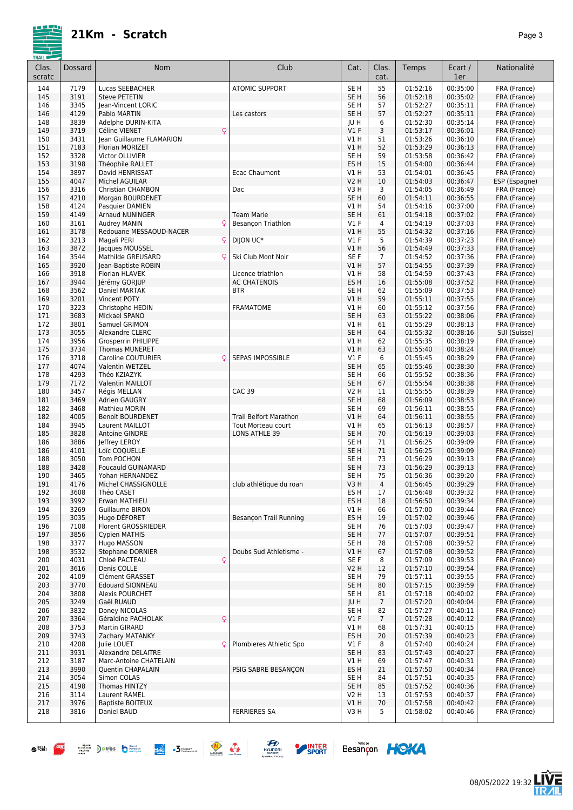08/05/2022 19:32

**LIVE**<br>TR*A*IL

Besançon HOKA

| Clas.<br>scratc | Dossard      | <b>Nom</b>                                   | Club                              | Cat.                      | Clas.<br>cat.  | Temps                | Ecart /<br>1er       | Nationalité                  |
|-----------------|--------------|----------------------------------------------|-----------------------------------|---------------------------|----------------|----------------------|----------------------|------------------------------|
| 144             | 7179         | Lucas SEEBACHER                              | <b>ATOMIC SUPPORT</b>             | SE <sub>H</sub>           | 55             | 01:52:16             | 00:35:00             | FRA (France)                 |
| 145             | 3191         | <b>Steve PETETIN</b>                         |                                   | SE <sub>H</sub>           | 56             | 01:52:18             | 00:35:02             | FRA (France)                 |
| 146             | 3345         | Jean-Vincent LORIC                           |                                   | SE <sub>H</sub>           | 57             | 01:52:27             | 00:35:11             | FRA (France)                 |
| 146             | 4129         | Pablo MARTIN                                 | Les castors                       | SE <sub>H</sub>           | 57             | 01:52:27             | 00:35:11             | FRA (France)                 |
| 148             | 3839<br>3719 | Adelphe DURIN-KITA<br>Céline VIENET<br>Q     |                                   | JU H<br>V1F               | 6              | 01:52:30<br>01:53:17 | 00:35:14<br>00:36:01 | FRA (France)<br>FRA (France) |
| 149<br>150      | 3431         | Jean Guillaume FLAMARION                     |                                   | V1H                       | 3<br>51        | 01:53:26             | 00:36:10             | FRA (France)                 |
| 151             | 7183         | Florian MORIZET                              |                                   | VIH                       | 52             | 01:53:29             | 00:36:13             | FRA (France)                 |
| 152             | 3328         | Victor OLLIVIER                              |                                   | SE <sub>H</sub>           | 59             | 01:53:58             | 00:36:42             | FRA (France)                 |
| 153             | 3198         | Théophile RALLET                             |                                   | ES <sub>H</sub>           | 15             | 01:54:00             | 00:36:44             | FRA (France)                 |
| 154             | 3897         | David HENRISSAT                              | Ecac Chaumont                     | V1 H                      | 53             | 01:54:01             | 00:36:45             | FRA (France)                 |
| 155             | 4047         | <b>Michel AGUILAR</b>                        |                                   | <b>V2 H</b>               | 10             | 01:54:03             | 00:36:47             | ESP (Espagne)                |
| 156             | 3316         | <b>Christian CHAMBON</b>                     | Dac                               | V3H                       | 3              | 01:54:05             | 00:36:49             | FRA (France)                 |
| 157             | 4210         | Morgan BOURDENET                             |                                   | SE <sub>H</sub>           | 60             | 01:54:11             | 00:36:55             | FRA (France)                 |
| 158<br>159      | 4124<br>4149 | Pasquier DAMIEN                              | <b>Team Marie</b>                 | V1H<br>SE <sub>H</sub>    | 54<br>61       | 01:54:16<br>01:54:18 | 00:37:00<br>00:37:02 | FRA (France)                 |
| 160             | 3161         | <b>Arnaud NUNINGER</b><br>Audrey MANIN<br>Q  | Besançon Triathlon                | $VI$ F                    | 4              | 01:54:19             | 00:37:03             | FRA (France)<br>FRA (France) |
| 161             | 3178         | Redouane MESSAOUD-NACER                      |                                   | V1 H                      | 55             | 01:54:32             | 00:37:16             | FRA (France)                 |
| 162             | 3213         | Q<br>Magali PERI                             | DIJON UC*                         | $VI$ F                    | 5              | 01:54:39             | 00:37:23             | FRA (France)                 |
| 163             | 3872         | Jacques MOUSSEL                              |                                   | VIH                       | 56             | 01:54:49             | 00:37:33             | FRA (France)                 |
| 164             | 3544         | Mathilde GREUSARD<br>C                       | Ski Club Mont Noir                | SE F                      | $\overline{7}$ | 01:54:52             | 00:37:36             | FRA (France)                 |
| 165             | 3920         | Jean-Baptiste ROBIN                          |                                   | V1H                       | 57             | 01:54:55             | 00:37:39             | FRA (France)                 |
| 166             | 3918         | Florian HLAVEK                               | Licence triathlon                 | V1 H                      | 58             | 01:54:59             | 00:37:43             | FRA (France)                 |
| 167             | 3944<br>3562 | Jérémy GORJUP                                | <b>AC CHATENOIS</b><br><b>BTR</b> | ES H                      | 16<br>62       | 01:55:08             | 00:37:52             | FRA (France)                 |
| 168<br>169      | 3201         | Daniel MARTAK<br><b>Vincent POTY</b>         |                                   | SE H<br>V1 H              | 59             | 01:55:09<br>01:55:11 | 00:37:53<br>00:37:55 | FRA (France)<br>FRA (France) |
| 170             | 3223         | Christophe HEDIN                             | <b>FRAMATOME</b>                  | V1 H                      | 60             | 01:55:12             | 00:37:56             | FRA (France)                 |
| 171             | 3683         | Mickael SPANO                                |                                   | SE <sub>H</sub>           | 63             | 01:55:22             | 00:38:06             | FRA (France)                 |
| 172             | 3801         | Samuel GRIMON                                |                                   | V1 H                      | 61             | 01:55:29             | 00:38:13             | FRA (France)                 |
| 173             | 3055         | <b>Alexandre CLERC</b>                       |                                   | SE <sub>H</sub>           | 64             | 01:55:32             | 00:38:16             | SUI (Suisse)                 |
| 174             | 3956         | Grosperrin PHILIPPE                          |                                   | V1 H                      | 62             | 01:55:35             | 00:38:19             | FRA (France)                 |
| 175             | 3734         | <b>Thomas MUNERET</b>                        |                                   | V1 H                      | 63             | 01:55:40             | 00:38:24             | FRA (France)                 |
| 176             | 3718<br>4074 | Caroline COUTURIER<br>Q                      | SEPAS IMPOSSIBLE                  | $VI$ F<br>SE <sub>H</sub> | 6<br>65        | 01:55:45             | 00:38:29<br>00:38:30 | FRA (France)                 |
| 177<br>178      | 4293         | Valentin WETZEL<br>Théo KZIAZYK              |                                   | SE H                      | 66             | 01:55:46<br>01:55:52 | 00:38:36             | FRA (France)<br>FRA (France) |
| 179             | 7172         | Valentin MAILLOT                             |                                   | SE H                      | 67             | 01:55:54             | 00:38:38             | FRA (France)                 |
| 180             | 3457         | Régis MELLAN                                 | <b>CAC 39</b>                     | V2 H                      | 11             | 01:55:55             | 00:38:39             | FRA (France)                 |
| 181             | 3469         | Adrien GAUGRY                                |                                   | SE <sub>H</sub>           | 68             | 01:56:09             | 00:38:53             | FRA (France)                 |
| 182             | 3468         | <b>Mathieu MORIN</b>                         |                                   | SE <sub>H</sub>           | 69             | 01:56:11             | 00:38:55             | FRA (France)                 |
| 182             | 4005         | <b>Benoit BOURDENET</b>                      | <b>Trail Belfort Marathon</b>     | VIH                       | 64             | 01:56:11             | 00:38:55             | FRA (France)                 |
| 184             | 3945         | Laurent MAILLOT                              | Tout Morteau court                | V1 H                      | 65             | 01:56:13             | 00:38:57             | FRA (France)                 |
| 185<br>186      | 3828<br>3886 | <b>Antoine GINDRE</b><br>Jeffrey LEROY       | LONS ATHLE 39                     | SE <sub>H</sub><br>SE H   | 70<br>71       | 01:56:19<br>01:56:25 | 00:39:03<br>00:39:09 | FRA (France)<br>FRA (France) |
| 186             | 4101         | Loïc COQUELLE                                |                                   | SE <sub>H</sub>           | 71             | 01:56:25             | 00:39:09             | FRA (France)                 |
| 188             | 3050         | Tom POCHON                                   |                                   | SE H                      | 73             | 01:56:29             | 00:39:13             | FRA (France)                 |
| 188             | 3428         | <b>Foucauld GUINAMARD</b>                    |                                   | SE <sub>H</sub>           | 73             | 01:56:29             | 00:39:13             | FRA (France)                 |
| 190             | 3465         | Yohan HERNANDEZ                              |                                   | SE H                      | 75             | 01:56:36             | 00:39:20             | FRA (France)                 |
| 191             | 4176         | Michel CHASSIGNOLLE                          | club athlétique du roan           | V3H                       | 4              | 01:56:45             | 00:39:29             | FRA (France)                 |
| 192             | 3608         | Théo CASET                                   |                                   | ES H                      | 17             | 01:56:48             | 00:39:32             | FRA (France)                 |
| 193             | 3992<br>3269 | Erwan MATHIEU<br>Guillaume BIRON             |                                   | ES H                      | 18             | 01:56:50             | 00:39:34<br>00:39:44 | FRA (France)<br>FRA (France) |
| 194<br>195      | 3035         | Hugo DÉFORET                                 | <b>Besancon Trail Running</b>     | V1 H<br>ES <sub>H</sub>   | 66<br>19       | 01:57:00<br>01:57:02 | 00:39:46             | FRA (France)                 |
| 196             | 7108         | Florent GROSSRIEDER                          |                                   | SE H                      | 76             | 01:57:03             | 00:39:47             | FRA (France)                 |
| 197             | 3856         | <b>Cypien MATHIS</b>                         |                                   | SE <sub>H</sub>           | 77             | 01:57:07             | 00:39:51             | FRA (France)                 |
| 198             | 3377         | Hugo MASSON                                  |                                   | SE H                      | 78             | 01:57:08             | 00:39:52             | FRA (France)                 |
| 198             | 3532         | <b>Stephane DORNIER</b>                      | Doubs Sud Athletisme -            | V1 H                      | 67             | 01:57:08             | 00:39:52             | FRA (France)                 |
| 200             | 4031         | Q<br>Chloé PACTEAU                           |                                   | SE F                      | 8              | 01:57:09             | 00:39:53             | FRA (France)                 |
| 201             | 3616         | Denis COLLE                                  |                                   | V2 H                      | 12             | 01:57:10             | 00:39:54             | FRA (France)                 |
| 202<br>203      | 4109<br>3770 | Clément GRASSET<br><b>Edouard SIONNEAU</b>   |                                   | SE H<br>SE H              | 79<br>80       | 01:57:11<br>01:57:15 | 00:39:55<br>00:39:59 | FRA (France)<br>FRA (France) |
| 204             | 3808         | Alexis POURCHET                              |                                   | SE H                      | 81             | 01:57:18             | 00:40:02             | FRA (France)                 |
| 205             | 3249         | Gaël RUAUD                                   |                                   | JU H                      | $\overline{7}$ | 01:57:20             | 00:40:04             | FRA (France)                 |
| 206             | 3832         | Doney NICOLAS                                |                                   | SE H                      | 82             | 01:57:27             | 00:40:11             | FRA (France)                 |
| 207             | 3364         | Géraldine PACHOLAK<br>Q                      |                                   | V1F                       | $\overline{7}$ | 01:57:28             | 00:40:12             | FRA (France)                 |
| 208             | 3753         | Martin GIRARD                                |                                   | VIH                       | 68             | 01:57:31             | 00:40:15             | FRA (France)                 |
| 209             | 3743         | Zachary MATANKY                              |                                   | ES H                      | 20             | 01:57:39             | 00:40:23             | FRA (France)                 |
| 210             | 4208         | Julie LOUET<br>Q                             | Plombieres Athletic Spo           | $VI$ F                    | 8              | 01:57:40             | 00:40:24             | FRA (France)                 |
| 211<br>212      | 3931<br>3187 | Alexandre DELAITRE<br>Marc-Antoine CHATELAIN |                                   | SE <sub>H</sub><br>V1 H   | 83<br>69       | 01:57:43<br>01:57:47 | 00:40:27<br>00:40:31 | FRA (France)<br>FRA (France) |
| 213             | 3990         | Quentin CHAPALAIN                            | PSIG SABRE BESANCON               | ES H                      | 21             | 01:57:50             | 00:40:34             | FRA (France)                 |
| 214             | 3054         | Simon COLAS                                  |                                   | SE H                      | 84             | 01:57:51             | 00:40:35             | FRA (France)                 |
| 215             | 4198         | Thomas HINTZY                                |                                   | SE H                      | 85             | 01:57:52             | 00:40:36             | FRA (France)                 |
| 216             | 3114         | Laurent RAMEL                                |                                   | V <sub>2</sub> H          | 13             | 01:57:53             | 00:40:37             | FRA (France)                 |
| 217             | 3976         | <b>Baptiste BOITEUX</b>                      |                                   | V1 H                      | 70             | 01:57:58             | 00:40:42             | FRA (France)                 |
| 218             | 3816         | Daniel BAUD                                  | <b>FERRIERES SA</b>               | V3 H                      | 5              | 01:58:02             | 00:40:46             | FRA (France)                 |



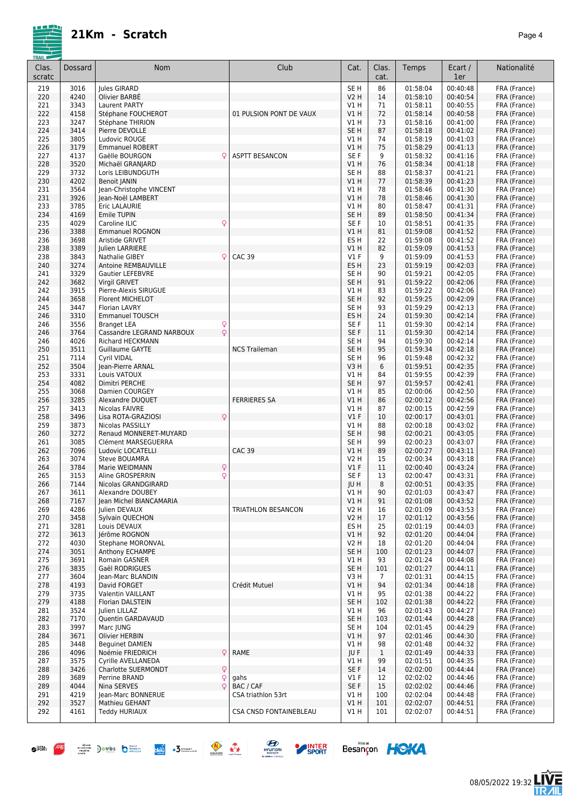|--|--|

| <b>IKAIL</b><br>Clas.<br>scratc | Dossard      | Nom                                                              | Club                    | Cat.                    | Clas.<br>cat. | Temps                | Ecart /<br>1er       | Nationalité                  |
|---------------------------------|--------------|------------------------------------------------------------------|-------------------------|-------------------------|---------------|----------------------|----------------------|------------------------------|
| 219                             | 3016         | Jules GIRARD                                                     |                         | SE <sub>H</sub>         | 86            | 01:58:04             | 00:40:48             | FRA (France)                 |
| 220                             | 4240         | Olivier BARBÉ                                                    |                         | <b>V2 H</b>             | 14            | 01:58:10             | 00:40:54             | FRA (France)                 |
| 221                             | 3343         | Laurent PARTY                                                    |                         | V1H                     | 71            | 01:58:11             | 00:40:55             | FRA (France)                 |
| 222                             | 4158         | Stéphane FOUCHEROT                                               | 01 PULSION PONT DE VAUX | <b>V1 H</b>             | 72            | 01:58:14             | 00:40:58             | FRA (France)                 |
| 223                             | 3247<br>3414 | Stéphane THIRION                                                 |                         | V1 H<br>SE <sub>H</sub> | 73<br>87      | 01:58:16<br>01:58:18 | 00:41:00<br>00:41:02 | FRA (France)                 |
| 224<br>225                      | 3805         | Pierre DEVOLLE<br>Ludovic ROUGE                                  |                         | V1 H                    | 74            | 01:58:19             | 00:41:03             | FRA (France)<br>FRA (France) |
| 226                             | 3179         | <b>Emmanuel ROBERT</b>                                           |                         | V1H                     | 75            | 01:58:29             | 00:41:13             | FRA (France)                 |
| 227                             | 4137         | Gaëlle BOURGON<br>Q                                              | <b>ASPTT BESANCON</b>   | SE F                    | 9             | 01:58:32             | 00:41:16             | FRA (France)                 |
| 228                             | 3520         | Michaël GRANJARD                                                 |                         | V1 H                    | 76            | 01:58:34             | 00:41:18             | FRA (France)                 |
| 229                             | 3732         | Loris LEIBUNDGUTH                                                |                         | SE H                    | 88            | 01:58:37             | 00:41:21             | FRA (France)                 |
| 230                             | 4202         | <b>Benoit JANIN</b>                                              |                         | V1H                     | 77            | 01:58:39             | 00:41:23             | FRA (France)                 |
| 231                             | 3564         | Jean-Christophe VINCENT                                          |                         | V1H                     | 78            | 01:58:46             | 00:41:30             | FRA (France)                 |
| 231                             | 3926         | Jean-Noël LAMBERT                                                |                         | <b>V1 H</b>             | 78            | 01:58:46             | 00:41:30             | FRA (France)                 |
| 233                             | 3785         | Eric LALAURIE                                                    |                         | VIH                     | 80            | 01:58:47             | 00:41:31             | FRA (France)                 |
| 234                             | 4169         | Emile TUPIN                                                      |                         | SE <sub>H</sub>         | 89            | 01:58:50             | 00:41:34             | FRA (France)                 |
| 235<br>236                      | 4029<br>3388 | Q<br>Caroline ILIC<br><b>Emmanuel ROGNON</b>                     |                         | SE <sub>F</sub><br>V1H  | 10<br>81      | 01:58:51<br>01:59:08 | 00:41:35<br>00:41:52 | FRA (France)<br>FRA (France) |
| 236                             | 3698         | Aristide GRIVET                                                  |                         | ES <sub>H</sub>         | 22            | 01:59:08             | 00:41:52             | FRA (France)                 |
| 238                             | 3389         | Julien LARRIERE                                                  |                         | V1H                     | 82            | 01:59:09             | 00:41:53             | FRA (France)                 |
| 238                             | 3843         | Nathalie GIBEY<br>Q                                              | <b>CAC 39</b>           | $VI$ F                  | 9             | 01:59:09             | 00:41:53             | FRA (France)                 |
| 240                             | 3274         | <b>Antoine REMBAUVILLE</b>                                       |                         | ES <sub>H</sub>         | 23            | 01:59:19             | 00:42:03             | FRA (France)                 |
| 241                             | 3329         | Gautier LEFEBVRE                                                 |                         | SE H                    | 90            | 01:59:21             | 00:42:05             | FRA (France)                 |
| 242                             | 3682         | Virgil GRIVET                                                    |                         | SE <sub>H</sub>         | 91            | 01:59:22             | 00:42:06             | FRA (France)                 |
| 242                             | 3915         | Pierre-Alexis SIRUGUE                                            |                         | V1H                     | 83            | 01:59:22             | 00:42:06             | FRA (France)                 |
| 244                             | 3658         | <b>Florent MICHELOT</b>                                          |                         | SE <sub>H</sub>         | 92            | 01:59:25             | 00:42:09             | FRA (France)                 |
| 245                             | 3447         | <b>Florian LAVRY</b>                                             |                         | SE H                    | 93            | 01:59:29             | 00:42:13             | FRA (France)                 |
| 246                             | 3310         | <b>Emmanuel TOUSCH</b>                                           |                         | ES <sub>H</sub>         | 24            | 01:59:30             | 00:42:14             | FRA (France)                 |
| 246                             | 3556<br>3764 | <b>Branget LEA</b><br>$\frac{Q}{Q}$<br>Cassandre LEGRAND NARBOUX |                         | SE F<br>SE F            | 11<br>11      | 01:59:30<br>01:59:30 | 00:42:14<br>00:42:14 | FRA (France)<br>FRA (France) |
| 246<br>246                      | 4026         | Richard HECKMANN                                                 |                         | SE <sub>H</sub>         | 94            | 01:59:30             | 00:42:14             | FRA (France)                 |
| 250                             | 3511         | Guillaume GAYTE                                                  | <b>NCS Traileman</b>    | SE <sub>H</sub>         | 95            | 01:59:34             | 00:42:18             | FRA (France)                 |
| 251                             | 7114         | <b>Cyril VIDAL</b>                                               |                         | SE <sub>H</sub>         | 96            | 01:59:48             | 00:42:32             | FRA (France)                 |
| 252                             | 3504         | Jean-Pierre ARNAL                                                |                         | V3H                     | 6             | 01:59:51             | 00:42:35             | FRA (France)                 |
| 253                             | 3331         | Louis VATOUX                                                     |                         | V1 H                    | 84            | 01:59:55             | 00:42:39             | FRA (France)                 |
| 254                             | 4082         | Dimitri PERCHE                                                   |                         | SE <sub>H</sub>         | 97            | 01:59:57             | 00:42:41             | FRA (France)                 |
| 255                             | 3068         | Damien COURGEY                                                   |                         | V1H                     | 85            | 02:00:06             | 00:42:50             | FRA (France)                 |
| 256                             | 3285         | Alexandre DUQUET                                                 | <b>FERRIERES SA</b>     | V1H                     | 86            | 02:00:12             | 00:42:56             | FRA (France)                 |
| 257                             | 3413         | Nicolas FAIVRE                                                   |                         | V1 H                    | 87            | 02:00:15             | 00:42:59             | FRA (France)                 |
| 258                             | 3496         | Q<br>Lisa ROTA-GRAZIOSI                                          |                         | $VI$ F                  | 10            | 02:00:17             | 00:43:01             | FRA (France)                 |
| 259                             | 3873<br>3272 | Nicolas PASSILLY<br>Renaud MONNERET-MUYARD                       |                         | V1 H<br>SE <sub>H</sub> | 88<br>98      | 02:00:18             | 00:43:02             | FRA (France)                 |
| 260<br>261                      | 3085         | Clément MARSEGUERRA                                              |                         | SE H                    | 99            | 02:00:21<br>02:00:23 | 00:43:05<br>00:43:07 | FRA (France)<br>FRA (France) |
| 262                             | 7096         | Ludovic LOCATELLI                                                | <b>CAC 39</b>           | V1H                     | 89            | 02:00:27             | 00:43:11             | FRA (France)                 |
| 263                             | 3074         | Steve BOUAMRA                                                    |                         | <b>V2 H</b>             | 15            | 02:00:34             | 00:43:18             | FRA (France)                 |
| 264                             | 3784         | Q<br>Marie WEIDMANN                                              |                         | $VI$ F                  | 11            | 02:00:40             | 00:43:24             | FRA (France)                 |
| 265                             | 3153         | Q<br>Aline GROSPERRIN                                            |                         | SE <sub>F</sub>         | 13            | 02:00:47             | 00:43:31             | FRA (France)                 |
| 266                             | 7144         | Nicolas GRANDGIRARD                                              |                         | JU H                    | 8             | 02:00:51             | 00:43:35             | FRA (France)                 |
| 267                             | 3611         | Alexandre DOUBEY                                                 |                         | V1 H                    | 90            | 02:01:03             | 00:43:47             | FRA (France)                 |
| 268                             | 7167         | Jean Michel BIANCAMARIA                                          |                         | V1H                     | 91            | 02:01:08             | 00:43:52             | FRA (France)                 |
| 269                             | 4286         | Julien DEVAUX                                                    | TRIATHLON BESANCON      | V2 H                    | 16            | 02:01:09             | 00:43:53             | FRA (France)                 |
| 270<br>271                      | 3458<br>3281 | Sylvain QUECHON<br>Louis DEVAUX                                  |                         | <b>V2 H</b><br>ES H     | 17<br>25      | 02:01:12<br>02:01:19 | 00:43:56<br>00:44:03 | FRA (France)<br>FRA (France) |
| 272                             | 3613         | lérôme ROGNON                                                    |                         | V1H                     | 92            | 02:01:20             | 00:44:04             | FRA (France)                 |
| 272                             | 4030         | Stephane MORONVAL                                                |                         | V2 H                    | 18            | 02:01:20             | 00:44:04             | FRA (France)                 |
| 274                             | 3051         | Anthony ECHAMPE                                                  |                         | SE <sub>H</sub>         | 100           | 02:01:23             | 00:44:07             | FRA (France)                 |
| 275                             | 3691         | Romain GASNER                                                    |                         | VIH                     | 93            | 02:01:24             | 00:44:08             | FRA (France)                 |
| 276                             | 3835         | Gaël RODRIGUES                                                   |                         | SE H                    | 101           | 02:01:27             | 00:44:11             | FRA (France)                 |
| 277                             | 3604         | Jean-Marc BLANDIN                                                |                         | V3H                     | 7             | 02:01:31             | 00:44:15             | FRA (France)                 |
| 278                             | 4193         | David FORGET                                                     | Crédit Mutuel           | <b>V1 H</b>             | 94            | 02:01:34             | 00:44:18             | FRA (France)                 |
| 279                             | 3735         | Valentin VAILLANT                                                |                         | V1 H                    | 95            | 02:01:38             | 00:44:22             | FRA (France)                 |
| 279                             | 4188         | Florian DALSTEIN                                                 |                         | SE <sub>H</sub>         | 102           | 02:01:38             | 00:44:22             | FRA (France)                 |
| 281                             | 3524         | Julien LILLAZ                                                    |                         | V1 H                    | 96            | 02:01:43             | 00:44:27             | FRA (France)                 |
| 282                             | 7170         | Quentin GARDAVAUD                                                |                         | SE H                    | 103           | 02:01:44             | 00:44:28             | FRA (France)                 |
| 283<br>284                      | 3997<br>3671 | Marc JUNG<br>Olivier HERBIN                                      |                         | SE H<br>V1 H            | 104<br>97     | 02:01:45<br>02:01:46 | 00:44:29<br>00:44:30 | FRA (France)<br>FRA (France) |
| 285                             | 3448         | <b>Bequinet DAMIEN</b>                                           |                         | VIH                     | 98            | 02:01:48             | 00:44:32             | FRA (France)                 |
| 286                             | 4096         | Q<br>Noémie FRIEDRICH                                            | RAME                    | JU F                    | $\mathbf{1}$  | 02:01:49             | 00:44:33             | FRA (France)                 |
| 287                             | 3575         | Cyrille AVELLANEDA                                               |                         | VIH                     | 99            | 02:01:51             | 00:44:35             | FRA (France)                 |
| 288                             | 3426         | Q<br>Charlotte SUERMONDT                                         |                         | SE F                    | 14            | 02:02:00             | 00:44:44             | FRA (France)                 |
| 289                             | 3689         | Q<br>Perrine BRAND                                               | gahs                    | $VI$ F                  | 12            | 02:02:02             | 00:44:46             | FRA (France)                 |
| 289                             | 4044         | Q<br>Nina SERVES                                                 | BAC / CAF               | SE F                    | 15            | 02:02:02             | 00:44:46             | FRA (France)                 |
| 291                             | 4219         | Jean-Marc BONNERUE                                               | CSA triathlon 53rt      | V1 H                    | 100           | 02:02:04             | 00:44:48             | FRA (France)                 |
| 292                             | 3527         | Mathieu GEHANT                                                   |                         | V1H                     | 101           | 02:02:07             | 00:44:51             | FRA (France)                 |
| 292                             | 4161         | Teddy HURIAUX                                                    | CSA CNSD FONTAINEBLEAU  | V1H                     | 101           | 02:02:07             | 00:44:51             | FRA (France)                 |
|                                 |              |                                                                  |                         |                         |               |                      |                      |                              |











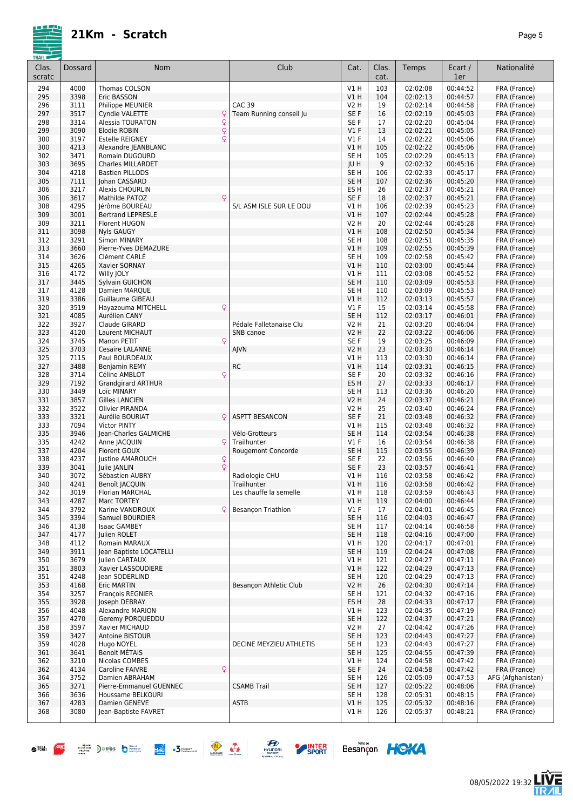| <b>IKAIL</b><br>Clas.<br>scratc | Dossard      | <b>Nom</b>                                      | Club                                     | Cat.                               | Clas.<br>cat. | Temps                | Ecart /<br>1er       | Nationalité                  |
|---------------------------------|--------------|-------------------------------------------------|------------------------------------------|------------------------------------|---------------|----------------------|----------------------|------------------------------|
| 294                             | 4000         | Thomas COLSON                                   |                                          | V1H                                | 103           | 02:02:08             | 00:44:52             | FRA (France)                 |
| 295                             | 3398         | Eric BASSON                                     |                                          | V1H                                | 104           | 02:02:13             | 00:44:57             | FRA (France)                 |
| 296                             | 3111         | Philippe MEUNIER                                | <b>CAC 39</b><br>Team Running conseil Ju | <b>V2 H</b>                        | 19            | 02:02:14             | 00:44:58             | FRA (France)                 |
| 297<br>298                      | 3517<br>3314 | Q<br>Cyndie VALETTE<br>Alessia TOURATON<br>Q    |                                          | SE <sub>F</sub><br>SE F            | 16<br>17      | 02:02:19<br>02:02:20 | 00:45:03<br>00:45:04 | FRA (France)<br>FRA (France) |
| 299                             | 3090         | $\dot{\varphi}$<br>Elodie ROBIN                 |                                          | V1F                                | 13            | 02:02:21             | 00:45:05             | FRA (France)                 |
| 300                             | 3197         | Q<br><b>Estelle REIGNEY</b>                     |                                          | $VI$ F                             | 14            | 02:02:22             | 00:45:06             | FRA (France)                 |
| 300                             | 4213         | Alexandre JEANBLANC                             |                                          | V1H                                | 105           | 02:02:22             | 00:45:06             | FRA (France)                 |
| 302                             | 3471         | Romain DUGOURD                                  |                                          | SE <sub>H</sub>                    | 105           | 02:02:29             | 00:45:13             | FRA (France)                 |
| 303<br>304                      | 3695<br>4218 | Charles MILLARDET<br><b>Bastien PILLODS</b>     |                                          | JU H<br>SE <sub>H</sub>            | 9<br>106      | 02:02:32<br>02:02:33 | 00:45:16<br>00:45:17 | FRA (France)<br>FRA (France) |
| 305                             | 7111         | Johan CASSARD                                   |                                          | SE <sub>H</sub>                    | 107           | 02:02:36             | 00:45:20             | FRA (France)                 |
| 306                             | 3217         | <b>Alexis CHOURLIN</b>                          |                                          | ES <sub>H</sub>                    | 26            | 02:02:37             | 00:45:21             | FRA (France)                 |
| 306                             | 3617         | Mathilde PATOZ<br>Q                             |                                          | SE F                               | 18            | 02:02:37             | 00:45:21             | FRA (France)                 |
| 308                             | 4295         | Jérôme BOUREAU                                  | S/L ASM ISLE SUR LE DOU                  | VIH                                | 106           | 02:02:39             | 00:45:23             | FRA (France)                 |
| 309<br>309                      | 3001<br>3211 | <b>Bertrand LEPRESLE</b><br>Florent HUGON       |                                          | VIH<br><b>V2 H</b>                 | 107<br>20     | 02:02:44<br>02:02:44 | 00:45:28<br>00:45:28 | FRA (France)<br>FRA (France) |
| 311                             | 3098         | <b>Nyls GAUGY</b>                               |                                          | V1H                                | 108           | 02:02:50             | 00:45:34             | FRA (France)                 |
| 312                             | 3291         | Simon MINARY                                    |                                          | SE <sub>H</sub>                    | 108           | 02:02:51             | 00:45:35             | FRA (France)                 |
| 313                             | 3660         | Pierre-Yves DEMAZURE                            |                                          | VIH                                | 109           | 02:02:55             | 00:45:39             | FRA (France)                 |
| 314                             | 3626         | Clément CARLE                                   |                                          | SE <sub>H</sub>                    | 109           | 02:02:58             | 00:45:42             | FRA (France)                 |
| 315                             | 4265<br>4172 | Xavier SORNAY                                   |                                          | V1H                                | 110           | 02:03:00<br>02:03:08 | 00:45:44<br>00:45:52 | FRA (France)                 |
| 316<br>317                      | 3445         | Willy JOLY<br>Sylvain GUICHON                   |                                          | V1 H<br>SE <sub>H</sub>            | 111<br>110    | 02:03:09             | 00:45:53             | FRA (France)<br>FRA (France) |
| 317                             | 4128         | Damien MARQUE                                   |                                          | SE <sub>H</sub>                    | 110           | 02:03:09             | 00:45:53             | FRA (France)                 |
| 319                             | 3386         | <b>Guillaume GIBEAU</b>                         |                                          | V1H                                | 112           | 02:03:13             | 00:45:57             | FRA (France)                 |
| 320                             | 3519         | Q<br>Hayazouma MITCHELL                         |                                          | <b>V1 F</b>                        | 15            | 02:03:14             | 00:45:58             | FRA (France)                 |
| 321                             | 4085         | Aurélien CANY                                   |                                          | SE <sub>H</sub>                    | 112           | 02:03:17             | 00:46:01             | FRA (France)                 |
| 322<br>323                      | 3927<br>4120 | Claude GIRARD<br>Laurent MICHAUT                | Pédale Falletanaise Clu<br>SNB canoe     | V2 H<br><b>V2 H</b>                | 21<br>22      | 02:03:20<br>02:03:22 | 00:46:04<br>00:46:06 | FRA (France)<br>FRA (France) |
| 324                             | 3745         | Manon PETIT<br>Q                                |                                          | SE F                               | 19            | 02:03:25             | 00:46:09             | FRA (France)                 |
| 325                             | 3703         | Cesaire LALANNE                                 | AJVN                                     | V <sub>2</sub> H                   | 23            | 02:03:30             | 00:46:14             | FRA (France)                 |
| 325                             | 7115         | Paul BOURDEAUX                                  |                                          | V1 H                               | 113           | 02:03:30             | 00:46:14             | FRA (France)                 |
| 327                             | 3488         | <b>Benjamin REMY</b>                            | <b>RC</b>                                | V1H                                | 114           | 02:03:31             | 00:46:15             | FRA (France)                 |
| 328<br>329                      | 3714<br>7192 | Q<br>Céline AMBLOT<br><b>Grandgirard ARTHUR</b> |                                          | SE F<br>ES <sub>H</sub>            | 20<br>27      | 02:03:32<br>02:03:33 | 00:46:16<br>00:46:17 | FRA (France)<br>FRA (France) |
| 330                             | 3449         | Loïc MINARY                                     |                                          | SE <sub>H</sub>                    | 113           | 02:03:36             | 00:46:20             | FRA (France)                 |
| 331                             | 3857         | <b>Gilles LANCIEN</b>                           |                                          | <b>V2 H</b>                        | 24            | 02:03:37             | 00:46:21             | FRA (France)                 |
| 332                             | 3522         | <b>Olivier PIRANDA</b>                          |                                          | V <sub>2</sub> H                   | 25            | 02:03:40             | 00:46:24             | FRA (France)                 |
| 333                             | 3321         | Aurélie BOURIAT<br>Q                            | <b>ASPTT BESANCON</b>                    | SE <sub>F</sub>                    | 21            | 02:03:48             | 00:46:32             | FRA (France)                 |
| 333<br>335                      | 7094<br>3946 | <b>Victor PINTY</b>                             | Vélo-Grotteurs                           | V1 H<br>SE <sub>H</sub>            | 115<br>114    | 02:03:48<br>02:03:54 | 00:46:32<br>00:46:38 | FRA (France)                 |
| 335                             | 4242         | Jean-Charles GALMICHE<br>Q<br>Anne JACQUIN      | Trailhunter                              | $VI$ F                             | 16            | 02:03:54             | 00:46:38             | FRA (France)<br>FRA (France) |
| 337                             | 4204         | Florent GOUX                                    | Rougemont Concorde                       | SE <sub>H</sub>                    | 115           | 02:03:55             | 00:46:39             | FRA (France)                 |
| 338                             | 4237         | Q<br>Justine AMAROUCH                           |                                          | SE <sub>F</sub>                    | 22            | 02:03:56             | 00:46:40             | FRA (France)                 |
| 339                             | 3041         | $\overline{O}$<br>Julie JANLIN                  |                                          | SE <sub>F</sub>                    | 23            | 02:03:57             | 00:46:41             | FRA (France)                 |
| 340<br>340                      | 3072<br>4241 | Sébastien AUBRY                                 | Radiologie CHU<br>Trailhunter            | VIH<br>VIH                         | 116<br>116    | 02:03:58<br>02:03:58 | 00:46:42             | FRA (France)                 |
| 342                             | 3019         | Benoît JACQUIN<br>Florian MARCHAL               | Les chauffe la semelle                   | V1 H                               | 118           | 02:03:59             | 00:46:42<br>00:46:43 | FRA (France)<br>FRA (France) |
| 343                             | 4287         | Marc TORTEY                                     |                                          | V1H                                | 119           | 02:04:00             | 00:46:44             | FRA (France)                 |
| 344                             | 3792         | Karine VANDROUX<br>Ç                            | Besançon Triathlon                       | $VI$ F                             | 17            | 02:04:01             | 00:46:45             | FRA (France)                 |
| 345                             | 3394         | Samuel BOURDIER                                 |                                          | SE <sub>H</sub>                    | 116           | 02:04:03             | 00:46:47             | FRA (France)                 |
| 346                             | 4138<br>4177 | <b>Isaac GAMBEY</b><br>Julien ROLET             |                                          | SE <sub>H</sub><br>SE <sub>H</sub> | 117<br>118    | 02:04:14<br>02:04:16 | 00:46:58<br>00:47:00 | FRA (France)<br>FRA (France) |
| 347<br>348                      | 4112         | Romain MARAUX                                   |                                          | V1 H                               | 120           | 02:04:17             | 00:47:01             | FRA (France)                 |
| 349                             | 3911         | Jean Baptiste LOCATELLI                         |                                          | SE <sub>H</sub>                    | 119           | 02:04:24             | 00:47:08             | FRA (France)                 |
| 350                             | 3679         | Julien CARTAUX                                  |                                          | V1 H                               | 121           | 02:04:27             | 00:47:11             | FRA (France)                 |
| 351                             | 3803         | Xavier LASSOUDIERE                              |                                          | VIH                                | 122           | 02:04:29             | 00:47:13             | FRA (France)                 |
| 351<br>353                      | 4248<br>4168 | lean SODERLIND<br><b>Eric MARTIN</b>            | Besançon Athletic Club                   | SE <sub>H</sub><br><b>V2 H</b>     | 120<br>26     | 02:04:29<br>02:04:30 | 00:47:13<br>00:47:14 | FRA (France)<br>FRA (France) |
| 354                             | 3257         | François REGNIER                                |                                          | SE <sub>H</sub>                    | 121           | 02:04:32             | 00:47:16             | FRA (France)                 |
| 355                             | 3928         | Joseph DEBRAY                                   |                                          | ES <sub>H</sub>                    | 28            | 02:04:33             | 00:47:17             | FRA (France)                 |
| 356                             | 4048         | <b>Alexandre MARION</b>                         |                                          | V1 H                               | 123           | 02:04:35             | 00:47:19             | FRA (France)                 |
| 357                             | 4270         | Geremy PORQUEDDU                                |                                          | SE <sub>H</sub>                    | 122           | 02:04:37             | 00:47:21             | FRA (France)                 |
| 358<br>359                      | 3597<br>3427 | Xavier MICHAUD<br>Antoine BISTOUR               |                                          | V2 H<br>SE <sub>H</sub>            | 27<br>123     | 02:04:42<br>02:04:43 | 00:47:26<br>00:47:27 | FRA (France)<br>FRA (France) |
| 359                             | 4028         | Hugo NOYEL                                      | DECINE MEYZIEU ATHLETIS                  | SE H                               | 123           | 02:04:43             | 00:47:27             | FRA (France)                 |
| 361                             | 3641         | <b>Benoit METAIS</b>                            |                                          | SE <sub>H</sub>                    | 125           | 02:04:55             | 00:47:39             | FRA (France)                 |
| 362                             | 3210         | Nicolas COMBES                                  |                                          | V1H                                | 124           | 02:04:58             | 00:47:42             | FRA (France)                 |
| 362                             | 4134         | Q<br>Caroline FAIVRE                            |                                          | SE F                               | 24            | 02:04:58             | 00:47:42             | FRA (France)                 |
| 364                             | 3752         | Damien ABRAHAM                                  |                                          | SE <sub>H</sub>                    | 126           | 02:05:09             | 00:47:53             | AFG (Afghanistan)            |
| 365<br>366                      | 3271<br>3636 | Pierre-Emmanuel GUENNEC<br>Houssame BELKOURI    | <b>CSAMB Trail</b>                       | SE <sub>H</sub><br>SE <sub>H</sub> | 127<br>128    | 02:05:22<br>02:05:31 | 00:48:06<br>00:48:15 | FRA (France)<br>FRA (France) |
| 367                             | 4283         | Damien GENEVE                                   | <b>ASTB</b>                              | V1H                                | 125           | 02:05:32             | 00:48:16             | FRA (France)                 |
| 368                             | 3080         | Jean-Baptiste FAVRET                            |                                          | V1 H                               | 126           | 02:05:37             | 00:48:21             | FRA (France)                 |
|                                 |              |                                                 |                                          |                                    |               |                      |                      |                              |









 $\bullet$   $\overline{P}$   $\overline{P}$   $\overline{P}$   $\overline{P}$   $\overline{P}$   $\overline{P}$   $\overline{P}$   $\overline{P}$   $\overline{P}$   $\overline{P}$   $\overline{P}$   $\overline{P}$   $\overline{P}$   $\overline{P}$   $\overline{P}$   $\overline{P}$   $\overline{P}$   $\overline{P}$   $\overline{P}$   $\overline{P}$   $\overline{P}$   $\overline{P}$   $\overline{P}$   $\overline{P}$ 



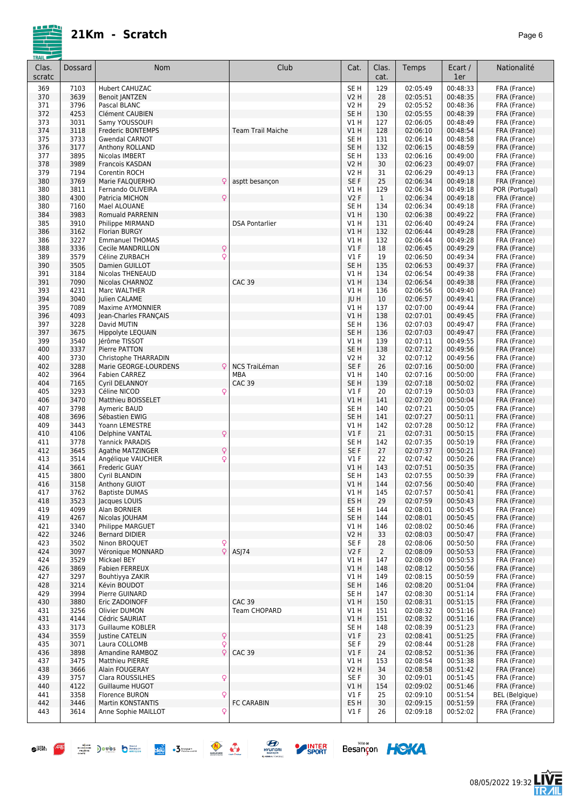|--|--|

| Clas.<br>scratc | Dossard      | Nom                                                | Club                     | Cat.                    | Clas.<br>cat.  | Temps                | Ecart /<br>1er       | Nationalité                  |
|-----------------|--------------|----------------------------------------------------|--------------------------|-------------------------|----------------|----------------------|----------------------|------------------------------|
| 369             | 7103         | Hubert CAHUZAC                                     |                          | SE <sub>H</sub>         | 129            | 02:05:49             | 00:48:33             | FRA (France)                 |
| 370             | 3639         | <b>Benoit JANTZEN</b>                              |                          | <b>V2 H</b>             | 28             | 02:05:51             | 00:48:35             | FRA (France)                 |
| 371             | 3796         | Pascal BLANC                                       |                          | <b>V2 H</b>             | 29             | 02:05:52             | 00:48:36             | FRA (France)                 |
| 372<br>373      | 4253<br>3031 | Clément CAUBIEN                                    |                          | SE <sub>H</sub><br>V1 H | 130<br>127     | 02:05:55<br>02:06:05 | 00:48:39<br>00:48:49 | FRA (France)                 |
| 374             | 3118         | Samy YOUSSOUFI<br>Frederic BONTEMPS                | <b>Team Trail Maiche</b> | V1 H                    | 128            | 02:06:10             | 00:48:54             | FRA (France)<br>FRA (France) |
| 375             | 3733         | <b>Gwendal CARNOT</b>                              |                          | SE <sub>H</sub>         | 131            | 02:06:14             | 00:48:58             | FRA (France)                 |
| 376             | 3177         | Anthony ROLLAND                                    |                          | SE <sub>H</sub>         | 132            | 02:06:15             | 00:48:59             | FRA (France)                 |
| 377             | 3895         | Nicolas IMBERT                                     |                          | SE <sub>H</sub>         | 133            | 02:06:16             | 00:49:00             | FRA (France)                 |
| 378             | 3989         | Francois KASDAN                                    |                          | <b>V2 H</b>             | 30             | 02:06:23             | 00:49:07             | FRA (France)                 |
| 379             | 7194<br>3769 | Corentin ROCH<br>Ç                                 | asptt besancon           | V2 H                    | 31<br>25       | 02:06:29             | 00:49:13             | FRA (France)<br>FRA (France) |
| 380<br>380      | 3811         | Marie FALQUERHO<br>Fernando OLIVEIRA               |                          | SE F<br>V1H             | 129            | 02:06:34<br>02:06:34 | 00:49:18<br>00:49:18 | POR (Portugal)               |
| 380             | 4300         | Q<br>Patricia MICHON                               |                          | V <sub>2</sub> F        | $\mathbf{1}$   | 02:06:34             | 00:49:18             | FRA (France)                 |
| 380             | 7160         | Mael ALOUANE                                       |                          | SE H                    | 134            | 02:06:34             | 00:49:18             | FRA (France)                 |
| 384             | 3983         | Romuald PARRENIN                                   |                          | V1H                     | 130            | 02:06:38             | 00:49:22             | FRA (France)                 |
| 385             | 3910         | Philippe MIRMAND                                   | <b>DSA Pontarlier</b>    | V1 H                    | 131            | 02:06:40             | 00:49:24             | FRA (France)                 |
| 386             | 3162         | Florian BURGY                                      |                          | V1H                     | 132            | 02:06:44             | 00:49:28             | FRA (France)                 |
| 386             | 3227<br>3336 | <b>Emmanuel THOMAS</b><br><b>Cecile MANDRILLON</b> |                          | V1H<br>V1F              | 132<br>18      | 02:06:44<br>02:06:45 | 00:49:28<br>00:49:29 | FRA (France)<br>FRA (France) |
| 388<br>389      | 3579         | $\mathsf{Q}$<br>Q<br>Céline ZURBACH                |                          | $VI$ F                  | 19             | 02:06:50             | 00:49:34             | FRA (France)                 |
| 390             | 3505         | Damien GUILLOT                                     |                          | SE <sub>H</sub>         | 135            | 02:06:53             | 00:49:37             | FRA (France)                 |
| 391             | 3184         | <b>Nicolas THENEAUD</b>                            |                          | V1 H                    | 134            | 02:06:54             | 00:49:38             | FRA (France)                 |
| 391             | 7090         | Nicolas CHARNOZ                                    | <b>CAC 39</b>            | V1H                     | 134            | 02:06:54             | 00:49:38             | FRA (France)                 |
| 393             | 4231         | Marc WALTHER                                       |                          | V1 H                    | 136            | 02:06:56             | 00:49:40             | FRA (France)                 |
| 394             | 3040         | Julien CALAME                                      |                          | JU H                    | 10             | 02:06:57             | 00:49:41             | FRA (France)                 |
| 395             | 7089         | <b>Maxime AYMONNIER</b>                            |                          | V1 H                    | 137            | 02:07:00             | 00:49:44             | FRA (France)                 |
| 396<br>397      | 4093<br>3228 | Jean-Charles FRANÇAIS<br>David MUTIN               |                          | V1H<br>SE H             | 138<br>136     | 02:07:01<br>02:07:03 | 00:49:45<br>00:49:47 | FRA (France)<br>FRA (France) |
| 397             | 3675         | Hippolyte LEQUAIN                                  |                          | SE <sub>H</sub>         | 136            | 02:07:03             | 00:49:47             | FRA (France)                 |
| 399             | 3540         | Jérôme TISSOT                                      |                          | V1H                     | 139            | 02:07:11             | 00:49:55             | FRA (France)                 |
| 400             | 3337         | Pierre PATTON                                      |                          | SE <sub>H</sub>         | 138            | 02:07:12             | 00:49:56             | FRA (France)                 |
| 400             | 3730         | Christophe THARRADIN                               |                          | <b>V2 H</b>             | 32             | 02:07:12             | 00:49:56             | FRA (France)                 |
| 402             | 3288         | Q<br>Marie GEORGE-LOURDENS                         | <b>NCS TraiLéman</b>     | SE F                    | 26             | 02:07:16             | 00:50:00             | FRA (France)                 |
| 402             | 3964         | <b>Fabien CARREZ</b>                               | <b>MBA</b>               | V1H                     | 140            | 02:07:16             | 00:50:00             | FRA (France)                 |
| 404             | 7165         | Cyril DELANNOY                                     | <b>CAC 39</b>            | SE <sub>H</sub>         | 139            | 02:07:18             | 00:50:02             | FRA (France)                 |
| 405<br>406      | 3293<br>3470 | Q<br>Céline NICOD<br>Matthieu BOISSELET            |                          | $VI$ F<br>V1H           | 20<br>141      | 02:07:19<br>02:07:20 | 00:50:03<br>00:50:04 | FRA (France)<br>FRA (France) |
| 407             | 3798         | Aymeric BAUD                                       |                          | SE <sub>H</sub>         | 140            | 02:07:21             | 00:50:05             | FRA (France)                 |
| 408             | 3696         | Sébastien EWIG                                     |                          | SE <sub>H</sub>         | 141            | 02:07:27             | 00:50:11             | FRA (France)                 |
| 409             | 3443         | Yoann LEMESTRE                                     |                          | V1 H                    | 142            | 02:07:28             | 00:50:12             | FRA (France)                 |
| 410             | 4106         | Q<br>Delphine VANTAL                               |                          | V1F                     | 21             | 02:07:31             | 00:50:15             | FRA (France)                 |
| 411             | 3778         | <b>Yannick PARADIS</b>                             |                          | SE H                    | 142            | 02:07:35             | 00:50:19             | FRA (France)                 |
| 412             | 3645         | Q<br>Agathe MATZINGER                              |                          | SE <sub>F</sub>         | 27             | 02:07:37             | 00:50:21             | FRA (France)                 |
| 413<br>414      | 3514<br>3661 | Q<br>Angélique VAUCHIER<br>Frederic GUAY           |                          | $VI$ F<br>V1 H          | 22<br>143      | 02:07:42<br>02:07:51 | 00:50:26<br>00:50:35 | FRA (France)<br>FRA (France) |
| 415             | 3800         | Cyril BLANDIN                                      |                          | SE H                    | 143            | 02:07:55             | 00:50:39             | FRA (France)                 |
| 416             | 3158         | Anthony GUIOT                                      |                          | V1H                     | 144            | 02:07:56             | 00:50:40             | FRA (France)                 |
| 417             | 3762         | <b>Baptiste DUMAS</b>                              |                          | V1 H                    | 145            | 02:07:57             | 00:50:41             | FRA (France)                 |
| 418             | 3523         | Jacques LOUIS                                      |                          | ES H                    | 29             | 02:07:59             | 00:50:43             | FRA (France)                 |
| 419             | 4099         | Alan BORNIER                                       |                          | SE <sub>H</sub>         | 144            | 02:08:01             | 00:50:45             | FRA (France)                 |
| 419             | 4267         | Nicolas JOUHAM                                     |                          | SE <sub>H</sub>         | 144            | 02:08:01             | 00:50:45<br>00:50:46 | FRA (France)                 |
| 421<br>422      | 3340<br>3246 | Philippe MARGUET<br><b>Bernard DIDIER</b>          |                          | V1 H<br><b>V2 H</b>     | 146<br>33      | 02:08:02<br>02:08:03 | 00:50:47             | FRA (France)<br>FRA (France) |
| 423             | 3502         | Ninon BROQUET<br>Q                                 |                          | SE F                    | 28             | 02:08:06             | 00:50:50             | FRA (France)                 |
| 424             | 3097         | Q<br>Véronique MONNARD                             | ASJ74                    | V2F                     | $\overline{2}$ | 02:08:09             | 00:50:53             | FRA (France)                 |
| 424             | 3529         | Mickael BEY                                        |                          | V1 H                    | 147            | 02:08:09             | 00:50:53             | FRA (France)                 |
| 426             | 3869         | <b>Fabien FERREUX</b>                              |                          | V1H                     | 148            | 02:08:12             | 00:50:56             | FRA (France)                 |
| 427             | 3297         | Bouhtiyya ZAKIR                                    |                          | V1 H                    | 149            | 02:08:15             | 00:50:59             | FRA (France)                 |
| 428             | 3214<br>3994 | Kévin BOUDOT<br>Pierre GUINARD                     |                          | SE H                    | 146            | 02:08:20             | 00:51:04             | FRA (France)                 |
| 429<br>430      | 3880         | Eric ZADOINOFF                                     | <b>CAC 39</b>            | SE H<br>V1H             | 147<br>150     | 02:08:30<br>02:08:31 | 00:51:14<br>00:51:15 | FRA (France)<br>FRA (France) |
| 431             | 3256         | Olivier DUMON                                      | Team CHOPARD             | V1H                     | 151            | 02:08:32             | 00:51:16             | FRA (France)                 |
| 431             | 4144         | Cédric SAURIAT                                     |                          | V1H                     | 151            | 02:08:32             | 00:51:16             | FRA (France)                 |
| 433             | 3173         | Guillaume KOBLER                                   |                          | SE H                    | 148            | 02:08:39             | 00:51:23             | FRA (France)                 |
| 434             | 3559         | <b>Justine CATELIN</b><br>$\frac{Q}{Q}$            |                          | V1F                     | 23             | 02:08:41             | 00:51:25             | FRA (France)                 |
| 435             | 3071         | Laura COLLOMB                                      |                          | SE F                    | 29             | 02:08:44             | 00:51:28             | FRA (France)                 |
| 436             | 3898         | Q<br>Amandine RAMBOZ                               | <b>CAC 39</b>            | V1F                     | 24             | 02:08:52             | 00:51:36             | FRA (France)                 |
| 437<br>438      | 3475<br>3666 | Matthieu PIERRE<br>Alain FOUGERAY                  |                          | V1 H<br>V2 H            | 153<br>34      | 02:08:54<br>02:08:58 | 00:51:38<br>00:51:42 | FRA (France)<br>FRA (France) |
| 439             | 3757         | Q<br>Clara ROUSSILHES                              |                          | SE F                    | 30             | 02:09:01             | 00:51:45             | FRA (France)                 |
| 440             | 4122         | Guillaume HUGOT                                    |                          | V1 H                    | 154            | 02:09:02             | 00:51:46             | FRA (France)                 |
| 441             | 3358         | Florence BURON<br>Ç                                |                          | $VI$ F                  | 25             | 02:09:10             | 00:51:54             | <b>BEL</b> (Belgique)        |
| 442             | 3446         | <b>Martin KONSTANTIS</b>                           | <b>FC CARABIN</b>        | ES <sub>H</sub>         | 30             | 02:09:15             | 00:51:59             | FRA (France)                 |
| 443             | 3614         | Q<br>Anne Sophie MAILLOT                           |                          | V1 F                    | 26             | 02:09:18             | 00:52:02             | FRA (France)                 |
|                 |              |                                                    |                          |                         |                |                      |                      |                              |







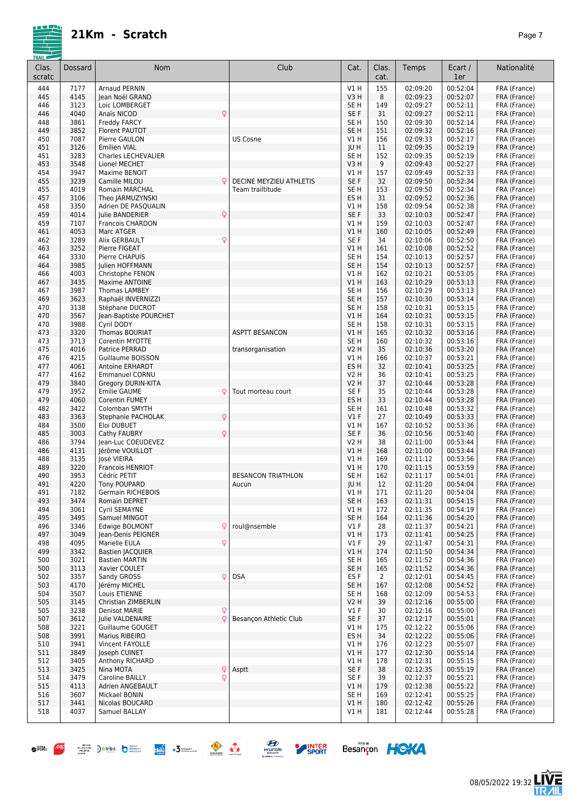|--|--|

| Clas.<br>scratc | <b>Dossard</b> | Nom                                                  | Club                      | Cat.                      | Clas.<br>cat.  | Temps                | Ecart /<br>1er       | Nationalité                  |
|-----------------|----------------|------------------------------------------------------|---------------------------|---------------------------|----------------|----------------------|----------------------|------------------------------|
| 444             | 7177           | <b>Arnaud PERNIN</b>                                 |                           | V1 H                      | 155            | 02:09:20             | 00:52:04             | FRA (France)                 |
| 445             | 4145           | Jean Noël GRAND                                      |                           | V3H                       | 8              | 02:09:23             | 00:52:07             | FRA (France)                 |
| 446             | 3123           | Loic LOMBERGET<br>$\overline{Q}$                     |                           | SE <sub>H</sub>           | 149            | 02:09:27             | 00:52:11             | FRA (France)                 |
| 446<br>448      | 4040<br>3861   | Anaïs NICOD<br><b>Freddy FARCY</b>                   |                           | SE F<br>SE <sub>H</sub>   | 31<br>150      | 02:09:27<br>02:09:30 | 00:52:11<br>00:52:14 | FRA (France)<br>FRA (France) |
| 449             | 3852           | Florent PAUTOT                                       |                           | SE <sub>H</sub>           | 151            | 02:09:32             | 00:52:16             | FRA (France)                 |
| 450             | 7087           | Pierre GAULON                                        | <b>US Cosne</b>           | V1H                       | 156            | 02:09:33             | 00:52:17             | FRA (France)                 |
| 451             | 3126           | <b>Emilien VIAL</b>                                  |                           | JU H                      | 11             | 02:09:35             | 00:52:19             | FRA (France)                 |
| 451             | 3283           | Charles LECHEVALIER                                  |                           | SE <sub>H</sub>           | 152            | 02:09:35             | 00:52:19             | FRA (France)                 |
| 453             | 3548           | Lionel MECHET                                        |                           | V3H                       | 9              | 02:09:43             | 00:52:27             | FRA (France)                 |
| 454<br>455      | 3947<br>3239   | Maxime BENOIT<br>Q<br>Camille MILOU                  | DECINE MEYZIEU ATHLETIS   | V1 H<br>SE F              | 157<br>32      | 02:09:49<br>02:09:50 | 00:52:33<br>00:52:34 | FRA (France)<br>FRA (France) |
| 455             | 4019           | Romain MARCHAL                                       | Team trailtitude          | SE H                      | 153            | 02:09:50             | 00:52:34             | FRA (France)                 |
| 457             | 3106           | Theo JARMUZYNSKI                                     |                           | ES H                      | 31             | 02:09:52             | 00:52:36             | FRA (France)                 |
| 458             | 3350           | Adrien DE PASQUALIN                                  |                           | V1 H                      | 158            | 02:09:54             | 00:52:38             | FRA (France)                 |
| 459             | 4014           | Q<br>Julie BANDERIER                                 |                           | SE F                      | 33             | 02:10:03             | 00:52:47             | FRA (France)                 |
| 459<br>461      | 7107<br>4053   | <b>Francois CHARDON</b><br>Marc ATGER                |                           | V1H<br>V1H                | 159<br>160     | 02:10:03<br>02:10:05 | 00:52:47<br>00:52:49 | FRA (France)<br>FRA (France) |
| 462             | 3289           | $\mathsf{Q}$<br>Alix GERBAULT                        |                           | SE <sub>F</sub>           | 34             | 02:10:06             | 00:52:50             | FRA (France)                 |
| 463             | 3252           | Pierre FIGEAT                                        |                           | V1H                       | 161            | 02:10:08             | 00:52:52             | FRA (France)                 |
| 464             | 3330           | Pierre CHAPUIS                                       |                           | SE <sub>H</sub>           | 154            | 02:10:13             | 00:52:57             | FRA (France)                 |
| 464             | 3985           | Julien HOFFMANN                                      |                           | SE <sub>H</sub>           | 154            | 02:10:13             | 00:52:57             | FRA (France)                 |
| 466             | 4003           | Christophe FENON                                     |                           | V1 H                      | 162            | 02:10:21             | 00:53:05             | FRA (France)                 |
| 467             | 3435<br>3987   | Maxime ANTOINE                                       |                           | V1 H                      | 163            | 02:10:29             | 00:53:13             | FRA (France)<br>FRA (France) |
| 467<br>469      | 3623           | <b>Thomas LAMBEY</b><br>Raphaël INVERNIZZI           |                           | SE H<br>SE H              | 156<br>157     | 02:10:29<br>02:10:30 | 00:53:13<br>00:53:14 | FRA (France)                 |
| 470             | 3138           | Stéphane DUCROT                                      |                           | SE <sub>H</sub>           | 158            | 02:10:31             | 00:53:15             | FRA (France)                 |
| 470             | 3567           | Jean-Baptiste POURCHET                               |                           | V1H                       | 164            | 02:10:31             | 00:53:15             | FRA (France)                 |
| 470             | 3988           | Cyril DODY                                           |                           | SE <sub>H</sub>           | 158            | 02:10:31             | 00:53:15             | FRA (France)                 |
| 473             | 3320           | <b>Thomas BOURIAT</b>                                | <b>ASPTT BESANCON</b>     | V1H                       | 165            | 02:10:32             | 00:53:16             | FRA (France)                 |
| 473             | 3713<br>4016   | Corentin MYOTTE                                      |                           | SE <sub>H</sub>           | 160            | 02:10:32<br>02:10:36 | 00:53:16<br>00:53:20 | FRA (France)                 |
| 475<br>476      | 4215           | Patrice PERRAD<br>Guillaume BOISSON                  | transorganisation         | <b>V2 H</b><br>V1H        | 35<br>166      | 02:10:37             | 00:53:21             | FRA (France)<br>FRA (France) |
| 477             | 4061           | <b>Antoine ERHARDT</b>                               |                           | ES H                      | 32             | 02:10:41             | 00:53:25             | FRA (France)                 |
| 477             | 4162           | <b>Emmanuel CORNU</b>                                |                           | V2 H                      | 36             | 02:10:41             | 00:53:25             | FRA (France)                 |
| 479             | 3840           | Gregory DURIN-KITA                                   |                           | <b>V2 H</b>               | 37             | 02:10:44             | 00:53:28             | FRA (France)                 |
| 479             | 3952           | <b>Emilie GAUME</b><br>Q                             | Tout morteau court        | SE F                      | 35             | 02:10:44             | 00:53:28             | FRA (France)                 |
| 479             | 4060           | <b>Corentin FUMEY</b>                                |                           | ES H                      | 33             | 02:10:44             | 00:53:28             | FRA (France)                 |
| 482<br>483      | 3422<br>3363   | Colomban SMYTH<br>$\mathsf{Q}$<br>Stephanie PACHOLAK |                           | SE <sub>H</sub><br>$VI$ F | 161<br>27      | 02:10:48<br>02:10:49 | 00:53:32<br>00:53:33 | FRA (France)<br>FRA (France) |
| 484             | 3500           | Eloi DUBUET                                          |                           | V1 H                      | 167            | 02:10:52             | 00:53:36             | FRA (France)                 |
| 485             | 3003           | Q<br>Cathy FAUBRY                                    |                           | SE F                      | 36             | 02:10:56             | 00:53:40             | FRA (France)                 |
| 486             | 3794           | Jean-Luc COEUDEVEZ                                   |                           | <b>V2 H</b>               | 38             | 02:11:00             | 00:53:44             | FRA (France)                 |
| 486             | 4131           | Jérôme VOUILLOT                                      |                           | V1H                       | 168            | 02:11:00             | 00:53:44             | FRA (France)                 |
| 488             | 3135           | José VIEIRA                                          |                           | V1 H                      | 169            | 02:11:12             | 00:53:56             | FRA (France)                 |
| 489<br>490      | 3220<br>3953   | Francois HENRIOT<br>Cédric PETIT                     | <b>BESANCON TRIATHLON</b> | V1H<br>SE <sub>H</sub>    | 170<br>162     | 02:11:15<br>02:11:17 | 00:53:59<br>00:54:01 | FRA (France)<br>FRA (France) |
| 491             | 4220           | <b>Tony POUPARD</b>                                  | Aucun                     | JU H                      | 12             | 02:11:20             | 00:54:04             | FRA (France)                 |
| 491             | 7182           | <b>Germain RICHEBOIS</b>                             |                           | V1 H                      | 171            | 02:11:20             | 00:54:04             | FRA (France)                 |
| 493             | 3474           | Romain DEPRET                                        |                           | SE H                      | 163            | 02:11:31             | 00:54:15             | FRA (France)                 |
| 494             | 3061           | Cyril SEMAYNE                                        |                           | V1 H                      | 172            | 02:11:35             | 00:54:19             | FRA (France)                 |
| 495             | 3495           | Samuel MINGOT                                        |                           | SE H                      | 164            | 02:11:36             | 00:54:20             | FRA (France)                 |
| 496<br>497      | 3346<br>3049   | Edwige BOLMONT<br>Q<br>lean-Denis PEIGNER            | roul@nsemble              | $VI$ F<br>V1H             | 28<br>173      | 02:11:37<br>02:11:41 | 00:54:21<br>00:54:25 | FRA (France)<br>FRA (France) |
| 498             | 4095           | Q<br>Marielle EULA                                   |                           | $VI$ F                    | 29             | 02:11:47             | 00:54:31             | FRA (France)                 |
| 499             | 3342           | <b>Bastien JACQUIER</b>                              |                           | V1H                       | 174            | 02:11:50             | 00:54:34             | FRA (France)                 |
| 500             | 3021           | <b>Bastien MARTIN</b>                                |                           | SE <sub>H</sub>           | 165            | 02:11:52             | 00:54:36             | FRA (France)                 |
| 500             | 3113           | Xavier COULET                                        |                           | SE <sub>H</sub>           | 165            | 02:11:52             | 00:54:36             | FRA (France)                 |
| 502             | 3357           | Sandy GROSS<br>Q.                                    | <b>DSA</b>                | ES F                      | $\overline{2}$ | 02:12:01             | 00:54:45             | FRA (France)                 |
| 503             | 4170           | Jérémy MICHEL                                        |                           | SE H                      | 167            | 02:12:08             | 00:54:52             | FRA (France)                 |
| 504<br>505      | 3507<br>3145   | Louis ETIENNE<br>Christian ZIMBERLIN                 |                           | SE H<br>V2 H              | 168<br>39      | 02:12:09<br>02:12:16 | 00:54:53<br>00:55:00 | FRA (France)<br>FRA (France) |
| 505             | 3238           | <b>Denisot MARIE</b>                                 |                           | $VI$ F                    | 30             | 02:12:16             | 00:55:00             | FRA (France)                 |
| 507             | 3612           | $\frac{Q}{Q}$<br>Julie VALDENAIRE                    | Besançon Athletic Club    | SE F                      | 37             | 02:12:17             | 00:55:01             | FRA (France)                 |
| 508             | 3221           | Guillaume GOUGET                                     |                           | VIH                       | 175            | 02:12:22             | 00:55:06             | FRA (France)                 |
| 508             | 3991           | Marius RIBEIRO                                       |                           | ES H                      | 34             | 02:12:22             | 00:55:06             | FRA (France)                 |
| 510             | 3941           | Vincent FAYOLLE                                      |                           | V1 H                      | 176            | 02:12:23             | 00:55:07             | FRA (France)                 |
| 511             | 3849           | Joseph CUINET                                        |                           | V1H                       | 177            | 02:12:30<br>02:12:31 | 00:55:14<br>00:55:15 | FRA (France)                 |
| 512<br>513      | 3405<br>3425   | Anthony RICHARD<br>Q<br>Nina MOTA                    | Asptt                     | V1 H<br>SE F              | 178<br>38      | 02:12:35             | 00:55:19             | FRA (France)<br>FRA (France) |
| 514             | 3479           | Q<br>Caroline BAILLY                                 |                           | SE F                      | 39             | 02:12:37             | 00:55:21             | FRA (France)                 |
| 515             | 4113           | Adrien ANGEBAULT                                     |                           | V1 H                      | 179            | 02:12:38             | 00:55:22             | FRA (France)                 |
| 516             | 3607           | Mickael BONIN                                        |                           | SE H                      | 169            | 02:12:41             | 00:55:25             | FRA (France)                 |
| 517             | 3441           | Nicolas BOUCARD                                      |                           | V1 H                      | 180            | 02:12:42             | 00:55:26             | FRA (France)                 |
| 518             | 4037           | Samuel BALLAY                                        |                           | V1 H                      | 181            | 02:12:44             | 00:55:28             | FRA (France)                 |
|                 |                |                                                      |                           |                           |                |                      |                      |                              |

 $\bullet^{R\%}\begin{array}{l|l|l} \hline \rule{0mm}{2mm} \end{array} \begin{array}{l} \hline \rule{0mm}{2mm} \end{array} \begin{array}{c} \hline \rule{0mm}{2mm} \end{array} \begin{array}{c} \hline \rule{0mm}{2mm} \end{array} \begin{array}{c} \hline \rule{0mm}{2mm} \end{array} \begin{array}{c} \hline \rule{0mm}{2mm} \end{array} \begin{array}{c} \hline \rule{0mm}{2mm} \end{array} \begin{array}{c} \hline \rule{0mm}{2mm} \end{array} \begin{array}{c} \hline \rule{0mm}{2mm$ 



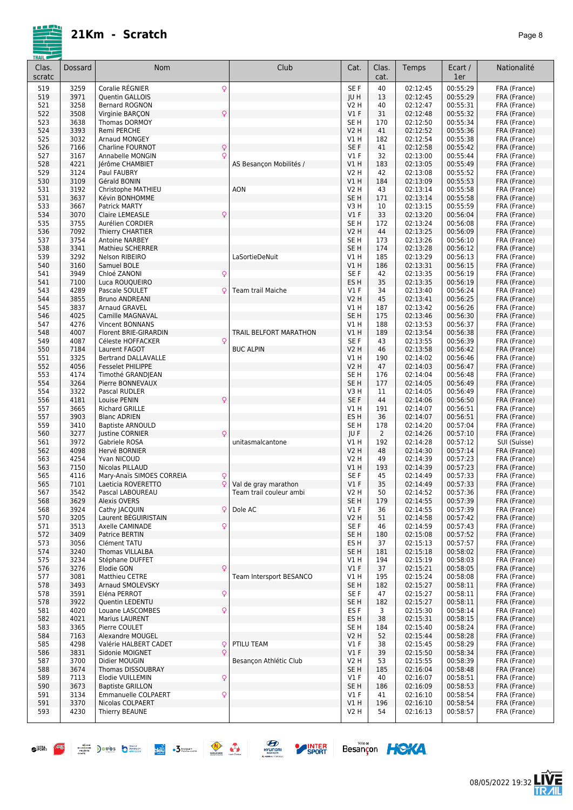|--|--|

| Clas.      | Dossard      | Nom                                           | Club                          | Cat.                           | Clas.     | Temps                | Ecart /              | Nationalité                  |
|------------|--------------|-----------------------------------------------|-------------------------------|--------------------------------|-----------|----------------------|----------------------|------------------------------|
| scratc     |              |                                               |                               |                                | cat.      |                      | 1er                  |                              |
| 519        | 3259         | Q<br>Coralie RÉGNIER                          |                               | SE F                           | 40        | 02:12:45             | 00:55:29             | FRA (France)                 |
| 519        | 3971         | Quentin GALLOIS                               |                               | JU H                           | 13        | 02:12:45             | 00:55:29             | FRA (France)                 |
| 521<br>522 | 3258<br>3508 | Bernard ROGNON<br>Q<br>Virginie BARÇON        |                               | V2 H<br>$VI$ F                 | 40<br>31  | 02:12:47<br>02:12:48 | 00:55:31<br>00:55:32 | FRA (France)<br>FRA (France) |
| 523        | 3638         | <b>Thomas DORMOY</b>                          |                               | SE <sub>H</sub>                | 170       | 02:12:50             | 00:55:34             | FRA (France)                 |
| 524        | 3393         | Remi PERCHE                                   |                               | <b>V2 H</b>                    | 41        | 02:12:52             | 00:55:36             | FRA (France)                 |
| 525        | 3032         | Arnaud MONGEY                                 |                               | V1 H                           | 182       | 02:12:54             | 00:55:38             | FRA (France)                 |
| 526        | 7166         | Q<br>Charline FOURNOT                         |                               | SE F                           | 41        | 02:12:58             | 00:55:42             | FRA (France)                 |
| 527        | 3167         | Q<br>Annabelle MONGIN                         |                               | $VI$ F                         | 32        | 02:13:00             | 00:55:44             | FRA (France)                 |
| 528<br>529 | 4221<br>3124 | lérôme CHAMBIET<br>Paul FAUBRY                | AS Besancon Mobilités /       | VIH<br><b>V2 H</b>             | 183<br>42 | 02:13:05<br>02:13:08 | 00:55:49<br>00:55:52 | FRA (France)<br>FRA (France) |
| 530        | 3109         | Gérald BONIN                                  |                               | VIH                            | 184       | 02:13:09             | 00:55:53             | FRA (France)                 |
| 531        | 3192         | Christophe MATHIEU                            | AON                           | <b>V2 H</b>                    | 43        | 02:13:14             | 00:55:58             | FRA (France)                 |
| 531        | 3637         | Kévin BONHOMME                                |                               | SE <sub>H</sub>                | 171       | 02:13:14             | 00:55:58             | FRA (France)                 |
| 533        | 3667         | <b>Patrick MARTY</b>                          |                               | V3H                            | 10        | 02:13:15             | 00:55:59             | FRA (France)                 |
| 534        | 3070         | Q<br><b>Claire LEMEASLE</b>                   |                               | $VI$ F                         | 33        | 02:13:20             | 00:56:04             | FRA (France)                 |
| 535<br>536 | 3755<br>7092 | Aurélien CORDIER<br><b>Thierry CHARTIER</b>   |                               | SE <sub>H</sub><br><b>V2 H</b> | 172<br>44 | 02:13:24<br>02:13:25 | 00:56:08<br>00:56:09 | FRA (France)<br>FRA (France) |
| 537        | 3754         | <b>Antoine NARBEY</b>                         |                               | SE <sub>H</sub>                | 173       | 02:13:26             | 00:56:10             | FRA (France)                 |
| 538        | 3341         | <b>Mathieu SCHERRER</b>                       |                               | SE <sub>H</sub>                | 174       | 02:13:28             | 00:56:12             | FRA (France)                 |
| 539        | 3292         | <b>Nelson RIBEIRO</b>                         | LaSortieDeNuit                | V1 H                           | 185       | 02:13:29             | 00:56:13             | FRA (France)                 |
| 540        | 3160         | Samuel BOLE                                   |                               | VIH                            | 186       | 02:13:31             | 00:56:15             | FRA (France)                 |
| 541        | 3949         | Chloé ZANONI<br>Q                             |                               | SE F                           | 42        | 02:13:35             | 00:56:19             | FRA (France)                 |
| 541<br>543 | 7100<br>4289 | Luca ROUQUEIRO<br>Pascale SOULET<br>Q         | <b>Team trail Maiche</b>      | ES H<br>$VI$ F                 | 35<br>34  | 02:13:35<br>02:13:40 | 00:56:19<br>00:56:24 | FRA (France)<br>FRA (France) |
| 544        | 3855         | <b>Bruno ANDREANI</b>                         |                               | <b>V2 H</b>                    | 45        | 02:13:41             | 00:56:25             | FRA (France)                 |
| 545        | 3837         | <b>Arnaud GRAVEL</b>                          |                               | V1 H                           | 187       | 02:13:42             | 00:56:26             | FRA (France)                 |
| 546        | 4025         | <b>Camille MAGNAVAL</b>                       |                               | SE <sub>H</sub>                | 175       | 02:13:46             | 00:56:30             | FRA (France)                 |
| 547        | 4276         | Vincent BONNANS                               |                               | V1 H                           | 188       | 02:13:53             | 00:56:37             | FRA (France)                 |
| 548        | 4007         | Florent BRIE-GIRARDIN                         | <b>TRAIL BELFORT MARATHON</b> | V1 H                           | 189       | 02:13:54             | 00:56:38             | FRA (France)                 |
| 549<br>550 | 4087<br>7184 | Céleste HOFFACKER<br>Ç<br>Laurent FAGOT       | <b>BUC ALPIN</b>              | SE F<br><b>V2 H</b>            | 43<br>46  | 02:13:55<br>02:13:58 | 00:56:39<br>00:56:42 | FRA (France)<br>FRA (France) |
| 551        | 3325         | <b>Bertrand DALLAVALLE</b>                    |                               | V1 H                           | 190       | 02:14:02             | 00:56:46             | FRA (France)                 |
| 552        | 4056         | <b>Fesselet PHILIPPE</b>                      |                               | <b>V2 H</b>                    | 47        | 02:14:03             | 00:56:47             | FRA (France)                 |
| 553        | 4174         | Timothé GRANDJEAN                             |                               | SE <sub>H</sub>                | 176       | 02:14:04             | 00:56:48             | FRA (France)                 |
| 554        | 3264         | Pierre BONNEVAUX                              |                               | SE <sub>H</sub>                | 177       | 02:14:05             | 00:56:49             | FRA (France)                 |
| 554        | 3322         | Pascal RUDLER                                 |                               | V3H                            | 11        | 02:14:05             | 00:56:49             | FRA (France)                 |
| 556<br>557 | 4181<br>3665 | Louise PENIN<br>Q<br><b>Richard GRILLE</b>    |                               | SE <sub>F</sub><br>V1 H        | 44<br>191 | 02:14:06<br>02:14:07 | 00:56:50<br>00:56:51 | FRA (France)<br>FRA (France) |
| 557        | 3903         | <b>Blanc ADRIEN</b>                           |                               | ES H                           | 36        | 02:14:07             | 00:56:51             | FRA (France)                 |
| 559        | 3410         | <b>Baptiste ARNOULD</b>                       |                               | SE <sub>H</sub>                | 178       | 02:14:20             | 00:57:04             | FRA (France)                 |
| 560        | 3277         | Q<br><b>lustine CORNIER</b>                   |                               | JU F                           | 2         | 02:14:26             | 00:57:10             | FRA (France)                 |
| 561        | 3972         | Gabriele ROSA                                 | unitasmalcantone              | V1 H                           | 192       | 02:14:28             | 00:57:12             | SUI (Suisse)                 |
| 562        | 4098         | Hervé BORNIER                                 |                               | <b>V2 H</b>                    | 48        | 02:14:30             | 00:57:14             | FRA (France)                 |
| 563<br>563 | 4254<br>7150 | Yvan NICOUD<br>Nicolas PILLAUD                |                               | V2 H<br><b>V1 H</b>            | 49<br>193 | 02:14:39             | 00:57:23<br>00:57:23 | FRA (France)                 |
| 565        | 4116         | Mary-Anaïs SIMOES CORREIA<br>Q                |                               | SE F                           | 45        | 02:14:39<br>02:14:49 | 00:57:33             | FRA (France)<br>FRA (France) |
| 565        | 7101         | Q<br>Laeticia ROVERETTO                       | Val de gray marathon          | V1F                            | 35        | 02:14:49             | 00:57:33             | FRA (France)                 |
| 567        | 3542         | Pascal LABOUREAU                              | Team trail couleur ambi       | V2 H                           | 50        | 02:14:52             | 00:57:36             | FRA (France)                 |
| 568        | 3629         | <b>Alexis OVERS</b>                           |                               | SE <sub>H</sub>                | 179       | 02:14:55             | 00:57:39             | FRA (France)                 |
| 568        | 3924         | Cathy JACQUIN<br>ΩI                           | Dole AC                       | $VI$ F                         | 36        | 02:14:55             | 00:57:39             | FRA (France)                 |
| 570        | 3205         | Laurent BEGUIRISTAIN                          |                               | V2 H                           | 51        | 02:14:58             | 00:57:42             | FRA (France)                 |
| 571<br>572 | 3513<br>3409 | Axelle CAMINADE<br>Q<br><b>Patrice BERTIN</b> |                               | SE F<br>SE H                   | 46<br>180 | 02:14:59<br>02:15:08 | 00:57:43<br>00:57:52 | FRA (France)<br>FRA (France) |
| 573        | 3056         | Clément TATU                                  |                               | ES <sub>H</sub>                | 37        | 02:15:13             | 00:57:57             | FRA (France)                 |
| 574        | 3240         | <b>Thomas VILLALBA</b>                        |                               | SE <sub>H</sub>                | 181       | 02:15:18             | 00:58:02             | FRA (France)                 |
| 575        | 3234         | Stéphane DUFFET                               |                               | V1 H                           | 194       | 02:15:19             | 00:58:03             | FRA (France)                 |
| 576        | 3276         | Elodie GON<br>Q                               |                               | $VI$ F                         | 37        | 02:15:21             | 00:58:05             | FRA (France)                 |
| 577        | 3081         | Matthieu CETRE                                | Team Intersport BESANCO       | V1 H                           | 195       | 02:15:24             | 00:58:08             | FRA (France)                 |
| 578        | 3493         | <b>Arnaud SMOLEVSKY</b>                       |                               | SE <sub>H</sub>                | 182       | 02:15:27             | 00:58:11             | FRA (France)                 |
| 578<br>578 | 3591<br>3922 | Q<br>Eléna PERROT<br>Quentin LEDENTU          |                               | SE F<br>SE <sub>H</sub>        | 47<br>182 | 02:15:27<br>02:15:27 | 00:58:11<br>00:58:11 | FRA (France)<br>FRA (France) |
| 581        | 4020         | Louane LASCOMBES<br>Q                         |                               | ES <sub>F</sub>                | 3         | 02:15:30             | 00:58:14             | FRA (France)                 |
| 582        | 4021         | Marius LAURENT                                |                               | ES H                           | 38        | 02:15:31             | 00:58:15             | FRA (France)                 |
| 583        | 3365         | Pierre COULET                                 |                               | SE <sub>H</sub>                | 184       | 02:15:40             | 00:58:24             | FRA (France)                 |
| 584        | 7163         | Alexandre MOUGEL                              |                               | V2 H                           | 52        | 02:15:44             | 00:58:28             | FRA (France)                 |
| 585        | 4298         | Valérie HALBERT CADET<br>Q                    | PTILU TEAM                    | V1 F                           | 38        | 02:15:45             | 00:58:29             | FRA (France)                 |
| 586        | 3831         | $\circ$<br>Sidonie MOIGNET                    |                               | V1F                            | 39        | 02:15:50             | 00:58:34             | FRA (France)                 |
| 587        | 3700         | Didier MOUGIN                                 | Besancon Athlétic Club        | V2 H                           | 53        | 02:15:55             | 00:58:39<br>00:58:48 | FRA (France)                 |
| 588<br>589 | 3674<br>7113 | Thomas DISSOUBRAY<br>Q<br>Elodie VUILLEMIN    |                               | SE <sub>H</sub><br>$VI$ F      | 185<br>40 | 02:16:04<br>02:16:07 | 00:58:51             | FRA (France)<br>FRA (France) |
| 590        | 3673         | <b>Baptiste GRILLON</b>                       |                               | SE <sub>H</sub>                | 186       | 02:16:09             | 00:58:53             | FRA (France)                 |
| 591        | 3134         | Emmanuelle COLPAERT<br>Q                      |                               | $VI$ F                         | 41        | 02:16:10             | 00:58:54             | FRA (France)                 |
| 591        | 3370         | Nicolas COLPAERT                              |                               | V1H                            | 196       | 02:16:10             | 00:58:54             | FRA (France)                 |
| 593        | 4230         | Thierry BEAUNE                                |                               | V2 H                           | 54        | 02:16:13             | 00:58:57             | FRA (France)                 |
|            |              |                                               |                               |                                |           |                      |                      |                              |







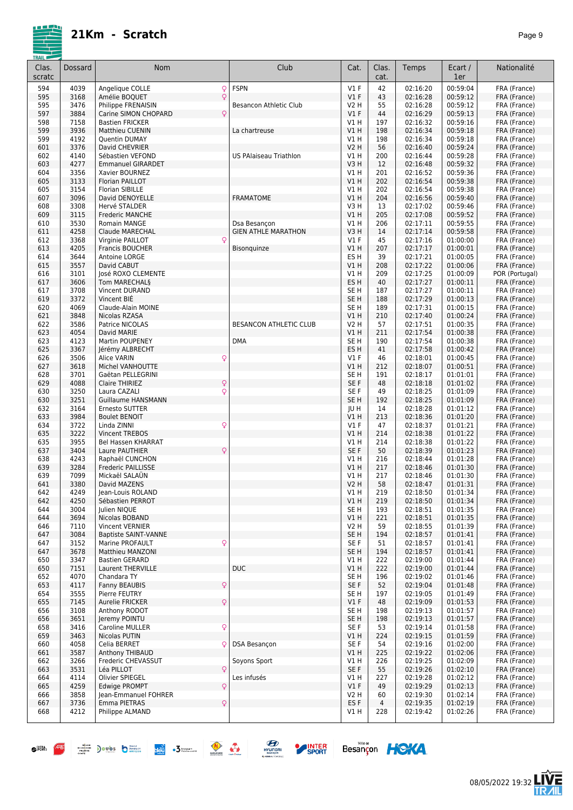

| Clas.      | Dossard      | Nom                                            | Club                          | Cat.                    | Clas.      | Temps                | Ecart /              | Nationalité                  |
|------------|--------------|------------------------------------------------|-------------------------------|-------------------------|------------|----------------------|----------------------|------------------------------|
| scratc     |              |                                                |                               |                         | cat.       |                      | 1er                  |                              |
| 594        | 4039         | Q<br>Angelique COLLE                           | <b>FSPN</b>                   | $VI$ F                  | 42         | 02:16:20             | 00:59:04             | FRA (France)                 |
| 595        | 3168         | Q<br>Amélie BOQUET                             |                               | $VI$ F                  | 43         | 02:16:28             | 00:59:12             | FRA (France)                 |
| 595        | 3476<br>3884 | Philippe FRENAISIN<br>$\mathsf{Q}$             | Besancon Athletic Club        | V2 H<br>V1F             | 55<br>44   | 02:16:28<br>02:16:29 | 00:59:12<br>00:59:13 | FRA (France)                 |
| 597<br>598 | 7158         | Carine SIMON CHOPARD<br><b>Bastien FRICKER</b> |                               | V1H                     | 197        | 02:16:32             | 00:59:16             | FRA (France)<br>FRA (France) |
| 599        | 3936         | <b>Matthieu CUENIN</b>                         | La chartreuse                 | V1H                     | 198        | 02:16:34             | 00:59:18             | FRA (France)                 |
| 599        | 4192         | Quentin DUMAY                                  |                               | V1H                     | 198        | 02:16:34             | 00:59:18             | FRA (France)                 |
| 601        | 3376         | David CHEVRIER                                 |                               | <b>V2 H</b>             | 56         | 02:16:40             | 00:59:24             | FRA (France)                 |
| 602        | 4140         | Sébastien VEFOND                               | <b>US PAlaiseau Triathlon</b> | <b>V1 H</b>             | 200        | 02:16:44             | 00:59:28             | FRA (France)                 |
| 603        | 4277         | <b>Emmanuel GIRARDET</b>                       |                               | V3H                     | 12         | 02:16:48             | 00:59:32             | FRA (France)                 |
| 604        | 3356         | Xavier BOURNEZ                                 |                               | V1H                     | 201        | 02:16:52             | 00:59:36             | FRA (France)                 |
| 605        | 3133         | Florian PAILLOT                                |                               | VIH                     | 202        | 02:16:54             | 00:59:38             | FRA (France)                 |
| 605        | 3154         | <b>Florian SIBILLE</b>                         |                               | V1H                     | 202        | 02:16:54             | 00:59:38             | FRA (France)                 |
| 607<br>608 | 3096<br>3308 | David DENOYELLE<br>Hervé STALDER               | <b>FRAMATOME</b>              | VIH<br>V3H              | 204<br>13  | 02:16:56<br>02:17:02 | 00:59:40<br>00:59:46 | FRA (France)<br>FRA (France) |
| 609        | 3115         | Frederic MANCHE                                |                               | VIH                     | 205        | 02:17:08             | 00:59:52             | FRA (France)                 |
| 610        | 3530         | Romain MANGE                                   | Dsa Besançon                  | V1H                     | 206        | 02:17:11             | 00:59:55             | FRA (France)                 |
| 611        | 4258         | Claude MARECHAL                                | <b>GIEN ATHLE MARATHON</b>    | V3H                     | 14         | 02:17:14             | 00:59:58             | FRA (France)                 |
| 612        | 3368         | Q<br>Virginie PAILLOT                          |                               | $VI$ F                  | 45         | 02:17:16             | 01:00:00             | FRA (France)                 |
| 613        | 4205         | <b>Francis BOUCHER</b>                         | Bisonquinze                   | VIH                     | 207        | 02:17:17             | 01:00:01             | FRA (France)                 |
| 614        | 3644         | Antoine LORGE                                  |                               | ES H                    | 39         | 02:17:21             | 01:00:05             | FRA (France)                 |
| 615        | 3557         | David CABUT                                    |                               | V1H                     | 208        | 02:17:22             | 01:00:06             | FRA (France)                 |
| 616        | 3101         | José ROXO CLEMENTE                             |                               | V1H                     | 209        | 02:17:25             | 01:00:09             | POR (Portugal)               |
| 617        | 3606         | Tom MARECHAL§                                  |                               | ES H                    | 40         | 02:17:27             | 01:00:11             | FRA (France)                 |
| 617<br>619 | 3708<br>3372 | Vincent DURAND<br>Vincent BIÉ                  |                               | SE H<br>SE <sub>H</sub> | 187<br>188 | 02:17:27<br>02:17:29 | 01:00:11<br>01:00:13 | FRA (France)<br>FRA (France) |
| 620        | 4069         | Claude-Alain MOINE                             |                               | SE H                    | 189        | 02:17:31             | 01:00:15             | FRA (France)                 |
| 621        | 3848         | Nicolas RZASA                                  |                               | VIH                     | 210        | 02:17:40             | 01:00:24             | FRA (France)                 |
| 622        | 3586         | Patrice NICOLAS                                | BESANCON ATHLETIC CLUB        | V2 H                    | 57         | 02:17:51             | 01:00:35             | FRA (France)                 |
| 623        | 4054         | David MARIE                                    |                               | V1H                     | 211        | 02:17:54             | 01:00:38             | FRA (France)                 |
| 623        | 4123         | Martin POUPENEY                                | <b>DMA</b>                    | SE <sub>H</sub>         | 190        | 02:17:54             | 01:00:38             | FRA (France)                 |
| 625        | 3367         | Jérémy ALBRECHT                                |                               | ES <sub>H</sub>         | 41         | 02:17:58             | 01:00:42             | FRA (France)                 |
| 626        | 3506         | Q<br>Alice VARIN                               |                               | $VI$ F                  | 46         | 02:18:01             | 01:00:45             | FRA (France)                 |
| 627        | 3618         | Michel VANHOUTTE                               |                               | V1H                     | 212        | 02:18:07             | 01:00:51             | FRA (France)                 |
| 628        | 3701         | Gaëtan PELLEGRINI                              |                               | SE <sub>H</sub>         | 191        | 02:18:17             | 01:01:01             | FRA (France)                 |
| 629        | 4088         | $\mathsf{Q}$<br>Claire THIRIEZ                 |                               | SE F                    | 48         | 02:18:18             | 01:01:02             | FRA (France)                 |
| 630        | 3250         | $\mathsf{Q}$<br>Laura CAZALI                   |                               | SE F                    | 49         | 02:18:25             | 01:01:09             | FRA (France)                 |
| 630        | 3251         | <b>Guillaume HANSMANN</b>                      |                               | SE <sub>H</sub>         | 192        | 02:18:25             | 01:01:09             | FRA (France)                 |
| 632<br>633 | 3164<br>3984 | Ernesto SUTTER<br><b>Boulet BENOIT</b>         |                               | JU H<br>VIH             | 14<br>213  | 02:18:28<br>02:18:36 | 01:01:12<br>01:01:20 | FRA (France)<br>FRA (France) |
| 634        | 3722         | $\mathsf{Q}$<br>Linda ZINNI                    |                               | $VI$ F                  | 47         | 02:18:37             | 01:01:21             | FRA (France)                 |
| 635        | 3222         | Vincent TREBOS                                 |                               | V1H                     | 214        | 02:18:38             | 01:01:22             | FRA (France)                 |
| 635        | 3955         | <b>Bel Hassen KHARRAT</b>                      |                               | V1H                     | 214        | 02:18:38             | 01:01:22             | FRA (France)                 |
| 637        | 3404         | Laure PAUTHIER<br>Q                            |                               | SE F                    | 50         | 02:18:39             | 01:01:23             | FRA (France)                 |
| 638        | 4243         | Raphaël CUNCHON                                |                               | VIH                     | 216        | 02:18:44             | 01:01:28             | FRA (France)                 |
| 639        | 3284         | Frederic PAILLISSE                             |                               | V1H                     | 217        | 02:18:46             | 01:01:30             | FRA (France)                 |
| 639        | 7099         | Mickaël SALAÜN                                 |                               | VIH                     | 217        | 02:18:46             | 01:01:30             | FRA (France)                 |
| 641        | 3380         | David MAZENS                                   |                               | <b>V2 H</b>             | 58         | 02:18:47             | 01:01:31             | FRA (France)                 |
| 642        | 4249         | Jean-Louis ROLAND                              |                               | V1 H                    | 219        | 02:18:50<br>02:18:50 | 01:01:34             | FRA (France)                 |
| 642        | 4250         | Sébastien PERROT                               |                               | V1H<br>SE <sub>H</sub>  | 219        |                      | 01:01:34<br>01:01:35 | FRA (France)                 |
| 644<br>644 | 3004<br>3694 | Julien NIQUE<br>Nicolas BOBAND                 |                               | VIH                     | 193<br>221 | 02:18:51<br>02:18:51 | 01:01:35             | FRA (France)<br>FRA (France) |
| 646        | 7110         | Vincent VERNIER                                |                               | V2 H                    | 59         | 02:18:55             | 01:01:39             | FRA (France)                 |
| 647        | 3084         | <b>Baptiste SAINT-VANNE</b>                    |                               | SE <sub>H</sub>         | 194        | 02:18:57             | 01:01:41             | FRA (France)                 |
| 647        | 3152         | $\mathsf{Q}$<br>Marine PROFAULT                |                               | SE F                    | 51         | 02:18:57             | 01:01:41             | FRA (France)                 |
| 647        | 3678         | Matthieu MANZONI                               |                               | SE <sub>H</sub>         | 194        | 02:18:57             | 01:01:41             | FRA (France)                 |
| 650        | 3347         | <b>Bastien GERARD</b>                          |                               | V1 H                    | 222        | 02:19:00             | 01:01:44             | FRA (France)                 |
| 650        | 7151         | Laurent THERVILLE                              | <b>DUC</b>                    | V1H                     | 222        | 02:19:00             | 01:01:44             | FRA (France)                 |
| 652        | 4070         | Chandara TY                                    |                               | SE <sub>H</sub>         | 196        | 02:19:02             | 01:01:46             | FRA (France)                 |
| 653        | 4117         | $\mathsf{Q}$<br>Fanny BEAUBIS                  |                               | SE F                    | 52         | 02:19:04             | 01:01:48             | FRA (France)                 |
| 654        | 3555         | Pierre FEUTRY                                  |                               | SE H                    | 197        | 02:19:05             | 01:01:49             | FRA (France)                 |
| 655        | 7145         | Q<br>Aurelie FRICKER                           |                               | $VI$ F                  | 48         | 02:19:09             | 01:01:53             | FRA (France)                 |
| 656<br>656 | 3108<br>3651 | Anthony RODOT<br>Jeremy POINTU                 |                               | SE H<br>SE <sub>H</sub> | 198<br>198 | 02:19:13<br>02:19:13 | 01:01:57<br>01:01:57 | FRA (France)<br>FRA (France) |
| 658        | 3416         | $\mathsf{Q}$<br>Caroline MULLER                |                               | SE F                    | 53         | 02:19:14             | 01:01:58             | FRA (France)                 |
| 659        | 3463         | Nicolas PUTIN                                  |                               | V1H                     | 224        | 02:19:15             | 01:01:59             | FRA (France)                 |
| 660        | 4058         | Celia BERRET<br>Q                              | <b>DSA Besancon</b>           | SE F                    | 54         | 02:19:16             | 01:02:00             | FRA (France)                 |
| 661        | 3587         | Anthony THIBAUD                                |                               | VIH                     | 225        | 02:19:22             | 01:02:06             | FRA (France)                 |
| 662        | 3266         | Frederic CHEVASSUT                             | Soyons Sport                  | VIH                     | 226        | 02:19:25             | 01:02:09             | FRA (France)                 |
| 663        | 3531         | Q<br>Léa PILLOT                                |                               | SE F                    | 55         | 02:19:26             | 01:02:10             | FRA (France)                 |
| 664        | 4114         | Olivier SPIEGEL                                | Les infusés                   | VIH                     | 227        | 02:19:28             | 01:02:12             | FRA (France)                 |
| 665        | 4259         | $\mathsf{Q}$<br><b>Edwige PROMPT</b>           |                               | $VI$ F                  | 49         | 02:19:29             | 01:02:13             | FRA (France)                 |
| 666        | 3858         | Jean-Emmanuel FOHRER                           |                               | V2 H                    | 60         | 02:19:30             | 01:02:14             | FRA (France)                 |
| 667        | 3736         | $\mathsf{Q}$<br>Emma PIETRAS                   |                               | ES F                    | 4          | 02:19:35             | 01:02:19             | FRA (France)                 |
| 668        | 4212         | Philippe ALMAND                                |                               | V1 H                    | 228        | 02:19:42             | 01:02:26             | FRA (France)                 |
|            |              |                                                |                               |                         |            |                      |                      |                              |











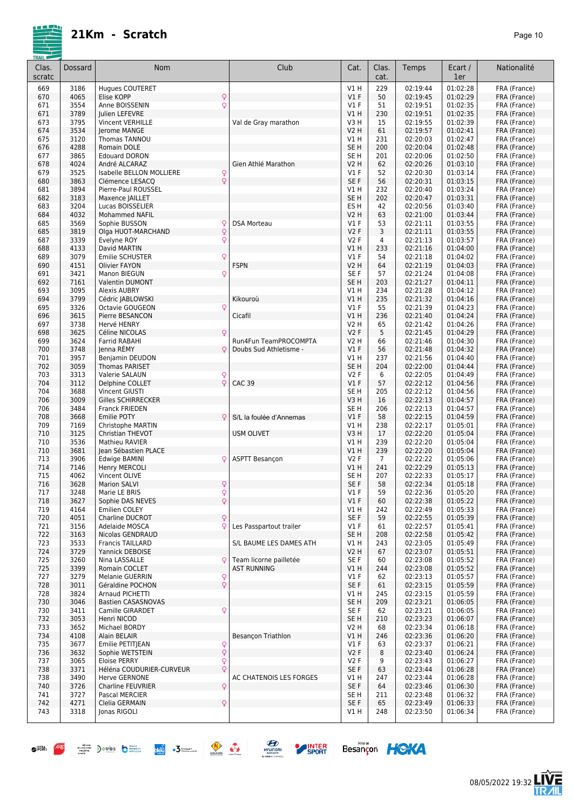| <b>TRAIL</b><br>Clas.<br>scratc | Dossard      | <b>Nom</b>                                      |                    | Club                                         | Cat.                      | Clas.<br>cat.         | Temps                | Ecart /<br>1er       | Nationalité                  |
|---------------------------------|--------------|-------------------------------------------------|--------------------|----------------------------------------------|---------------------------|-----------------------|----------------------|----------------------|------------------------------|
| 669                             | 3186         | <b>Hugues COUTERET</b>                          |                    |                                              | V1H                       | 229                   | 02:19:44             | 01:02:28             | FRA (France)                 |
| 670                             | 4065         | Elise KOPP                                      | Q                  |                                              | $VI$ F                    | 50                    | 02:19:45             | 01:02:29             | FRA (France)                 |
| 671                             | 3554         | Anne BOISSENIN                                  | Q                  |                                              | $VI$ F                    | 51                    | 02:19:51             | 01:02:35             | FRA (France)                 |
| 671                             | 3789         | Julien LEFEVRE                                  |                    |                                              | V1H                       | 230                   | 02:19:51             | 01:02:35             | FRA (France)<br>FRA (France) |
| 673<br>674                      | 3795<br>3534 | <b>Vincent VERHILLE</b><br>Jerome MANGE         |                    | Val de Gray marathon                         | V3H<br><b>V2 H</b>        | 15<br>61              | 02:19:55<br>02:19:57 | 01:02:39<br>01:02:41 | FRA (France)                 |
| 675                             | 3120         | Thomas TANNOU                                   |                    |                                              | V1 H                      | 231                   | 02:20:03             | 01:02:47             | FRA (France)                 |
| 676                             | 4288         | Romain DOLE                                     |                    |                                              | SE <sub>H</sub>           | 200                   | 02:20:04             | 01:02:48             | FRA (France)                 |
| 677                             | 3865         | <b>Edouard DORON</b>                            |                    |                                              | SE H                      | 201                   | 02:20:06             | 01:02:50             | FRA (France)                 |
| 678                             | 4024         | André ALCARAZ                                   |                    | Gien Athlé Marathon                          | V <sub>2</sub> H          | 62                    | 02:20:26             | 01:03:10             | FRA (France)                 |
| 679                             | 3525         | Isabelle BELLON MOLLIERE                        | $\frac{Q}{Q}$      |                                              | $VI$ F                    | 52                    | 02:20:30             | 01:03:14<br>01:03:15 | FRA (France)                 |
| 680<br>681                      | 3863<br>3894 | Clémence LESACQ<br>Pierre-Paul ROUSSEL          |                    |                                              | SE F<br>V1H               | 56<br>232             | 02:20:31<br>02:20:40 | 01:03:24             | FRA (France)<br>FRA (France) |
| 682                             | 3183         | Maxence JAILLET                                 |                    |                                              | SE <sub>H</sub>           | 202                   | 02:20:47             | 01:03:31             | FRA (France)                 |
| 683                             | 3204         | Lucas BOISSELIER                                |                    |                                              | ES <sub>H</sub>           | 42                    | 02:20:56             | 01:03:40             | FRA (France)                 |
| 684                             | 4032         | <b>Mohammed NAFIL</b>                           |                    |                                              | V2 H                      | 63                    | 02:21:00             | 01:03:44             | FRA (France)                 |
| 685                             | 3569         | Sophie BUSSON                                   | ç                  | <b>DSA Morteau</b>                           | $VI$ F                    | 53                    | 02:21:11             | 01:03:55             | FRA (France)                 |
| 685                             | 3819         | Olga HUOT-MARCHAND                              | $\mathsf{Q}$       |                                              | <b>V2F</b>                | 3                     | 02:21:11             | 01:03:55             | FRA (France)                 |
| 687<br>688                      | 3339<br>4133 | Evelyne ROY<br>David MARTIN                     | Q                  |                                              | V2F<br>V1 H               | $\overline{4}$<br>233 | 02:21:13<br>02:21:16 | 01:03:57<br>01:04:00 | FRA (France)<br>FRA (France) |
| 689                             | 3079         | <b>Emilie SCHUSTER</b>                          | Q                  |                                              | $VI$ F                    | 54                    | 02:21:18             | 01:04:02             | FRA (France)                 |
| 690                             | 4151         | <b>Olivier FAYON</b>                            | <b>FSPN</b>        |                                              | <b>V2 H</b>               | 64                    | 02:21:19             | 01:04:03             | FRA (France)                 |
| 691                             | 3421         | Manon BIEGUN                                    | Q                  |                                              | SE F                      | 57                    | 02:21:24             | 01:04:08             | FRA (France)                 |
| 692                             | 7161         | <b>Valentin DUMONT</b>                          |                    |                                              | SE <sub>H</sub>           | 203                   | 02:21:27             | 01:04:11             | FRA (France)                 |
| 693                             | 3095<br>3799 | <b>Alexis AUBRY</b>                             |                    |                                              | V1H                       | 234                   | 02:21:28<br>02:21:32 | 01:04:12<br>01:04:16 | FRA (France)                 |
| 694<br>695                      | 3326         | Cédric JABLOWSKI<br>Octavie GOUGEON             | Kikouroù<br>Q      |                                              | <b>V1 H</b><br>$VI$ F     | 235<br>55             | 02:21:39             | 01:04:23             | FRA (France)<br>FRA (France) |
| 696                             | 3615         | Pierre BESANCON                                 | Cicafil            |                                              | V1H                       | 236                   | 02:21:40             | 01:04:24             | FRA (France)                 |
| 697                             | 3738         | Hervé HENRY                                     |                    |                                              | <b>V2 H</b>               | 65                    | 02:21:42             | 01:04:26             | FRA (France)                 |
| 698                             | 3625         | Céline NICOLAS                                  | Q                  |                                              | <b>V2F</b>                | 5                     | 02:21:45             | 01:04:29             | FRA (France)                 |
| 699                             | 3624         | Farrid RABAHI                                   |                    | Run4Fun TeamPROCOMPTA                        | <b>V2 H</b>               | 66                    | 02:21:46             | 01:04:30             | FRA (France)                 |
| 700                             | 3748         | Jenna REMY                                      | Q                  | Doubs Sud Athletisme -                       | $VI$ F                    | 56                    | 02:21:48             | 01:04:32             | FRA (France)                 |
| 701<br>702                      | 3957<br>3059 | Benjamin DEUDON<br><b>Thomas PARISET</b>        |                    |                                              | V1 H<br>SE <sub>H</sub>   | 237<br>204            | 02:21:56<br>02:22:00 | 01:04:40<br>01:04:44 | FRA (France)<br>FRA (France) |
| 703                             | 3313         | Valerie SALAUN                                  | Q                  |                                              | <b>V2F</b>                | 6                     | 02:22:05             | 01:04:49             | FRA (France)                 |
| 704                             | 3112         | Delphine COLLET                                 | Q<br><b>CAC 39</b> |                                              | V1F                       | 57                    | 02:22:12             | 01:04:56             | FRA (France)                 |
| 704                             | 3688         | <b>Vincent GIUSTI</b>                           |                    |                                              | SE <sub>H</sub>           | 205                   | 02:22:12             | 01:04:56             | FRA (France)                 |
| 706                             | 3009         | Gilles SCHIRRECKER                              |                    |                                              | V3H                       | 16                    | 02:22:13             | 01:04:57             | FRA (France)                 |
| 706<br>708                      | 3484<br>3668 | <b>Franck FRIEDEN</b><br>Emilie POTY            | Q                  | S/L la foulée d'Annemas                      | SE H<br>V1F               | 206<br>58             | 02:22:13<br>02:22:15 | 01:04:57<br>01:04:59 | FRA (France)<br>FRA (France) |
| 709                             | 7169         | Christophe MARTIN                               |                    |                                              | V1H                       | 238                   | 02:22:17             | 01:05:01             | FRA (France)                 |
| 710                             | 3125         | Christian THEVOT                                | <b>USM OLIVET</b>  |                                              | V3H                       | 17                    | 02:22:20             | 01:05:04             | FRA (France)                 |
| 710                             | 3536         | Mathieu RAVIER                                  |                    |                                              | <b>V1 H</b>               | 239                   | 02:22:20             | 01:05:04             | FRA (France)                 |
| 710                             | 3681         | Iean Sébastien PLACE                            |                    |                                              | <b>V1 H</b>               | 239                   | 02:22:20             | 01:05:04<br>01:05:06 | FRA (France)                 |
| 713<br>714                      | 3906<br>7146 | Edwige BAMINI<br>Henry MERCOLI                  | Q                  | <b>ASPTT Besançon</b>                        | <b>V2F</b><br><b>V1 H</b> | $\overline{7}$<br>241 | 02:22:22<br>02:22:29 | 01:05:13             | FRA (France)<br>FRA (France) |
| 715                             | 4062         | Vincent OLIVE                                   |                    |                                              | SE H                      | 207                   | 02:22:33             | 01:05:17             | FRA (France)                 |
| 716                             | 3628         | <b>Marion SALVI</b>                             | Q                  |                                              | SE F                      | 58                    | 02:22:34             | 01:05:18             | FRA (France)                 |
| 717                             | 3248         | Marie LE BRIS                                   | $\frac{Q}{Q}$      |                                              | $VI$ F                    | 59                    | 02:22:36             | 01:05:20             | FRA (France)                 |
| 718                             | 3627         | Sophie DAS NEVES                                |                    |                                              | V1F                       | 60                    | 02:22:38             | 01:05:22             | FRA (France)<br>FRA (France) |
| 719<br>720                      | 4164<br>4051 | <b>Emilien COLEY</b><br>Charline DUCROT         | Q                  |                                              | V1H<br>SE F               | 242<br>59             | 02:22:49<br>02:22:55 | 01:05:33<br>01:05:39 | FRA (France)                 |
| 721                             | 3156         | Adelaide MOSCA                                  | Q                  | Les Passpartout trailer                      | $VI$ F                    | 61                    | 02:22:57             | 01:05:41             | FRA (France)                 |
| 722                             | 3163         | Nicolas GENDRAUD                                |                    |                                              | SE <sub>H</sub>           | 208                   | 02:22:58             | 01:05:42             | FRA (France)                 |
| 723                             | 3533         | Francis TAILLARD                                |                    | S/L BAUME LES DAMES ATH                      | V1 H                      | 243                   | 02:23:05             | 01:05:49             | FRA (France)                 |
| 724                             | 3729         | Yannick DEBOISE                                 |                    |                                              | V2 H                      | 67                    | 02:23:07             | 01:05:51             | FRA (France)                 |
| 725<br>725                      | 3260<br>3399 | Nina LASSALLE<br>Romain COCLET                  | ç                  | Team licorne pailletée<br><b>AST RUNNING</b> | SE F<br>V1 H              | 60<br>244             | 02:23:08<br>02:23:08 | 01:05:52<br>01:05:52 | FRA (France)<br>FRA (France) |
| 727                             | 3279         | Melanie GUERRIN                                 |                    |                                              | $VI$ F                    | 62                    | 02:23:13             | 01:05:57             | FRA (France)                 |
| 728                             | 3011         | Géraldine POCHON                                | $\frac{Q}{Q}$      |                                              | SE F                      | 61                    | 02:23:15             | 01:05:59             | FRA (France)                 |
| 728                             | 3824         | Arnaud PICHETTI                                 |                    |                                              | V1 H                      | 245                   | 02:23:15             | 01:05:59             | FRA (France)                 |
| 730                             | 3046         | <b>Bastien CASASNOVAS</b>                       |                    |                                              | SE <sub>H</sub>           | 209                   | 02:23:21             | 01:06:05             | FRA (France)                 |
| 730<br>732                      | 3411<br>3053 | Camille GIRARDET<br>Henri NICOD                 | Q                  |                                              | SE F<br>SE H              | 62<br>210             | 02:23:21<br>02:23:23 | 01:06:05<br>01:06:07 | FRA (France)<br>FRA (France) |
| 733                             | 3652         | Michael BORDY                                   |                    |                                              | V2 H                      | 68                    | 02:23:34             | 01:06:18             | FRA (France)                 |
| 734                             | 4108         | Alain BELAIR                                    |                    | Besançon Triathlon                           | <b>V1 H</b>               | 246                   | 02:23:36             | 01:06:20             | FRA (France)                 |
| 735                             | 3677         | Emilie PETITJEAN                                | Q<br>Q             |                                              | $VI$ F                    | 63                    | 02:23:37             | 01:06:21             | FRA (France)                 |
| 736                             | 3632         | Sophie WETSTEIN                                 |                    |                                              | V2F                       | 8                     | 02:23:40             | 01:06:24             | FRA (France)                 |
| 737<br>738                      | 3065<br>3371 | <b>Eloise PERRY</b><br>Héléna COUDURIER-CURVEUR | Q<br>Q             |                                              | V2F<br>SE F               | 9<br>63               | 02:23:43<br>02:23:44 | 01:06:27<br>01:06:28 | FRA (France)<br>FRA (France) |
| 738                             | 3490         | Herve GERNONE                                   |                    | AC CHATENOIS LES FORGES                      | V1H                       | 247                   | 02:23:44             | 01:06:28             | FRA (France)                 |
| 740                             | 3726         | Charline FEUVRIER                               | Q                  |                                              | SE F                      | 64                    | 02:23:46             | 01:06:30             | FRA (France)                 |
| 741                             | 3727         | Pascal MERCIER                                  |                    |                                              | SE H                      | 211                   | 02:23:48             | 01:06:32             | FRA (France)                 |
| 742                             | 4271         | Clelia GERMAIN                                  | Q                  |                                              | SE F                      | 65                    | 02:23:49             | 01:06:33             | FRA (France)                 |
| 743                             | 3318         | Jonas RIGOLI                                    |                    |                                              | V1 H                      | 248                   | 02:23:50             | 01:06:34             | FRA (France)                 |
|                                 |              |                                                 |                    |                                              |                           |                       |                      |                      |                              |





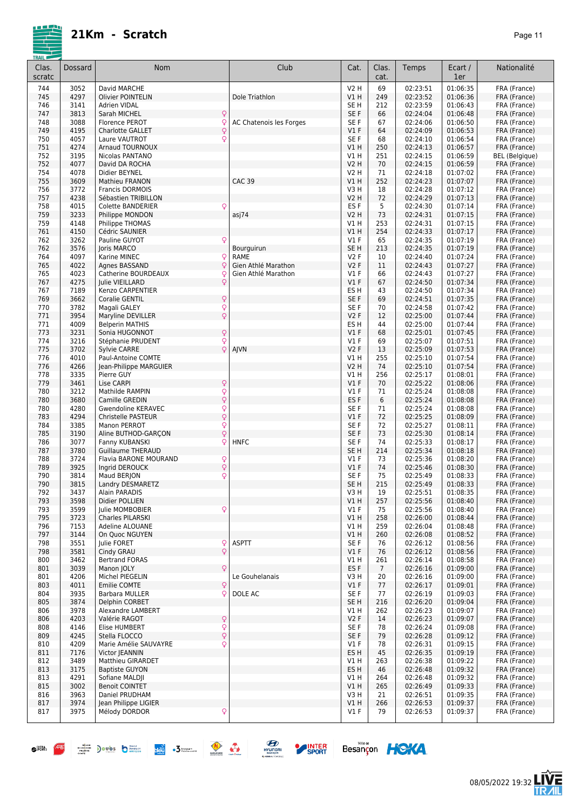| Clas.<br>scratc | Dossard      | Nom                                                 | Club                    | Cat.                               | Clas.<br>cat.  | Temps                | Ecart /<br>1er       | Nationalité                  |
|-----------------|--------------|-----------------------------------------------------|-------------------------|------------------------------------|----------------|----------------------|----------------------|------------------------------|
| 744             | 3052         | David MARCHE                                        |                         | V2 H                               | 69             | 02:23:51             | 01:06:35             | FRA (France)                 |
| 745             | 4297         | <b>Olivier POINTELIN</b>                            | Dole Triathlon          | VIH                                | 249            | 02:23:52             | 01:06:36             | FRA (France)                 |
| 746             | 3141         | Adrien VIDAL                                        |                         | SE <sub>H</sub>                    | 212            | 02:23:59             | 01:06:43             | FRA (France)                 |
| 747             | 3813         | Q<br>Sarah MICHEL                                   |                         | SE F                               | 66             | 02:24:04             | 01:06:48             | FRA (France)                 |
| 748<br>749      | 3088<br>4195 | Florence PEROT<br>Q<br>Q<br><b>Charlotte GALLET</b> | AC Chatenois les Forges | SE F<br>$VI$ F                     | 67<br>64       | 02:24:06<br>02:24:09 | 01:06:50<br>01:06:53 | FRA (France)<br>FRA (France) |
| 750             | 4057         | Q<br>Laure VAUTROT                                  |                         | SE F                               | 68             | 02:24:10             | 01:06:54             | FRA (France)                 |
| 751             | 4274         | <b>Arnaud TOURNOUX</b>                              |                         | V1 H                               | 250            | 02:24:13             | 01:06:57             | FRA (France)                 |
| 752             | 3195         | Nicolas PANTANO                                     |                         | V1 H                               | 251            | 02:24:15             | 01:06:59             | BEL (Belgique)               |
| 752             | 4077         | David DA ROCHA                                      |                         | <b>V2 H</b>                        | 70             | 02:24:15             | 01:06:59             | FRA (France)                 |
| 754             | 4078         | Didier BEYNEL                                       |                         | V2 H                               | 71             | 02:24:18             | 01:07:02             | FRA (France)                 |
| 755             | 3609         | <b>Mathieu FRANON</b>                               | <b>CAC 39</b>           | V1H                                | 252            | 02:24:23             | 01:07:07             | FRA (France)                 |
| 756             | 3772         | Francis DORMOIS                                     |                         | V3H                                | 18             | 02:24:28             | 01:07:12             | FRA (France)                 |
| 757             | 4238         | Sébastien TRIBILLON                                 |                         | <b>V2 H</b>                        | 72             | 02:24:29             | 01:07:13             | FRA (France)                 |
| 758<br>759      | 4015<br>3233 | Q<br><b>Colette BANDERIER</b><br>Philippe MONDON    | asj74                   | ES <sub>F</sub><br><b>V2 H</b>     | 5<br>73        | 02:24:30<br>02:24:31 | 01:07:14<br>01:07:15 | FRA (France)<br>FRA (France) |
| 759             | 4148         | Philippe THOMAS                                     |                         | V1 H                               | 253            | 02:24:31             | 01:07:15             | FRA (France)                 |
| 761             | 4150         | Cédric SAUNIER                                      |                         | V1 H                               | 254            | 02:24:33             | 01:07:17             | FRA (France)                 |
| 762             | 3262         | Pauline GUYOT<br>Q                                  |                         | $VI$ F                             | 65             | 02:24:35             | 01:07:19             | FRA (France)                 |
| 762             | 3576         | Joris MARCO                                         | Bourguirun              | SE <sub>H</sub>                    | 213            | 02:24:35             | 01:07:19             | FRA (France)                 |
| 764             | 4097         | Q<br>Karine MINEC                                   | RAME                    | <b>V2F</b>                         | 10             | 02:24:40             | 01:07:24             | FRA (France)                 |
| 765             | 4022         | Q<br>Agnes BASSAND                                  | Gien Athlé Marathon     | <b>V2F</b>                         | 11             | 02:24:43             | 01:07:27             | FRA (France)                 |
| 765             | 4023         | Catherine BOURDEAUX                                 | Gien Athlé Marathon     | $VI$ F                             | 66             | 02:24:43             | 01:07:27             | FRA (France)                 |
| 767             | 4275         | $\mathsf{Q}$<br><b>Iulie VIEILLARD</b>              |                         | V1F                                | 67             | 02:24:50             | 01:07:34             | FRA (France)                 |
| 767<br>769      | 7189<br>3662 | Kenzo CARPENTIER<br>Coralie GENTIL                  |                         | ES <sub>H</sub><br>SE F            | 43<br>69       | 02:24:50<br>02:24:51 | 01:07:34<br>01:07:35 | FRA (France)<br>FRA (France) |
| 770             | 3782         | Q<br>$\overline{Q}$<br>Magali GALEY                 |                         | SE F                               | 70             | 02:24:58             | 01:07:42             | FRA (France)                 |
| 771             | 3954         | $\overline{Q}$<br>Maryline DEVILLER                 |                         | <b>V2F</b>                         | 12             | 02:25:00             | 01:07:44             | FRA (France)                 |
| 771             | 4009         | <b>Belperin MATHIS</b>                              |                         | ES <sub>H</sub>                    | 44             | 02:25:00             | 01:07:44             | FRA (France)                 |
| 773             | 3231         | Q<br>Sonia HUGONNOT                                 |                         | V1F                                | 68             | 02:25:01             | 01:07:45             | FRA (France)                 |
| 774             | 3216         | Q<br>Stéphanie PRUDENT                              |                         | $VI$ F                             | 69             | 02:25:07             | 01:07:51             | FRA (France)                 |
| 775             | 3702         | Q<br><b>Sylvie CARRE</b>                            | AJVN                    | V2F                                | 13             | 02:25:09             | 01:07:53             | FRA (France)                 |
| 776             | 4010         | Paul-Antoine COMTE                                  |                         | V1 H                               | 255            | 02:25:10             | 01:07:54             | FRA (France)                 |
| 776<br>778      | 4266<br>3335 | Jean-Philippe MARGUIER<br>Pierre GUY                |                         | V2 H<br>V1 H                       | 74<br>256      | 02:25:10<br>02:25:17 | 01:07:54<br>01:08:01 | FRA (France)                 |
| 779             | 3461         | Q<br>Lise CARPI                                     |                         | V1F                                | 70             | 02:25:22             | 01:08:06             | FRA (France)<br>FRA (France) |
| 780             | 3212         | Q<br>Mathilde RAMPIN                                |                         | $VI$ F                             | 71             | 02:25:24             | 01:08:08             | FRA (France)                 |
| 780             | 3680         | $\dot{\varphi}$<br>Camille GREDIN                   |                         | ES <sub>F</sub>                    | 6              | 02:25:24             | 01:08:08             | FRA (France)                 |
| 780             | 4280         | Q<br>Gwendoline KERAVEC                             |                         | SE <sub>F</sub>                    | 71             | 02:25:24             | 01:08:08             | FRA (France)                 |
| 783             | 4294         | Q<br>Christelle PASTEUR                             |                         | V1F                                | 72             | 02:25:25             | 01:08:09             | FRA (France)                 |
| 784             | 3385         | Q<br>Manon PERROT                                   |                         | SE <sub>F</sub>                    | 72             | 02:25:27             | 01:08:11             | FRA (France)                 |
| 785             | 3190         | $\overline{Q}$<br>Aline BUTHOD-GARCON               |                         | SE F                               | 73             | 02:25:30             | 01:08:14             | FRA (France)                 |
| 786<br>787      | 3077<br>3780 | Q<br>Fanny KUBANSKI<br><b>Guillaume THERAUD</b>     | <b>HNFC</b>             | SE <sub>F</sub><br>SE <sub>H</sub> | 74<br>214      | 02:25:33<br>02:25:34 | 01:08:17<br>01:08:18 | FRA (France)<br>FRA (France) |
| 788             | 3724         | Q<br>Flavia BARONE MOURAND                          |                         | $VI$ F                             | 73             | 02:25:36             | 01:08:20             | FRA (France)                 |
| 789             | 3925         | Q<br>Ingrid DEROUCK                                 |                         | $VI$ F                             | 74             | 02:25:46             | 01:08:30             | FRA (France)                 |
| 790             | 3814         | Q<br>Maud BERJON                                    |                         | SE F                               | 75             | 02:25:49             | 01:08:33             | FRA (France)                 |
| 790             | 3815         | Landry DESMARETZ                                    |                         | SE <sub>H</sub>                    | 215            | 02:25:49             | 01:08:33             | FRA (France)                 |
| 792             | 3437         | Alain PARADIS                                       |                         | V3 H                               | 19             | 02:25:51             | 01:08:35             | FRA (France)                 |
| 793             | 3598         | Didier POLLIEN                                      |                         | V1 H                               | 257            | 02:25:56             | 01:08:40             | FRA (France)                 |
| 793             | 3599         | Q<br>Julie MOMBOBIER                                |                         | V1F                                | 75             | 02:25:56             | 01:08:40             | FRA (France)                 |
| 795<br>796      | 3723<br>7153 | Charles PILARSKI<br>Adeline ALOUANE                 |                         | V1 H<br>V1 H                       | 258<br>259     | 02:26:00<br>02:26:04 | 01:08:44<br>01:08:48 | FRA (France)<br>FRA (France) |
| 797             | 3144         | On Quoc NGUYEN                                      |                         | V1 H                               | 260            | 02:26:08             | 01:08:52             | FRA (France)                 |
| 798             | 3551         | Julie FORET<br>Q                                    | <b>ASPTT</b>            | SE F                               | 76             | 02:26:12             | 01:08:56             | FRA (France)                 |
| 798             | 3581         | Q<br>Cindy GRAU                                     |                         | $VI$ F                             | 76             | 02:26:12             | 01:08:56             | FRA (France)                 |
| 800             | 3462         | <b>Bertrand FORAS</b>                               |                         | V1 H                               | 261            | 02:26:14             | 01:08:58             | FRA (France)                 |
| 801             | 3039         | Manon JOLY<br>Q                                     |                         | ES F                               | $\overline{7}$ | 02:26:16             | 01:09:00             | FRA (France)                 |
| 801             | 4206         | Michel PIEGELIN                                     | Le Gouhelanais          | V3 H                               | 20             | 02:26:16             | 01:09:00             | FRA (France)                 |
| 803             | 4011         | <b>Emilie COMTE</b><br>Q                            |                         | V1F                                | 77             | 02:26:17             | 01:09:01             | FRA (France)                 |
| 804<br>805      | 3935<br>3874 | Q<br><b>Barbara MULLER</b><br>Delphin CORBET        | DOLE AC                 | SE <sub>F</sub><br>SE <sub>H</sub> | 77<br>216      | 02:26:19<br>02:26:20 | 01:09:03<br>01:09:04 | FRA (France)<br>FRA (France) |
| 806             | 3978         | Alexandre LAMBERT                                   |                         | V1 H                               | 262            | 02:26:23             | 01:09:07             | FRA (France)                 |
| 806             | 4203         | Q<br>Valérie RAGOT                                  |                         | <b>V2F</b>                         | 14             | 02:26:23             | 01:09:07             | FRA (France)                 |
| 808             | 4146         | Elise HUMBERT                                       |                         | SE F                               | 78             | 02:26:24             | 01:09:08             | FRA (France)                 |
| 809             | 4245         | $\frac{1}{2}$<br>Stella FLOCCO                      |                         | SE F                               | 79             | 02:26:28             | 01:09:12             | FRA (France)                 |
| 810             | 4209         | Q<br>Marie Amélie SAUVAYRE                          |                         | $VI$ F                             | 78             | 02:26:31             | 01:09:15             | FRA (France)                 |
| 811             | 7176         | Victor JEANNIN                                      |                         | ES H                               | 45             | 02:26:35             | 01:09:19             | FRA (France)                 |
| 812             | 3489         | <b>Matthieu GIRARDET</b>                            |                         | V1 H                               | 263            | 02:26:38             | 01:09:22             | FRA (France)                 |
| 813<br>813      | 3175<br>4291 | <b>Baptiste GUYON</b><br>Sofiane MALDII             |                         | ES H                               | 46             | 02:26:48             | 01:09:32<br>01:09:32 | FRA (France)<br>FRA (France) |
| 815             | 3002         | <b>Benoit COINTET</b>                               |                         | V1 H<br>V1 H                       | 264<br>265     | 02:26:48<br>02:26:49 | 01:09:33             | FRA (France)                 |
| 816             | 3963         | Daniel PRUDHAM                                      |                         | V3 H                               | 21             | 02:26:51             | 01:09:35             | FRA (France)                 |
| 817             | 3974         | Jean Philippe LIGIER                                |                         | VIH                                | 266            | 02:26:53             | 01:09:37             | FRA (France)                 |
| 817             | 3975         | Q<br>Mélody DORDOR                                  |                         | $VI$ F                             | 79             | 02:26:53             | 01:09:37             | FRA (France)                 |



 $\bullet^{R\%}\quad \overbrace{\hspace{1.5cm}}^{\bullet\bullet} \quad \bullet^{R\%}\quad \bullet^{R\%}\quad \bullet^{R\%}\quad \bullet^{R\%}\quad \overbrace{\hspace{1.5cm}}^{\bullet\bullet} \quad \overbrace{\hspace{1.5cm}}^{\bullet\bullet} \quad \overbrace{\hspace{1.5cm}}^{\bullet\bullet} \quad \overbrace{\hspace{1.5cm}}^{\bullet\bullet} \quad \overbrace{\hspace{1.5cm}}^{\bullet\bullet} \quad \overbrace{\hspace{1.5cm}}^{\bullet\bullet} \quad \overbrace{\hspace{1.5cm}}^{\bullet\bullet} \quad \overbrace{\hspace{1.5cm}}^{\bullet\bullet} \quad$ 



SPORT



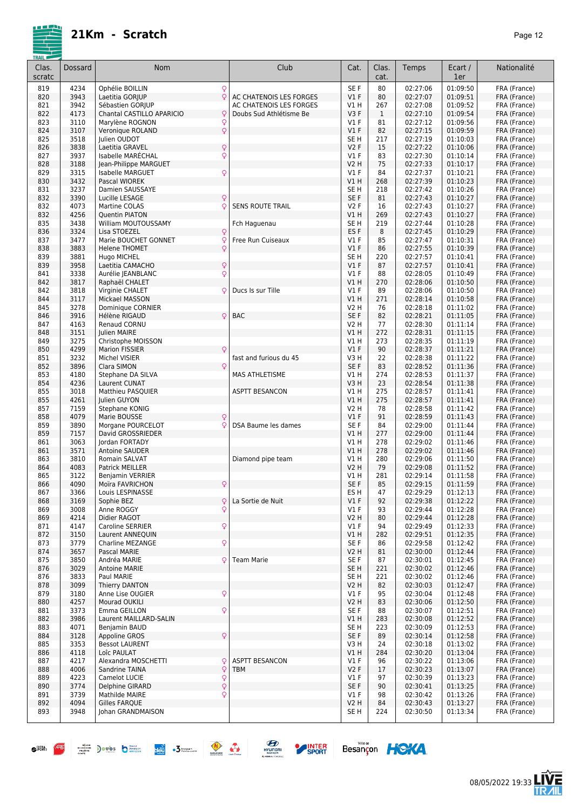08/05/2022 19:33

**LIVE**<br>TR*A*IL

Besançon HOKA

| <b>TRAIL</b><br>Clas. | Dossard      | <b>Nom</b>                              | Club                    | Cat.                   | Clas.        | Temps                | Ecart /              | Nationalité                  |
|-----------------------|--------------|-----------------------------------------|-------------------------|------------------------|--------------|----------------------|----------------------|------------------------------|
| scratc                |              |                                         |                         |                        | cat.         |                      | 1er                  |                              |
| 819                   | 4234         | Q<br>Ophélie BOILLIN                    |                         | SE <sub>F</sub>        | 80           | 02:27:06             | 01:09:50             | FRA (France)                 |
| 820                   | 3943         | Q<br>Laetitia GORJUP                    | AC CHATENOIS LES FORGES | V1F                    | 80           | 02:27:07             | 01:09:51             | FRA (France)                 |
| 821                   | 3942         | Sébastien GORJUP                        | AC CHATENOIS LES FORGES | V1 H                   | 267          | 02:27:08             | 01:09:52             | FRA (France)                 |
| 822                   | 4173         | Chantal CASTILLO APARICIO<br>Ç          | Doubs Sud Athlétisme Be | V3F                    | $\mathbf{1}$ | 02:27:10             | 01:09:54             | FRA (France)                 |
| 823                   | 3110<br>3107 | Marylène ROGNON<br>Q<br>$\overline{Q}$  |                         | $VI$ F<br>V1F          | 81<br>82     | 02:27:12<br>02:27:15 | 01:09:56<br>01:09:59 | FRA (France)<br>FRA (France) |
| 824<br>825            | 3518         | Veronique ROLAND<br>Julien OUDOT        |                         | SE <sub>H</sub>        | 217          | 02:27:19             | 01:10:03             | FRA (France)                 |
| 826                   | 3838         | Laetitia GRAVEL<br>Q                    |                         | <b>V2F</b>             | 15           | 02:27:22             | 01:10:06             | FRA (France)                 |
| 827                   | 3937         | Q<br>Isabelle MARECHAL                  |                         | $VI$ F                 | 83           | 02:27:30             | 01:10:14             | FRA (France)                 |
| 828                   | 3188         | Jean-Philippe MARGUET                   |                         | V2 H                   | 75           | 02:27:33             | 01:10:17             | FRA (France)                 |
| 829                   | 3315         | Q<br>Isabelle MARGUET                   |                         | $VI$ F                 | 84           | 02:27:37             | 01:10:21             | FRA (France)                 |
| 830                   | 3432         | Pascal WIOREK                           |                         | V1 H                   | 268          | 02:27:39             | 01:10:23             | FRA (France)                 |
| 831                   | 3237         | Damien SAUSSAYE                         |                         | SE <sub>H</sub>        | 218          | 02:27:42             | 01:10:26             | FRA (France)                 |
| 832                   | 3390         | Lucille LESAGE<br>Q                     |                         | SE <sub>F</sub>        | 81           | 02:27:43             | 01:10:27             | FRA (France)                 |
| 832<br>832            | 4073<br>4256 | Martine COLAS<br>Q<br>Quentin PIATON    | <b>SENS ROUTE TRAIL</b> | <b>V2F</b><br>V1 H     | 16<br>269    | 02:27:43<br>02:27:43 | 01:10:27<br>01:10:27 | FRA (France)<br>FRA (France) |
| 835                   | 3438         | William MOUTOUSSAMY                     | Fch Haguenau            | SE H                   | 219          | 02:27:44             | 01:10:28             | FRA (France)                 |
| 836                   | 3324         | Lisa STOEZEL<br>Q                       |                         | ES <sub>F</sub>        | 8            | 02:27:45             | 01:10:29             | FRA (France)                 |
| 837                   | 3477         | Q<br>Marie BOUCHET GONNET               | Free Run Cuiseaux       | $VI$ F                 | 85           | 02:27:47             | 01:10:31             | FRA (France)                 |
| 838                   | 3883         | <b>Helene THOMET</b><br>Q               |                         | $VI$ F                 | 86           | 02:27:55             | 01:10:39             | FRA (France)                 |
| 839                   | 3881         | Hugo MICHEL                             |                         | SE H                   | 220          | 02:27:57             | 01:10:41             | FRA (France)                 |
| 839                   | 3958         | Q<br>Laetitia CAMACHO                   |                         | $VI$ F                 | 87           | 02:27:57             | 01:10:41             | FRA (France)                 |
| 841                   | 3338         | Q<br>Aurélie JEANBLANC                  |                         | $VI$ F                 | 88           | 02:28:05             | 01:10:49             | FRA (France)                 |
| 842<br>842            | 3817<br>3818 | Raphaël CHALET<br>Virginie CHALET<br>Ç  | Ducs Is sur Tille       | <b>V1 H</b><br>$VI$ F  | 270<br>89    | 02:28:06<br>02:28:06 | 01:10:50<br>01:10:50 | FRA (France)<br>FRA (France) |
| 844                   | 3117         | Mickael MASSON                          |                         | V1H                    | 271          | 02:28:14             | 01:10:58             | FRA (France)                 |
| 845                   | 3278         | Dominique CORNIER                       |                         | <b>V2 H</b>            | 76           | 02:28:18             | 01:11:02             | FRA (France)                 |
| 846                   | 3916         | Hélène RIGAUD<br>Q                      | <b>BAC</b>              | SE <sub>F</sub>        | 82           | 02:28:21             | 01:11:05             | FRA (France)                 |
| 847                   | 4163         | Renaud CORNU                            |                         | V <sub>2</sub> H       | 77           | 02:28:30             | 01:11:14             | FRA (France)                 |
| 848                   | 3151         | Julien MAIRE                            |                         | V1H                    | 272          | 02:28:31             | 01:11:15             | FRA (France)                 |
| 849                   | 3275         | Christophe MOISSON                      |                         | V1 H                   | 273          | 02:28:35             | 01:11:19             | FRA (France)                 |
| 850                   | 4299         | <b>Marion FISSIER</b><br>Q              |                         | $VI$ F                 | 90           | 02:28:37             | 01:11:21             | FRA (France)                 |
| 851<br>852            | 3232<br>3896 | Michel VISIER<br>Clara SIMON<br>Q       | fast and furious du 45  | V3H<br>SE <sub>F</sub> | 22<br>83     | 02:28:38<br>02:28:52 | 01:11:22<br>01:11:36 | FRA (France)<br>FRA (France) |
| 853                   | 4180         | Stephane DA SILVA                       | MAS ATHLETISME          | V1 H                   | 274          | 02:28:53             | 01:11:37             | FRA (France)                 |
| 854                   | 4236         | Laurent CUNAT                           |                         | V3H                    | 23           | 02:28:54             | 01:11:38             | FRA (France)                 |
| 855                   | 3018         | Matthieu PASQUIER                       | <b>ASPTT BESANCON</b>   | V1 H                   | 275          | 02:28:57             | 01:11:41             | FRA (France)                 |
| 855                   | 4261         | Julien GUYON                            |                         | V1H                    | 275          | 02:28:57             | 01:11:41             | FRA (France)                 |
| 857                   | 7159         | Stephane KONIG                          |                         | <b>V2 H</b>            | 78           | 02:28:58             | 01:11:42             | FRA (France)                 |
| 858                   | 4079         | Marie BOUSSE<br>Q                       |                         | $VI$ F                 | 91           | 02:28:59             | 01:11:43             | FRA (France)                 |
| 859                   | 3890<br>7157 | Morgane POURCELOT<br>David GROSSRIEDER  | DSA Baume les dames     | SE <sub>F</sub><br>V1H | 84<br>277    | 02:29:00<br>02:29:00 | 01:11:44<br>01:11:44 | FRA (France)                 |
| 859<br>861            | 3063         | Jordan FORTADY                          |                         | V1 H                   | 278          | 02:29:02             | 01:11:46             | FRA (France)<br>FRA (France) |
| 861                   | 3571         | Antoine SAUDER                          |                         | <b>V1 H</b>            | 278          | 02:29:02             | 01:11:46             | FRA (France)                 |
| 863                   | 3810         | Romain SALVAT                           | Diamond pipe team       | VIH                    | 280          | 02:29:06             | 01:11:50             | FRA (France)                 |
| 864                   | 4083         | Patrick MEILLER                         |                         | <b>V2 H</b>            | 79           | 02:29:08             | 01:11:52             | FRA (France)                 |
| 865                   | 3122         | Benjamin VERRIER                        |                         | V1 H                   | 281          | 02:29:14             | 01:11:58             | FRA (France)                 |
| 866                   | 4090         | Q<br>Moïra FAVRICHON                    |                         | SE <sub>F</sub>        | 85           | 02:29:15             | 01:11:59             | FRA (France)                 |
| 867                   | 3366         | Louis LESPINASSE                        | La Sortie de Nuit       | ES H                   | 47           | 02:29:29             | 01:12:13             | FRA (France)                 |
| 868<br>869            | 3169<br>3008 | Sophie BEZ<br>Q<br>Q<br>Anne ROGGY      |                         | V1F<br>$VI$ F          | 92<br>93     | 02:29:38<br>02:29:44 | 01:12:22<br>01:12:28 | FRA (France)<br>FRA (France) |
| 869                   | 4214         | Didier RAGOT                            |                         | <b>V2 H</b>            | 80           | 02:29:44             | 01:12:28             | FRA (France)                 |
| 871                   | 4147         | Q<br>Caroline SERRIER                   |                         | $VI$ F                 | 94           | 02:29:49             | 01:12:33             | FRA (France)                 |
| 872                   | 3150         | Laurent ANNEQUIN                        |                         | V1 H                   | 282          | 02:29:51             | 01:12:35             | FRA (France)                 |
| 873                   | 3779         | Q<br>Charline MEZANGE                   |                         | SE F                   | 86           | 02:29:58             | 01:12:42             | FRA (France)                 |
| 874                   | 3657         | Pascal MARIE                            |                         | V2 H                   | 81           | 02:30:00             | 01:12:44             | FRA (France)                 |
| 875                   | 3850         | Andréa MARIE<br>ç                       | <b>Team Marie</b>       | SE F                   | 87           | 02:30:01             | 01:12:45             | FRA (France)                 |
| 876                   | 3029<br>3833 | <b>Antoine MARIE</b>                    |                         | SE H                   | 221<br>221   | 02:30:02<br>02:30:02 | 01:12:46<br>01:12:46 | FRA (France)                 |
| 876<br>878            | 3099         | Paul MARIE<br>Thierry DANTON            |                         | SE H<br>V2 H           | 82           | 02:30:03             | 01:12:47             | FRA (France)<br>FRA (France) |
| 879                   | 3180         | Q<br>Anne Lise OUGIER                   |                         | $VI$ F                 | 95           | 02:30:04             | 01:12:48             | FRA (France)                 |
| 880                   | 4257         | Mourad OUKILI                           |                         | V2 H                   | 83           | 02:30:06             | 01:12:50             | FRA (France)                 |
| 881                   | 3373         | Emma GEILLON<br>Q                       |                         | SE F                   | 88           | 02:30:07             | 01:12:51             | FRA (France)                 |
| 882                   | 3986         | Laurent MAILLARD-SALIN                  |                         | V1 H                   | 283          | 02:30:08             | 01:12:52             | FRA (France)                 |
| 883                   | 4071         | Benjamin BAUD                           |                         | SE H                   | 223          | 02:30:09             | 01:12:53             | FRA (France)                 |
| 884                   | 3128         | Q<br>Appoline GROS                      |                         | SE F                   | 89           | 02:30:14             | 01:12:58             | FRA (France)                 |
| 885                   | 3353         | <b>Bessot LAURENT</b>                   |                         | V3H                    | 24           | 02:30:18             | 01:13:02             | FRA (France)                 |
| 886<br>887            | 4118<br>4217 | Loîc PAULAT<br>Alexandra MOSCHETTI<br>Q | <b>ASPTT BESANCON</b>   | <b>V1 H</b><br>$VI$ F  | 284<br>96    | 02:30:20<br>02:30:22 | 01:13:04<br>01:13:06 | FRA (France)<br>FRA (France) |
| 888                   | 4006         | Q<br>Sandrine TAINA                     | <b>TBM</b>              | V2F                    | 17           | 02:30:23             | 01:13:07             | FRA (France)                 |
| 889                   | 4223         | $\mathsf{Q}$<br>Camelot LUCIE           |                         | $VI$ F                 | 97           | 02:30:39             | 01:13:23             | FRA (France)                 |
| 890                   | 3774         | Q<br>Delphine GIRARD                    |                         | SE F                   | 90           | 02:30:41             | 01:13:25             | FRA (France)                 |
| 891                   | 3739         | Q<br>Mathilde MAIRE                     |                         | $VI$ F                 | 98           | 02:30:42             | 01:13:26             | FRA (France)                 |
| 892                   | 4094         | Gilles FARQUE                           |                         | <b>V2 H</b>            | 84           | 02:30:43             | 01:13:27             | FRA (France)                 |
| 893                   | 3948         | Johan GRANDMAISON                       |                         | SE H                   | 224          | 02:30:50             | 01:13:34             | FRA (France)                 |
|                       |              |                                         |                         |                        |              |                      |                      |                              |

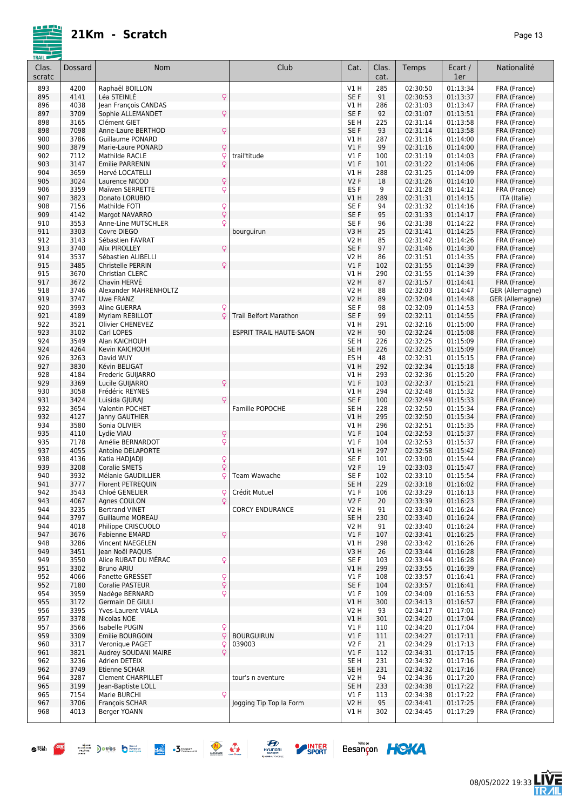

| Clas.<br>scratc | Dossard      | <b>Nom</b>                                              | Club                           | Cat.                | Clas.<br>cat. | Temps                | Ecart /<br>1er       | Nationalité                  |
|-----------------|--------------|---------------------------------------------------------|--------------------------------|---------------------|---------------|----------------------|----------------------|------------------------------|
| 893             | 4200         | Raphaël BOILLON                                         |                                | V1H                 | 285           | 02:30:50             | 01:13:34             | FRA (France)                 |
| 895             | 4141         | Q<br>Léa STEINLÉ                                        |                                | SE F                | 91            | 02:30:53             | 01:13:37             | FRA (France)                 |
| 896             | 4038         | Jean François CANDAS                                    |                                | V1 H                | 286           | 02:31:03             | 01:13:47             | FRA (France)                 |
| 897             | 3709         | Q<br>Sophie ALLEMANDET                                  |                                | SE F                | 92            | 02:31:07             | 01:13:51             | FRA (France)                 |
| 898             | 3165         | Clément GIET                                            |                                | SE <sub>H</sub>     | 225           | 02:31:14             | 01:13:58             | FRA (France)                 |
| 898             | 7098         | $\mathsf{Q}$<br>Anne-Laure BERTHOD                      |                                | SE F                | 93            | 02:31:14             | 01:13:58             | FRA (France)                 |
| 900<br>900      | 3786<br>3879 | <b>Guillaume PONARD</b><br>Marie-Laure PONARD           |                                | V1 H<br>$VI$ F      | 287<br>99     | 02:31:16<br>02:31:16 | 01:14:00<br>01:14:00 | FRA (France)                 |
| 902             | 7112         | $\mathsf{Q}$<br>$\mathsf{Q}$<br>Mathilde RACLE          | trail'titude                   | V1F                 | 100           | 02:31:19             | 01:14:03             | FRA (France)<br>FRA (France) |
| 903             | 3147         | $\mathsf{Q}$<br><b>Emilie PARRENIN</b>                  |                                | $VI$ F              | 101           | 02:31:22             | 01:14:06             | FRA (France)                 |
| 904             | 3659         | Hervé LOCATELLI                                         |                                | V1 H                | 288           | 02:31:25             | 01:14:09             | FRA (France)                 |
| 905             | 3024         | $\overline{Q}$<br>Laurence NICOD                        |                                | V <sub>2</sub> F    | 18            | 02:31:26             | 01:14:10             | FRA (France)                 |
| 906             | 3359         | Q<br>Maïwen SERRETTE                                    |                                | ES <sub>F</sub>     | 9             | 02:31:28             | 01:14:12             | FRA (France)                 |
| 907             | 3823         | Donato LORUBIO                                          |                                | V1H                 | 289           | 02:31:31             | 01:14:15             | ITA (Italie)                 |
| 908             | 7156         | Q<br>Mathilde FOTI                                      |                                | SE <sub>F</sub>     | 94            | 02:31:32             | 01:14:16             | FRA (France)                 |
| 909             | 4142         | $\dot{\varphi}$<br>Margot NAVARRO                       |                                | SE F                | 95            | 02:31:33             | 01:14:17             | FRA (France)                 |
| 910             | 3553         | Q<br>Anne-Line MUTSCHLER                                |                                | SE F                | 96            | 02:31:38             | 01:14:22             | FRA (France)                 |
| 911<br>912      | 3303<br>3143 | Covre DIEGO<br>Sébastien FAVRAT                         | bourguirun                     | V3H<br>V2 H         | 25<br>85      | 02:31:41<br>02:31:42 | 01:14:25<br>01:14:26 | FRA (France)<br>FRA (France) |
| 913             | 3740         | $\mathsf{Q}$<br>Alix PIROLLEY                           |                                | SE F                | 97            | 02:31:46             | 01:14:30             | FRA (France)                 |
| 914             | 3537         | Sébastien ALIBELLI                                      |                                | V2 H                | 86            | 02:31:51             | 01:14:35             | FRA (France)                 |
| 915             | 3485         | Q<br>Christelle PERRIN                                  |                                | V1F                 | 102           | 02:31:55             | 01:14:39             | FRA (France)                 |
| 915             | 3670         | Christian CLERC                                         |                                | V1 H                | 290           | 02:31:55             | 01:14:39             | FRA (France)                 |
| 917             | 3672         | Chavin HERVE                                            |                                | V2 H                | 87            | 02:31:57             | 01:14:41             | FRA (France)                 |
| 918             | 3746         | Alexander MAHRENHOLTZ                                   |                                | V2 H                | 88            | 02:32:03             | 01:14:47             | GER (Allemagne)              |
| 919             | 3747         | <b>Uwe FRANZ</b>                                        |                                | V2 H                | 89            | 02:32:04             | 01:14:48             | GER (Allemagne)              |
| 920             | 3993         | Aline GUERRA<br>Q                                       |                                | SE <sub>F</sub>     | 98            | 02:32:09             | 01:14:53             | FRA (France)                 |
| 921             | 4189         | Q<br>Myriam REBILLOT                                    | <b>Trail Belfort Marathon</b>  | SE F                | 99            | 02:32:11             | 01:14:55             | FRA (France)                 |
| 922<br>923      | 3521<br>3102 | Olivier CHENEVEZ<br>Carl LOPES                          | <b>ESPRIT TRAIL HAUTE-SAON</b> | V1 H<br><b>V2 H</b> | 291<br>90     | 02:32:16<br>02:32:24 | 01:15:00<br>01:15:08 | FRA (France)                 |
| 924             | 3549         | Alan KAICHOUH                                           |                                | SE <sub>H</sub>     | 226           | 02:32:25             | 01:15:09             | FRA (France)<br>FRA (France) |
| 924             | 4264         | Kevin KAICHOUH                                          |                                | SE <sub>H</sub>     | 226           | 02:32:25             | 01:15:09             | FRA (France)                 |
| 926             | 3263         | David WUY                                               |                                | ES <sub>H</sub>     | 48            | 02:32:31             | 01:15:15             | FRA (France)                 |
| 927             | 3830         | Kévin BELIGAT                                           |                                | VIH                 | 292           | 02:32:34             | 01:15:18             | FRA (France)                 |
| 928             | 4184         | Frederic GUIJARRO                                       |                                | V1 H                | 293           | 02:32:36             | 01:15:20             | FRA (France)                 |
| 929             | 3369         | Q<br>Lucile GUIJARRO                                    |                                | $VI$ F              | 103           | 02:32:37             | 01:15:21             | FRA (France)                 |
| 930             | 3058         | Frédéric REYNES                                         |                                | V1 H                | 294           | 02:32:48             | 01:15:32             | FRA (France)                 |
| 931             | 3424         | Q<br>Luisida GJURAJ                                     |                                | SE F                | 100           | 02:32:49             | 01:15:33             | FRA (France)                 |
| 932             | 3654         | Valentin POCHET                                         | Famille POPOCHE                | SE <sub>H</sub>     | 228           | 02:32:50             | 01:15:34             | FRA (France)                 |
| 932<br>934      | 4127<br>3580 | Janny GAUTHIER<br>Sonia OLIVIER                         |                                | V1H<br>V1 H         | 295<br>296    | 02:32:50<br>02:32:51 | 01:15:34<br>01:15:35 | FRA (France)<br>FRA (France) |
| 935             | 4110         | Q<br>Lydie VIAU                                         |                                | $VI$ F              | 104           | 02:32:53             | 01:15:37             | FRA (France)                 |
| 935             | 7178         | $\overline{Q}$<br>Amélie BERNARDOT                      |                                | V1F                 | 104           | 02:32:53             | 01:15:37             | FRA (France)                 |
| 937             | 4055         | Antoine DELAPORTE                                       |                                | VIH                 | 297           | 02:32:58             | 01:15:42             | FRA (France)                 |
| 938             | 4136         | Q<br>Katia HADJADJI                                     |                                | SE <sub>F</sub>     | 101           | 02:33:00             | 01:15:44             | FRA (France)                 |
| 939             | 3208         | $\overline{Q}$<br><b>Coralie SMETS</b>                  |                                | <b>V2F</b>          | 19            | 02:33:03             | 01:15:47             | FRA (France)                 |
| 940             | 3932         | Ç<br>Mélanie GAUDILLIER                                 | Team Wawache                   | SE F                | 102           | 02:33:10             | 01:15:54             | FRA (France)                 |
| 941             | 3777         | Florent PETREQUIN                                       |                                | SE <sub>H</sub>     | 229           | 02:33:18             | 01:16:02             | FRA (France)                 |
| 942<br>943      | 3543<br>4067 | Chloé GENELIER<br>ç<br>Q<br>Agnes COULON                | Crédit Mutuel                  | V1 F<br>V2F         | 106<br>20     | 02:33:29<br>02:33:39 | 01:16:13<br>01:16:23 | FRA (France)<br>FRA (France) |
| 944             | 3235         | <b>Bertrand VINET</b>                                   | <b>CORCY ENDURANCE</b>         | V2 H                | 91            | 02:33:40             | 01:16:24             | FRA (France)                 |
| 944             | 3797         | <b>Guillaume MOREAU</b>                                 |                                | SE <sub>H</sub>     | 230           | 02:33:40             | 01:16:24             | FRA (France)                 |
| 944             | 4018         | Philippe CRISCUOLO                                      |                                | V2 H                | 91            | 02:33:40             | 01:16:24             | FRA (France)                 |
| 947             | 3676         | Q<br><b>Fabienne EMARD</b>                              |                                | $VI$ F              | 107           | 02:33:41             | 01:16:25             | FRA (France)                 |
| 948             | 3286         | Vincent NAEGELEN                                        |                                | V1 H                | 298           | 02:33:42             | 01:16:26             | FRA (France)                 |
| 949             | 3451         | Jean Noël PAQUIS                                        |                                | V3 H                | 26            | 02:33:44             | 01:16:28             | FRA (France)                 |
| 949             | 3550         | Q<br>Alice RUBAT DU MÉRAC                               |                                | SE F                | 103           | 02:33:44             | 01:16:28             | FRA (France)                 |
| 951             | 3302         | <b>Bruno ARIU</b>                                       |                                | V1 H                | 299           | 02:33:55             | 01:16:39             | FRA (France)                 |
| 952<br>952      | 4066<br>7180 | $\mathsf{Q}$<br>Fanette GRESSET<br>Q<br>Coralie PASTEUR |                                | $VI$ F<br>SE F      | 108<br>104    | 02:33:57<br>02:33:57 | 01:16:41<br>01:16:41 | FRA (France)<br>FRA (France) |
| 954             | 3959         | $\overline{Q}$<br>Nadège BERNARD                        |                                | $VI$ F              | 109           | 02:34:09             | 01:16:53             | FRA (France)                 |
| 955             | 3172         | Germain DE GIULI                                        |                                | V1 H                | 300           | 02:34:13             | 01:16:57             | FRA (France)                 |
| 956             | 3395         | Yves-Laurent VIALA                                      |                                | V2 H                | 93            | 02:34:17             | 01:17:01             | FRA (France)                 |
| 957             | 3378         | Nicolas NOE                                             |                                | V1H                 | 301           | 02:34:20             | 01:17:04             | FRA (France)                 |
| 957             | 3566         | Q<br>Isabelle PUGIN                                     |                                | $VI$ F              | 110           | 02:34:20             | 01:17:04             | FRA (France)                 |
| 959             | 3309         | Q<br>Emilie BOURGOIN                                    | <b>BOURGUIRUN</b>              | V1F                 | 111           | 02:34:27             | 01:17:11             | FRA (France)                 |
| 960             | 3317         | Q<br>Veronique PAGET                                    | 039003                         | <b>V2F</b>          | 21            | 02:34:29             | 01:17:13             | FRA (France)                 |
| 961             | 3821         | $\overline{Q}$<br>Audrey SOUDANI MAIRE                  |                                | $VI$ F              | 112           | 02:34:31             | 01:17:15             | FRA (France)                 |
| 962<br>962      | 3236         | Adrien DETEIX<br>Etienne SCHAR                          |                                | SE H                | 231<br>231    | 02:34:32             | 01:17:16<br>01:17:16 | FRA (France)                 |
| 964             | 3749<br>3287 | <b>Clement CHARPILLET</b>                               | tour's n aventure              | SE H<br>V2 H        | 94            | 02:34:32<br>02:34:36 | 01:17:20             | FRA (France)<br>FRA (France) |
| 965             | 3199         | Jean-Baptiste LOLL                                      |                                | SE <sub>H</sub>     | 233           | 02:34:38             | 01:17:22             | FRA (France)                 |
| 965             | 7154         | Q<br>Marie BURCHI                                       |                                | $VI$ F              | 113           | 02:34:38             | 01:17:22             | FRA (France)                 |
| 967             | 3706         | François SCHAR                                          | Jogging Tip Top la Form        | <b>V2 H</b>         | 95            | 02:34:41             | 01:17:25             | FRA (France)                 |
| 968             | 4013         | Berger YOANN                                            |                                | V1 H                | 302           | 02:34:45             | 01:17:29             | FRA (France)                 |









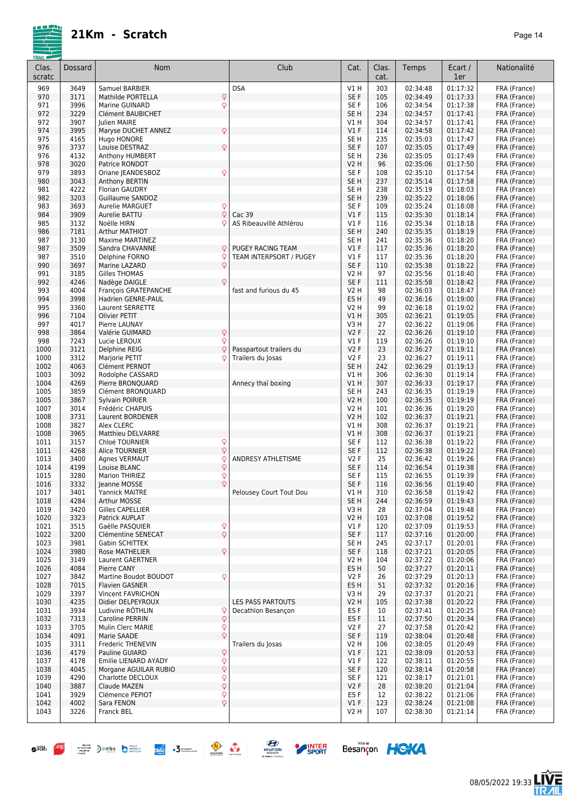

| Clas.<br>scratc | Dossard      | Nom                                       | Club                     | Cat.                               | Clas.<br>cat. | Temps                | Ecart /<br>1er       | Nationalité                  |
|-----------------|--------------|-------------------------------------------|--------------------------|------------------------------------|---------------|----------------------|----------------------|------------------------------|
| 969             | 3649         | Samuel BARBIER                            | <b>DSA</b>               | V1 H                               | 303           | 02:34:48             | 01:17:32             | FRA (France)                 |
| 970             | 3171         | Mathilde PORTELLA<br>$\mathsf{Q}$         |                          | SE F                               | 105           | 02:34:49             | 01:17:33             | FRA (France)                 |
| 971             | 3996         | Q<br>Marine GUINARD                       |                          | SE <sub>F</sub>                    | 106           | 02:34:54             | 01:17:38             | FRA (France)                 |
| 972             | 3229         | Clément BAUBICHET                         |                          | SE <sub>H</sub>                    | 234           | 02:34:57             | 01:17:41             | FRA (France)                 |
| 972<br>974      | 3907<br>3995 | Julien MAIRE<br>Q<br>Maryse DUCHET ANNEZ  |                          | V1 H<br>V1F                        | 304<br>114    | 02:34:57<br>02:34:58 | 01:17:41<br>01:17:42 | FRA (France)<br>FRA (France) |
| 975             | 4165         | Hugo HONORE                               |                          | SE <sub>H</sub>                    | 235           | 02:35:03             | 01:17:47             | FRA (France)                 |
| 976             | 3737         | Q<br>Louise DESTRAZ                       |                          | SE F                               | 107           | 02:35:05             | 01:17:49             | FRA (France)                 |
| 976             | 4132         | Anthony HUMBERT                           |                          | SE <sub>H</sub>                    | 236           | 02:35:05             | 01:17:49             | FRA (France)                 |
| 978             | 3020         | Patrice RONDOT                            |                          | V2 H                               | 96            | 02:35:06             | 01:17:50             | FRA (France)                 |
| 979             | 3893         | Oriane JEANDESBOZ<br>Q                    |                          | SE <sub>F</sub>                    | 108           | 02:35:10             | 01:17:54             | FRA (France)                 |
| 980             | 3043         | Anthony BERTIN                            |                          | SE <sub>H</sub>                    | 237           | 02:35:14             | 01:17:58             | FRA (France)                 |
| 981             | 4222         | <b>Florian GAUDRY</b>                     |                          | SE <sub>H</sub>                    | 238           | 02:35:19             | 01:18:03             | FRA (France)                 |
| 982<br>983      | 3203<br>3693 | Guillaume SANDOZ<br>Aurelie MARGUET       |                          | SE <sub>H</sub><br>SE <sub>F</sub> | 239<br>109    | 02:35:22<br>02:35:24 | 01:18:06<br>01:18:08 | FRA (France)<br>FRA (France) |
| 984             | 3909         | Q<br>Q<br>Aurelie BATTU                   | Cac 39                   | V1F                                | 115           | 02:35:30             | 01:18:14             | FRA (France)                 |
| 985             | 3132         | Noëlle HIRN                               | AS Ribeauvillé Athlérou  | V1F                                | 116           | 02:35:34             | 01:18:18             | FRA (France)                 |
| 986             | 7181         | Arthur MATHIOT                            |                          | SE <sub>H</sub>                    | 240           | 02:35:35             | 01:18:19             | FRA (France)                 |
| 987             | 3130         | <b>Maxime MARTINEZ</b>                    |                          | SE <sub>H</sub>                    | 241           | 02:35:36             | 01:18:20             | FRA (France)                 |
| 987             | 3509         | Sandra CHAVANNE<br>Q                      | <b>PUGEY RACING TEAM</b> | V1F                                | 117           | 02:35:36             | 01:18:20             | FRA (France)                 |
| 987             | 3510         | Delphine FORNO<br>Q                       | TEAM INTERPSORT / PUGEY  | $VI$ F                             | 117           | 02:35:36             | 01:18:20             | FRA (France)                 |
| 990             | 3697         | Q<br>Marine LAZARD                        |                          | SE F                               | 110           | 02:35:38             | 01:18:22             | FRA (France)                 |
| 991<br>992      | 3185<br>4246 | Gilles THOMAS<br>Nadège DAIGLE<br>Q       |                          | V2 H<br>SE <sub>F</sub>            | 97<br>111     | 02:35:56<br>02:35:58 | 01:18:40<br>01:18:42 | FRA (France)<br>FRA (France) |
| 993             | 4004         | François GRATEPANCHE                      | fast and furious du 45   | V2 H                               | 98            | 02:36:03             | 01:18:47             | FRA (France)                 |
| 994             | 3998         | Hadrien GENRE-PAUL                        |                          | ES <sub>H</sub>                    | 49            | 02:36:16             | 01:19:00             | FRA (France)                 |
| 995             | 3360         | <b>Laurent SERRETTE</b>                   |                          | V2 H                               | 99            | 02:36:18             | 01:19:02             | FRA (France)                 |
| 996             | 7104         | Olivier PETIT                             |                          | V1H                                | 305           | 02:36:21             | 01:19:05             | FRA (France)                 |
| 997             | 4017         | Pierre LAUNAY                             |                          | V3 H                               | 27            | 02:36:22             | 01:19:06             | FRA (France)                 |
| 998             | 3864         | Q<br>Valérie GUIMARD                      |                          | V <sub>2</sub> F                   | 22            | 02:36:26             | 01:19:10             | FRA (France)                 |
| 998             | 7243         | Lucie LEROUX<br>Q                         |                          | V1F                                | 119           | 02:36:26             | 01:19:10             | FRA (France)                 |
| 1000<br>1000    | 3121<br>3312 | Delphine REIG<br>Q<br>Marjorie PETIT<br>Ç | Passpartout trailers du  | <b>V2F</b><br><b>V2F</b>           | 23<br>23      | 02:36:27<br>02:36:27 | 01:19:11<br>01:19:11 | FRA (France)                 |
| 1002            | 4063         | Clément PERNOT                            | Trailers du Josas        | SE <sub>H</sub>                    | 242           | 02:36:29             | 01:19:13             | FRA (France)<br>FRA (France) |
| 1003            | 3092         | Rodolphe CASSARD                          |                          | V1H                                | 306           | 02:36:30             | 01:19:14             | FRA (France)                 |
| 1004            | 4269         | Pierre BRONQUARD                          | Annecy thaï boxing       | VIH                                | 307           | 02:36:33             | 01:19:17             | FRA (France)                 |
| 1005            | 3859         | Clément BRONQUARD                         |                          | SE <sub>H</sub>                    | 243           | 02:36:35             | 01:19:19             | FRA (France)                 |
| 1005            | 3867         | Sylvain POIRIER                           |                          | <b>V2 H</b>                        | 100           | 02:36:35             | 01:19:19             | FRA (France)                 |
| 1007            | 3014         | Frédéric CHAPUIS                          |                          | V2 H                               | 101           | 02:36:36             | 01:19:20             | FRA (France)                 |
| 1008            | 3731<br>3827 | Laurent BORDENER                          |                          | <b>V2 H</b><br>V1 H                | 102           | 02:36:37<br>02:36:37 | 01:19:21<br>01:19:21 | FRA (France)                 |
| 1008<br>1008    | 3965         | Alex CLERC<br>Matthieu DELVARRE           |                          | VIH                                | 308<br>308    | 02:36:37             | 01:19:21             | FRA (France)<br>FRA (France) |
| 1011            | 3157         | Q<br>Chloé TOURNIER                       |                          | SE <sub>F</sub>                    | 112           | 02:36:38             | 01:19:22             | FRA (France)                 |
| 1011            | 4268         | $\dot{\overline{Q}}$<br>Alice TOURNIER    |                          | SE <sub>F</sub>                    | 112           | 02:36:38             | 01:19:22             | FRA (France)                 |
| 1013            | 3400         | Agnes VERMAUT<br>ç                        | ANDRESY ATHLETISME       | <b>V2F</b>                         | 25            | 02:36:42             | 01:19:26             | FRA (France)                 |
| 1014            | 4199         | Q<br>Louise BLANC                         |                          | SE <sub>F</sub>                    | 114           | 02:36:54             | 01:19:38             | FRA (France)                 |
| 1015            | 3280         | Q<br><b>Marion THIRIEZ</b>                |                          | SE <sub>F</sub>                    | 115           | 02:36:55             | 01:19:39             | FRA (France)                 |
| 1016            | 3332         | Q<br>Jeanne MOSSE                         |                          | SE F                               | 116           | 02:36:56             | 01:19:40             | FRA (France)                 |
| 1017<br>1018    | 3401<br>4284 | Yannick MAITRE<br>Arthur MOSSE            | Pelousey Court Tout Dou  | V1 H<br>SE <sub>H</sub>            | 310<br>244    | 02:36:58<br>02:36:59 | 01:19:42<br>01:19:43 | FRA (France)<br>FRA (France) |
| 1019            | 3420         | <b>Gilles CAPELLIER</b>                   |                          | V3 H                               | 28            | 02:37:04             | 01:19:48             | FRA (France)                 |
| 1020            | 3323         | Patrick AUPLAT                            |                          | V2 H                               | 103           | 02:37:08             | 01:19:52             | FRA (France)                 |
| 1021            | 3515         | Gaëlle PASQUIER                           |                          | $VI$ F                             | 120           | 02:37:09             | 01:19:53             | FRA (France)                 |
| 1022            | 3200         | $\frac{Q}{Q}$<br>Clémentine SENECAT       |                          | SE F                               | 117           | 02:37:16             | 01:20:00             | FRA (France)                 |
| 1023            | 3981         | Gabin SCHITTEK                            |                          | SE H                               | 245           | 02:37:17             | 01:20:01             | FRA (France)                 |
| 1024            | 3980         | Q<br>Rose MATHELIER                       |                          | SE F                               | 118           | 02:37:21             | 01:20:05             | FRA (France)                 |
| 1025<br>1026    | 3149<br>4084 | Laurent GAERTNER<br>Pierre CANY           |                          | V2 H<br>ES H                       | 104<br>50     | 02:37:22<br>02:37:27 | 01:20:06<br>01:20:11 | FRA (France)<br>FRA (France) |
| 1027            | 3842         | Q<br>Martine Boudot BOUDOT                |                          | V2F                                | 26            | 02:37:29             | 01:20:13             | FRA (France)                 |
| 1028            | 7015         | <b>Flavien GASNER</b>                     |                          | ES H                               | 51            | 02:37:32             | 01:20:16             | FRA (France)                 |
| 1029            | 3397         | Vincent FAVRICHON                         |                          | V3 H                               | 29            | 02:37:37             | 01:20:21             | FRA (France)                 |
| 1030            | 4235         | Didier DELPEYROUX                         | <b>LES PASS PARTOUTS</b> | V2 H                               | 105           | 02:37:38             | 01:20:22             | FRA (France)                 |
| 1031            | 3934         | Ludivine RÖTHLIN<br>Q                     | Decathlon Besançon       | ES <sub>F</sub>                    | 10            | 02:37:41             | 01:20:25             | FRA (France)                 |
| 1032            | 7313         | $\frac{1}{2}$<br>Caroline PERRIN          |                          | ES <sub>F</sub>                    | 11            | 02:37:50             | 01:20:34             | FRA (France)                 |
| 1033            | 3705         | Mulin Clerc MARIE                         |                          | <b>V2F</b>                         | 27            | 02:37:58             | 01:20:42             | FRA (France)                 |
| 1034<br>1035    | 4091<br>3311 | Q<br>Marie SAADE<br>Frederic THENEVIN     | Trailers du Josas        | SE F<br>V2 H                       | 119<br>106    | 02:38:04<br>02:38:05 | 01:20:48<br>01:20:49 | FRA (France)<br>FRA (France) |
| 1036            | 4179         | Q<br>Pauline GUIARD                       |                          | V1F                                | 121           | 02:38:09             | 01:20:53             | FRA (France)                 |
| 1037            | 4178         | Emilie LIENARD AYADY                      |                          | $VI$ F                             | 122           | 02:38:11             | 01:20:55             | FRA (France)                 |
| 1038            | 4045         | Q<br>Q<br>Morgane AGUILAR RUBIO           |                          | SE F                               | 120           | 02:38:14             | 01:20:58             | FRA (France)                 |
| 1039            | 4290         | $\frac{1}{2}$<br>Charlotte DECLOUX        |                          | SE F                               | 121           | 02:38:17             | 01:21:01             | FRA (France)                 |
| 1040            | 3887         | Claude MAZEN                              |                          | V2F                                | 28            | 02:38:20             | 01:21:04             | FRA (France)                 |
| 1041            | 3929         | $\frac{Q}{Q}$<br>Clémence PEPIOT          |                          | ES <sub>F</sub>                    | 12            | 02:38:22             | 01:21:06             | FRA (France)                 |
| 1042<br>1043    | 4002<br>3226 | Sara FENON<br>Franck BEL                  |                          | V1F<br>V2 H                        | 123<br>107    | 02:38:24<br>02:38:30 | 01:21:08<br>01:21:14 | FRA (France)<br>FRA (France) |
|                 |              |                                           |                          |                                    |               |                      |                      |                              |
|                 |              |                                           |                          |                                    |               |                      |                      |                              |





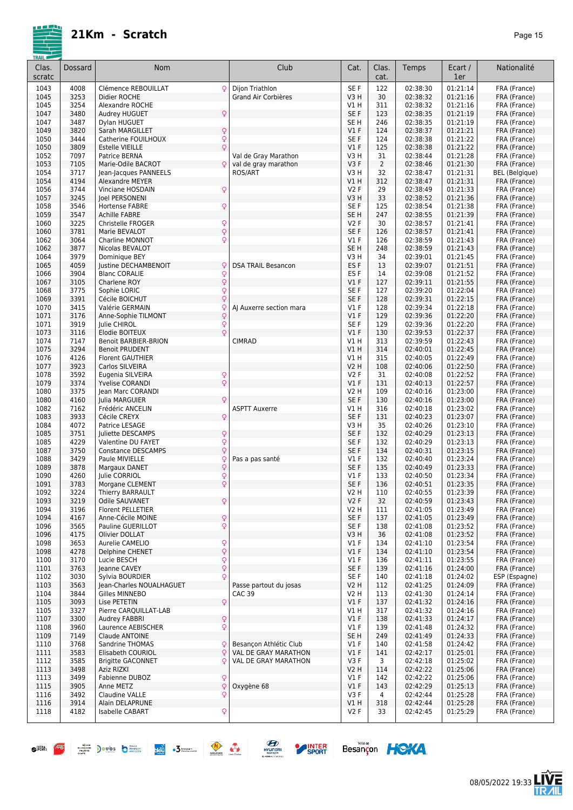

| <u>I KAIL I</u><br>Clas.<br>scratc | Dossard      | Nom                                                                             | Club                      | Cat.                    | Clas.<br>cat.  | Temps                | Ecart /<br>1er       | Nationalité                  |
|------------------------------------|--------------|---------------------------------------------------------------------------------|---------------------------|-------------------------|----------------|----------------------|----------------------|------------------------------|
| 1043                               | 4008         | Q<br>Clémence REBOUILLAT                                                        | Dijon Triathlon           | SE F                    | 122            | 02:38:30             | 01:21:14             | FRA (France)                 |
| 1045                               | 3253         | Didier ROCHE                                                                    | Grand Air Corbières       | V3H                     | 30             | 02:38:32             | 01:21:16             | FRA (France)                 |
| 1045                               | 3254         | Alexandre ROCHE                                                                 |                           | V1 H                    | 311            | 02:38:32             | 01:21:16             | FRA (France)                 |
| 1047                               | 3480         | Q<br>Audrey HUGUET                                                              |                           | SE F                    | 123            | 02:38:35             | 01:21:19             | FRA (France)                 |
| 1047                               | 3487         | Dylan HUGUET                                                                    |                           | SE H                    | 246            | 02:38:35             | 01:21:19             | FRA (France)                 |
| 1049                               | 3820         | $\hbox{\large\textsf{Q}}$<br>Sarah MARGILLET                                    |                           | $VI$ F                  | 124            | 02:38:37             | 01:21:21             | FRA (France)                 |
| 1050<br>1050                       | 3444<br>3809 | $\mathsf{Q}$<br>Catherine FOUILHOUX<br>$\overline{Q}$<br><b>Estelle VIEILLE</b> |                           | SE <sub>F</sub><br>V1F  | 124<br>125     | 02:38:38<br>02:38:38 | 01:21:22<br>01:21:22 | FRA (France)<br>FRA (France) |
| 1052                               | 7097         | Patrice BERNA                                                                   | Val de Gray Marathon      | V3 H                    | 31             | 02:38:44             | 01:21:28             | FRA (France)                 |
| 1053                               | 7105         | Marie-Odile BACROT<br>Q.                                                        | val de gray marathon      | V <sub>3</sub> F        | $\overline{2}$ | 02:38:46             | 01:21:30             | FRA (France)                 |
| 1054                               | 3717         | Jean-Jacques PANNEELS                                                           | ROS/ART                   | V3 H                    | 32             | 02:38:47             | 01:21:31             | <b>BEL</b> (Belgique)        |
| 1054                               | 4194         | Alexandre MEYER                                                                 |                           | V1H                     | 312            | 02:38:47             | 01:21:31             | FRA (France)                 |
| 1056                               | 3744         | Vinciane HOSDAIN<br>Q                                                           |                           | V2F                     | 29             | 02:38:49             | 01:21:33             | FRA (France)                 |
| 1057                               | 3245         | Joel PERSONENI                                                                  |                           | V3H                     | 33             | 02:38:52             | 01:21:36             | FRA (France)                 |
| 1058                               | 3546         | Hortense FABRE<br>ç                                                             |                           | SE <sub>F</sub>         | 125            | 02:38:54             | 01:21:38             | FRA (France)                 |
| 1059                               | 3547         | <b>Achille FABRE</b>                                                            |                           | SE <sub>H</sub>         | 247            | 02:38:55             | 01:21:39             | FRA (France)                 |
| 1060                               | 3225<br>3781 | $\frac{Q}{Q}$<br>Christelle FROGER                                              |                           | V2F<br>SE F             | 30<br>126      | 02:38:57             | 01:21:41             | FRA (France)                 |
| 1060<br>1062                       | 3064         | Marie BEVALOT<br>Q<br><b>Charline MONNOT</b>                                    |                           | V1F                     | 126            | 02:38:57<br>02:38:59 | 01:21:41<br>01:21:43 | FRA (France)<br>FRA (France) |
| 1062                               | 3877         | Nicolas BEVALOT                                                                 |                           | SE <sub>H</sub>         | 248            | 02:38:59             | 01:21:43             | FRA (France)                 |
| 1064                               | 3979         | Dominique BEY                                                                   |                           | V3 H                    | 34             | 02:39:01             | 01:21:45             | FRA (France)                 |
| 1065                               | 4059         | Q<br>Justine DECHAMBENOIT                                                       | <b>DSA TRAIL Besancon</b> | ES <sub>F</sub>         | 13             | 02:39:07             | 01:21:51             | FRA (France)                 |
| 1066                               | 3904         | $\mathsf{Q}$<br><b>Blanc CORALIE</b>                                            |                           | ES <sub>F</sub>         | 14             | 02:39:08             | 01:21:52             | FRA (France)                 |
| 1067                               | 3105         | Q<br>Charlene ROY                                                               |                           | V1F                     | 127            | 02:39:11             | 01:21:55             | FRA (France)                 |
| 1068                               | 3775         | Q<br>Sophie LORIC                                                               |                           | SE F                    | 127            | 02:39:20             | 01:22:04             | FRA (France)                 |
| 1069                               | 3391         | Q<br>Cécile BOICHUT                                                             |                           | SE F                    | 128            | 02:39:31             | 01:22:15             | FRA (France)                 |
| 1070                               | 3415         | Valérie GERMAIN<br>Q                                                            | AJ Auxerre section mara   | <b>V1 F</b>             | 128            | 02:39:34             | 01:22:18             | FRA (France)                 |
| 1071                               | 3176         | $\mathsf{Q}$<br>Anne-Sophie TILMONT                                             |                           | $VI$ F                  | 129            | 02:39:36             | 01:22:20             | FRA (France)                 |
| 1071                               | 3919         | $\frac{Q}{Q}$<br>Julie CHIROL                                                   |                           | SE <sub>F</sub>         | 129            | 02:39:36             | 01:22:20             | FRA (France)                 |
| 1073<br>1074                       | 3116<br>7147 | Elodie BOITEUX<br><b>Benoit BARBIER-BRION</b>                                   | <b>CIMRAD</b>             | V1F<br>V1 H             | 130<br>313     | 02:39:53<br>02:39:59 | 01:22:37<br>01:22:43 | FRA (France)                 |
| 1075                               | 3294         | <b>Benoit PRUDENT</b>                                                           |                           | V1H                     | 314            | 02:40:01             | 01:22:45             | FRA (France)<br>FRA (France) |
| 1076                               | 4126         | <b>Florent GAUTHIER</b>                                                         |                           | V1 H                    | 315            | 02:40:05             | 01:22:49             | FRA (France)                 |
| 1077                               | 3923         | Carlos SILVEIRA                                                                 |                           | <b>V2 H</b>             | 108            | 02:40:06             | 01:22:50             | FRA (France)                 |
| 1078                               | 3592         | Eugenia SILVEIRA<br>Q                                                           |                           | <b>V2F</b>              | 31             | 02:40:08             | 01:22:52             | FRA (France)                 |
| 1079                               | 3374         | $\overline{Q}$<br><b>Yvelise CORANDI</b>                                        |                           | V1F                     | 131            | 02:40:13             | 01:22:57             | FRA (France)                 |
| 1080                               | 3375         | Jean Marc CORANDI                                                               |                           | V2 H                    | 109            | 02:40:16             | 01:23:00             | FRA (France)                 |
| 1080                               | 4160         | Q<br>Julia MARGUIER                                                             |                           | SE F                    | 130            | 02:40:16             | 01:23:00             | FRA (France)                 |
| 1082                               | 7162         | Frédéric ANCELIN                                                                | <b>ASPTT Auxerre</b>      | V1H                     | 316            | 02:40:18             | 01:23:02             | FRA (France)                 |
| 1083                               | 3933         | Q<br>Cécile CREYX                                                               |                           | SE F                    | 131            | 02:40:23             | 01:23:07             | FRA (France)                 |
| 1084                               | 4072         | Patrice LESAGE                                                                  |                           | V3 H                    | 35             | 02:40:26             | 01:23:10             | FRA (France)                 |
| 1085<br>1085                       | 3751<br>4229 | Q<br>Juliette DESCAMPS<br>Q<br>Valentine DU FAYET                               |                           | SE F<br>SE <sub>F</sub> | 132<br>132     | 02:40:29<br>02:40:29 | 01:23:13<br>01:23:13 | FRA (France)<br>FRA (France) |
| 1087                               | 3750         | $\dot{\varphi}$<br><b>Constance DESCAMPS</b>                                    |                           | SE F                    | 134            | 02:40:31             | 01:23:15             | FRA (France)                 |
| 1088                               | 3429         | Paule MIVIELLE<br>Ç                                                             | Pas a pas santé           | V1F                     | 132            | 02:40:40             | 01:23:24             | FRA (France)                 |
| 1089                               | 3878         | Q<br>Margaux DANET                                                              |                           | SE F                    | 135            | 02:40:49             | 01:23:33             | FRA (France)                 |
| 1090                               | 4260         | Q<br>Julie CORRIOL                                                              |                           | V1F                     | 133            | 02:40:50             | 01:23:34             | FRA (France)                 |
| 1091                               | 3783         | Q<br>Morgane CLEMENT                                                            |                           | SE F                    | 136            | 02:40:51             | 01:23:35             | FRA (France)                 |
| 1092                               | 3224         | Thierry BARRAULT                                                                |                           | <b>V2 H</b>             | 110            | 02:40:55             | 01:23:39             | FRA (France)                 |
| 1093                               | 3219         | Q<br>Odile SAUVANET                                                             |                           | V2F                     | 32             | 02:40:59             | 01:23:43             | FRA (France)                 |
| 1094                               | 3196         | Florent PELLETIER                                                               |                           | V2 H                    | 111            | 02:41:05             | 01:23:49             | FRA (France)                 |
| 1094                               | 4167         | Q<br>Anne-Cécile MOINE                                                          |                           | SE F                    | 137            | 02:41:05             | 01:23:49             | FRA (France)                 |
| 1096                               | 3565         | Q<br>Pauline GUERILLOT<br>Olivier DOLLAT                                        |                           | SE F<br>V3H             | 138            | 02:41:08             | 01:23:52<br>01:23:52 | FRA (France)                 |
| 1096<br>1098                       | 4175<br>3653 | Aurelie CAMELIO                                                                 |                           | $VI$ F                  | 36<br>134      | 02:41:08<br>02:41:10 | 01:23:54             | FRA (France)<br>FRA (France) |
| 1098                               | 4278         | $\frac{Q}{Q}$<br>Delphine CHENET                                                |                           | V1F                     | 134            | 02:41:10             | 01:23:54             | FRA (France)                 |
| 1100                               | 3170         | Q<br>Lucie BESCH                                                                |                           | $VI$ F                  | 136            | 02:41:11             | 01:23:55             | FRA (France)                 |
| 1101                               | 3763         | Q<br>Jeanne CAVEY                                                               |                           | SE F                    | 139            | 02:41:16             | 01:24:00             | FRA (France)                 |
| 1102                               | 3030         | Q<br>Sylvia BOURDIER                                                            |                           | SE F                    | 140            | 02:41:18             | 01:24:02             | ESP (Espagne)                |
| 1103                               | 3563         | Jean-Charles NOUALHAGUET                                                        | Passe partout du josas    | <b>V2 H</b>             | 112            | 02:41:25             | 01:24:09             | FRA (France)                 |
| 1104                               | 3844         | Gilles MINNEBO                                                                  | <b>CAC 39</b>             | V2 H                    | 113            | 02:41:30             | 01:24:14             | FRA (France)                 |
| 1105                               | 3093         | $\overline{Q}$<br>Lise PETETIN                                                  |                           | $VI$ F                  | 137            | 02:41:32             | 01:24:16             | FRA (France)                 |
| 1105                               | 3327         | Pierre CARQUILLAT-LAB                                                           |                           | V1 H                    | 317            | 02:41:32             | 01:24:16             | FRA (France)                 |
| 1107                               | 3300         | Q<br><b>Audrey FABBRI</b>                                                       |                           | $VI$ F                  | 138            | 02:41:33             | 01:24:17             | FRA (France)                 |
| 1108                               | 3960         | Q<br>Laurence AEBISCHER                                                         |                           | $VI$ F                  | 139            | 02:41:48             | 01:24:32             | FRA (France)                 |
| 1109<br>1110                       | 7149<br>3768 | Claude ANTOINE<br>Sandrine THOMAS<br>Q                                          | Besançon Athlétic Club    | SE H<br>$VI$ F          | 249<br>140     | 02:41:49<br>02:41:58 | 01:24:33<br>01:24:42 | FRA (France)<br>FRA (France) |
| 1111                               | 3583         | Q<br>Elisabeth COURIOL                                                          | VAL DE GRAY MARATHON      | V1F                     | 141            | 02:42:17             | 01:25:01             | FRA (France)                 |
| 1112                               | 3585         | <b>Brigitte GACONNET</b><br>Q                                                   | VAL DE GRAY MARATHON      | V3F                     | 3              | 02:42:18             | 01:25:02             | FRA (France)                 |
| 1113                               | 3498         | Aziz RIZKI                                                                      |                           | V2 H                    | 114            | 02:42:22             | 01:25:06             | FRA (France)                 |
| 1113                               | 3499         | Q<br>Fabienne DUBOZ                                                             |                           | $VI$ F                  | 142            | 02:42:22             | 01:25:06             | FRA (France)                 |
| 1115                               | 3905         | Q<br>Anne METZ                                                                  | Oxygène 68                | $VI$ F                  | 143            | 02:42:29             | 01:25:13             | FRA (France)                 |
| 1116                               | 3492         | Q<br>Claudine VALLE                                                             |                           | V3F                     | 4              | 02:42:44             | 01:25:28             | FRA (France)                 |
| 1116                               | 3914         | Alain DELAPRUNE                                                                 |                           | V1 H                    | 318            | 02:42:44             | 01:25:28             | FRA (France)                 |
| 1118                               | 4182         | Isabelle CABART<br>Q                                                            |                           | V2F                     | 33             | 02:42:45             | 01:25:29             | FRA (France)                 |
|                                    |              |                                                                                 |                           |                         |                |                      |                      |                              |







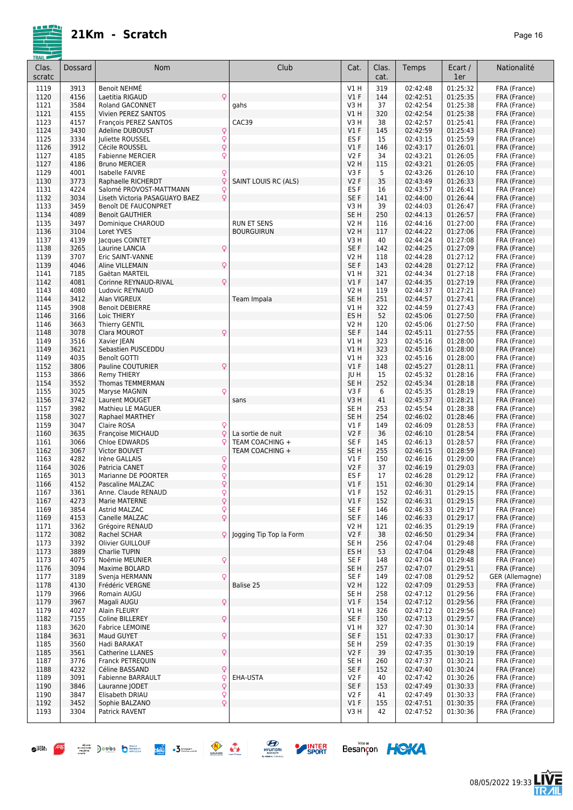

08/05/2022 19:33

**LIVE<br>TR***A***IL** 

Besançon HOKA

| Clas.        | Dossard      | <b>Nom</b>                                     | Club                    | Cat.                    | Clas.      | Temps                | Ecart /              | Nationalité                     |
|--------------|--------------|------------------------------------------------|-------------------------|-------------------------|------------|----------------------|----------------------|---------------------------------|
| scratc       |              |                                                |                         |                         | cat.       |                      | 1er                  |                                 |
| 1119         | 3913         | Benoit NEHMÉ                                   |                         | VIH                     | 319        | 02:42:48             | 01:25:32             | FRA (France)                    |
| 1120         | 4156         | Laetitia RIGAUD<br>Q                           |                         | $VI$ F                  | 144        | 02:42:51             | 01:25:35             | FRA (France)                    |
| 1121         | 3584         | Roland GACONNET                                | gahs                    | V3 H                    | 37         | 02:42:54             | 01:25:38             | FRA (France)                    |
| 1121<br>1123 | 4155<br>4157 | Vivien PEREZ SANTOS<br>François PEREZ SANTOS   | CAC39                   | V1 H<br>V3 H            | 320<br>38  | 02:42:54<br>02:42:57 | 01:25:38<br>01:25:41 | FRA (France)<br>FRA (France)    |
| 1124         | 3430         | Q<br><b>Adeline DUBOUST</b>                    |                         | $VI$ F                  | 145        | 02:42:59             | 01:25:43             | FRA (France)                    |
| 1125         | 3334         | $\overline{Q}$<br>Juliette ROUSSEL             |                         | ES <sub>F</sub>         | 15         | 02:43:15             | 01:25:59             | FRA (France)                    |
| 1126         | 3912         | Q<br>Cécile ROUSSEL                            |                         | $VI$ F                  | 146        | 02:43:17             | 01:26:01             | FRA (France)                    |
| 1127         | 4185         | Q<br><b>Fabienne MERCIER</b>                   |                         | <b>V2F</b>              | 34         | 02:43:21             | 01:26:05             | FRA (France)                    |
| 1127         | 4186         | <b>Bruno MERCIER</b>                           |                         | V2 H                    | 115        | 02:43:21             | 01:26:05             | FRA (France)                    |
| 1129         | 4001         | Isabelle FAIVRE<br>Q                           |                         | V3F                     | 5          | 02:43:26             | 01:26:10             | FRA (France)                    |
| 1130         | 3773         | Q<br>Raphaelle RICHERDT                        | SAINT LOUIS RC (ALS)    | V <sub>2</sub> F        | 35         | 02:43:49             | 01:26:33             | FRA (France)                    |
| 1131         | 4224         | Salomé PROVOST-MATTMANN<br>Q                   |                         | ES <sub>F</sub>         | 16         | 02:43:57             | 01:26:41             | FRA (France)                    |
| 1132         | 3034         | Q<br>Liseth Victoria PASAGUAYO BAEZ            |                         | SE F                    | 141        | 02:44:00             | 01:26:44             | FRA (France)                    |
| 1133<br>1134 | 3459<br>4089 | Benoît DE FAUCONPRET<br><b>Benoit GAUTHIER</b> |                         | V3 H<br>SE <sub>H</sub> | 39<br>250  | 02:44:03<br>02:44:13 | 01:26:47<br>01:26:57 | FRA (France)<br>FRA (France)    |
| 1135         | 3497         | Dominique CHAROUD                              | <b>RUN ET SENS</b>      | V2 H                    | 116        | 02:44:16             | 01:27:00             | FRA (France)                    |
| 1136         | 3104         | Loret YVES                                     | <b>BOURGUIRUN</b>       | V2 H                    | 117        | 02:44:22             | 01:27:06             | FRA (France)                    |
| 1137         | 4139         | Jacques COINTET                                |                         | V3 H                    | 40         | 02:44:24             | 01:27:08             | FRA (France)                    |
| 1138         | 3265         | $\mathsf{Q}$<br>Laurine LANCIA                 |                         | SE F                    | 142        | 02:44:25             | 01:27:09             | FRA (France)                    |
| 1139         | 3707         | Eric SAINT-VANNE                               |                         | V2 H                    | 118        | 02:44:28             | 01:27:12             | FRA (France)                    |
| 1139         | 4046         | Q<br>Aline VILLEMAIN                           |                         | SE F                    | 143        | 02:44:28             | 01:27:12             | FRA (France)                    |
| 1141         | 7185         | Gaëtan MARTEIL                                 |                         | V1 H                    | 321        | 02:44:34             | 01:27:18             | FRA (France)                    |
| 1142         | 4081         | Q<br>Corinne REYNAUD-RIVAL                     |                         | $VI$ F                  | 147        | 02:44:35             | 01:27:19             | FRA (France)                    |
| 1143         | 4080         | Ludovic REYNAUD                                |                         | V2 H                    | 119        | 02:44:37             | 01:27:21             | FRA (France)                    |
| 1144<br>1145 | 3412<br>3908 | Alan VIGREUX                                   | Team Impala             | SE H<br>V1 H            | 251<br>322 | 02:44:57             | 01:27:41<br>01:27:43 | FRA (France)                    |
| 1146         | 3166         | <b>Benoit DEBIERRE</b><br>Loic THIERY          |                         | ES <sub>H</sub>         | 52         | 02:44:59<br>02:45:06 | 01:27:50             | FRA (France)<br>FRA (France)    |
| 1146         | 3663         | <b>Thierry GENTIL</b>                          |                         | V2 H                    | 120        | 02:45:06             | 01:27:50             | FRA (France)                    |
| 1148         | 3078         | Q<br>Clara MOUROT                              |                         | SE F                    | 144        | 02:45:11             | 01:27:55             | FRA (France)                    |
| 1149         | 3516         | Xavier JEAN                                    |                         | V1 H                    | 323        | 02:45:16             | 01:28:00             | FRA (France)                    |
| 1149         | 3621         | Sebastien PUSCEDDU                             |                         | V1 H                    | 323        | 02:45:16             | 01:28:00             | FRA (France)                    |
| 1149         | 4035         | Benoît GOTTI                                   |                         | V1 H                    | 323        | 02:45:16             | 01:28:00             | FRA (France)                    |
| 1152         | 3806         | Q<br>Pauline COUTURIER                         |                         | $VI$ F                  | 148        | 02:45:27             | 01:28:11             | FRA (France)                    |
| 1153         | 3866         | <b>Remy THIERY</b>                             |                         | JU H                    | 15         | 02:45:32             | 01:28:16             | FRA (France)                    |
| 1154         | 3552         | <b>Thomas TEMMERMAN</b>                        |                         | SE <sub>H</sub>         | 252        | 02:45:34             | 01:28:18             | FRA (France)                    |
| 1155         | 3025         | Q<br>Maryse MAGNIN                             |                         | V3F                     | 6<br>41    | 02:45:35             | 01:28:19             | FRA (France)                    |
| 1156<br>1157 | 3742<br>3982 | Laurent MOUGET<br>Mathieu LE MAGUER            | sans                    | V3 H<br>SE H            | 253        | 02:45:37<br>02:45:54 | 01:28:21<br>01:28:38 | FRA (France)<br>FRA (France)    |
| 1158         | 3027         | Raphael MARTHEY                                |                         | SE H                    | 254        | 02:46:02             | 01:28:46             | FRA (France)                    |
| 1159         | 3047         | Q<br>Claire ROSA                               |                         | $VI$ F                  | 149        | 02:46:09             | 01:28:53             | FRA (France)                    |
| 1160         | 3635         | $\mathsf{Q}$<br>Françoise MICHAUD              | La sortie de nuit       | <b>V2F</b>              | 36         | 02:46:10             | 01:28:54             | FRA (France)                    |
| 1161         | 3066         | Q<br><b>Chloe EDWARDS</b>                      | TEAM COACHING +         | SE F                    | 145        | 02:46:13             | 01:28:57             | FRA (France)                    |
| 1162         | 3067         | Victor BOUVET                                  | TEAM COACHING +         | SE <sub>H</sub>         | 255        | 02:46:15             | 01:28:59             | FRA (France)                    |
| 1163         | 4282         | Q<br>Irène GALLAIS                             |                         | $VI$ F                  | 150        | 02:46:16             | 01:29:00             | FRA (France)                    |
| 1164         | 3026         | $\mathsf{Q}$<br>Patricia CANET                 |                         | <b>V2F</b>              | 37         | 02:46:19             | 01:29:03             | FRA (France)                    |
| 1165         | 3013         | Q<br>Marianne DE POORTER                       |                         | ES <sub>F</sub>         | 17         | 02:46:28             | 01:29:12             | FRA (France)<br>FRA (France)    |
| 1166<br>1167 | 4152<br>3361 | Q<br>Pascaline MALZAC<br>Anne. Claude RENAUD   |                         | $VI$ F<br>$VI$ F        | 151<br>152 | 02:46:30<br>02:46:31 | 01:29:14<br>01:29:15 | FRA (France)                    |
| 1167         | 4273         | $\frac{Q}{Q}$<br>Marie MATERNE                 |                         | $VI$ F                  | 152        | 02:46:31             | 01:29:15             | FRA (France)                    |
| 1169         | 3854         | $\overline{Q}$<br>Astrid MALZAC                |                         | SE F                    | 146        | 02:46:33             | 01:29:17             | FRA (France)                    |
| 1169         | 4153         | $\overline{Q}$<br>Canelle MALZAC               |                         | SE F                    | 146        | 02:46:33             | 01:29:17             | FRA (France)                    |
| 1171         | 3362         | Grégoire RENAUD                                |                         | V2 H                    | 121        | 02:46:35             | 01:29:19             | FRA (France)                    |
| 1172         | 3082         | Q<br>Rachel SCHAR                              | logging Tip Top la Form | V2F                     | 38         | 02:46:50             | 01:29:34             | FRA (France)                    |
| 1173         | 3392         | Olivier GUILLOUF                               |                         | SE H                    | 256        | 02:47:04             | 01:29:48             | FRA (France)                    |
| 1173         | 3889         | Charlie TUPIN                                  |                         | ES H                    | 53         | 02:47:04             | 01:29:48             | FRA (France)                    |
| 1173         | 4075         | Q<br>Noémie MEUNIER                            |                         | SE F                    | 148        | 02:47:04             | 01:29:48             | FRA (France)                    |
| 1176<br>1177 | 3094<br>3189 | Maxime BOLARD<br>Q<br>Svenja HERMANN           |                         | SE H<br>SE F            | 257<br>149 | 02:47:07<br>02:47:08 | 01:29:51<br>01:29:52 | FRA (France)<br>GER (Allemagne) |
| 1178         | 4130         | Frédéric VERGNE                                | Balise 25               | V2 H                    | 122        | 02:47:09             | 01:29:53             | FRA (France)                    |
| 1179         | 3966         | Romain AUGU                                    |                         | SE H                    | 258        | 02:47:12             | 01:29:56             | FRA (France)                    |
| 1179         | 3967         | $\mathsf{Q}$<br>Magali AUGU                    |                         | $VI$ F                  | 154        | 02:47:12             | 01:29:56             | FRA (France)                    |
| 1179         | 4027         | Alain FLEURY                                   |                         | V1 H                    | 326        | 02:47:12             | 01:29:56             | FRA (France)                    |
| 1182         | 7155         | $\hbox{\large\textsf{Q}}$<br>Coline BILLEREY   |                         | SE F                    | 150        | 02:47:13             | 01:29:57             | FRA (France)                    |
| 1183         | 3620         | Fabrice LEMOINE                                |                         | V1 H                    | 327        | 02:47:30             | 01:30:14             | FRA (France)                    |
| 1184         | 3631         | $\mathsf{Q}$<br>Maud GUYET                     |                         | SE F                    | 151        | 02:47:33             | 01:30:17             | FRA (France)                    |
| 1185         | 3560         | Hadi BARAKAT                                   |                         | SE H                    | 259        | 02:47:35             | 01:30:19             | FRA (France)                    |
| 1185         | 3561         | $\mathsf{Q}$<br><b>Catherine LLANES</b>        |                         | V2F                     | 39         | 02:47:35             | 01:30:19             | FRA (France)                    |
| 1187         | 3776         | Franck PETREQUIN                               |                         | SE H                    | 260        | 02:47:37             | 01:30:21             | FRA (France)                    |
| 1188<br>1189 | 4232<br>3091 | Q<br>Céline BASSAND<br>Q<br>Fabienne BARRAULT  | EHA-USTA                | SE F<br>V2F             | 152<br>40  | 02:47:40<br>02:47:42 | 01:30:24<br>01:30:26 | FRA (France)<br>FRA (France)    |
| 1190         | 3846         | $\mathsf{Q}$<br>Lauranne JODET                 |                         | SE F                    | 153        | 02:47:49             | 01:30:33             | FRA (France)                    |
| 1190         | 3847         | $\overline{Q}$<br>Elisabeth DRIAU              |                         | V2F                     | 41         | 02:47:49             | 01:30:33             | FRA (France)                    |
| 1192         | 3452         | $\overline{Q}$<br>Sophie BALZANO               |                         | $VI$ F                  | 155        | 02:47:51             | 01:30:35             | FRA (France)                    |
| 1193         | 3304         | Patrick RAVENT                                 |                         | V3 H                    | 42         | 02:47:52             | 01:30:36             | FRA (France)                    |
|              |              |                                                |                         |                         |            |                      |                      |                                 |

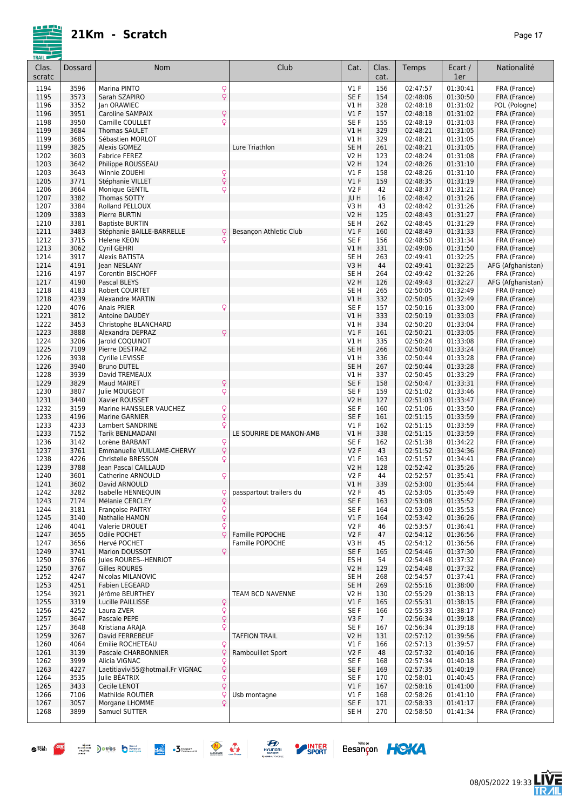|--|--|

| Clas.        | Dossard      | Nom                                                                  | Club                    | Cat.                    | Clas.                 | Temps                | Ecart /              | Nationalité                       |
|--------------|--------------|----------------------------------------------------------------------|-------------------------|-------------------------|-----------------------|----------------------|----------------------|-----------------------------------|
| scratc       |              |                                                                      |                         |                         | cat.                  |                      | 1er                  |                                   |
| 1194<br>1195 | 3596<br>3573 | Q<br>Marina PINTO<br>Q<br>Sarah SZAPIRO                              |                         | V1F<br>SE F             | 156<br>154            | 02:47:57<br>02:48:06 | 01:30:41<br>01:30:50 | FRA (France)<br>FRA (France)      |
| 1196         | 3352         | Jan ORAWIEC                                                          |                         | V1H                     | 328                   | 02:48:18             | 01:31:02             | POL (Pologne)                     |
| 1196         | 3951         | $\hbox{\large\textsf{Q}}$<br>Caroline SAMPAIX                        |                         | V1F                     | 157                   | 02:48:18             | 01:31:02             | FRA (France)                      |
| 1198         | 3950         | Q<br>Camille COULLET                                                 |                         | SE <sub>F</sub>         | 155                   | 02:48:19             | 01:31:03             | FRA (France)                      |
| 1199         | 3684         | <b>Thomas SAULET</b>                                                 |                         | V1H                     | 329                   | 02:48:21             | 01:31:05             | FRA (France)                      |
| 1199         | 3685         | Sébastien MORLOT                                                     |                         | V1 H                    | 329                   | 02:48:21             | 01:31:05             | FRA (France)                      |
| 1199<br>1202 | 3825<br>3603 | <b>Alexis GOMEZ</b><br><b>Fabrice FEREZ</b>                          | Lure Triathlon          | SE <sub>H</sub><br>V2 H | 261<br>123            | 02:48:21<br>02:48:24 | 01:31:05<br>01:31:08 | FRA (France)<br>FRA (France)      |
| 1203         | 3642         | Philippe ROUSSEAU                                                    |                         | <b>V2 H</b>             | 124                   | 02:48:26             | 01:31:10             | FRA (France)                      |
| 1203         | 3643         | Winnie ZOUEHI                                                        |                         | V1F                     | 158                   | 02:48:26             | 01:31:10             | FRA (France)                      |
| 1205         | 3771         | $\frac{Q}{Q}$<br>Stéphanie VILLET                                    |                         | V1F                     | 159                   | 02:48:35             | 01:31:19             | FRA (France)                      |
| 1206         | 3664         | Q<br>Monique GENTIL                                                  |                         | V2F                     | 42                    | 02:48:37             | 01:31:21             | FRA (France)                      |
| 1207         | 3382         | Thomas SOTTY                                                         |                         | JU H                    | 16                    | 02:48:42             | 01:31:26             | FRA (France)                      |
| 1207<br>1209 | 3384<br>3383 | Rolland PELLOUX<br>Pierre BURTIN                                     |                         | V3 H<br>V2 H            | 43<br>125             | 02:48:42<br>02:48:43 | 01:31:26<br>01:31:27 | FRA (France)<br>FRA (France)      |
| 1210         | 3381         | <b>Baptiste BURTIN</b>                                               |                         | SE <sub>H</sub>         | 262                   | 02:48:45             | 01:31:29             | FRA (France)                      |
| 1211         | 3483         | Stéphanie BAILLE-BARRELLE<br>Q                                       | Besançon Athletic Club  | V1F                     | 160                   | 02:48:49             | 01:31:33             | FRA (France)                      |
| 1212         | 3715         | Q<br>Helene KEON                                                     |                         | SE <sub>F</sub>         | 156                   | 02:48:50             | 01:31:34             | FRA (France)                      |
| 1213         | 3062         | Cyril GEHRI                                                          |                         | V1H                     | 331                   | 02:49:06             | 01:31:50             | FRA (France)                      |
| 1214         | 3917         | Alexis BATISTA                                                       |                         | SE <sub>H</sub>         | 263                   | 02:49:41             | 01:32:25             | FRA (France)                      |
| 1214<br>1216 | 4191<br>4197 | Jean NESLANY<br>Corentin BISCHOFF                                    |                         | V3H<br>SE <sub>H</sub>  | 44<br>264             | 02:49:41<br>02:49:42 | 01:32:25<br>01:32:26 | AFG (Afghanistan)<br>FRA (France) |
| 1217         | 4190         | Pascal BLEYS                                                         |                         | V2 H                    | 126                   | 02:49:43             | 01:32:27             | AFG (Afghanistan)                 |
| 1218         | 4183         | Robert COURTET                                                       |                         | SE <sub>H</sub>         | 265                   | 02:50:05             | 01:32:49             | FRA (France)                      |
| 1218         | 4239         | <b>Alexandre MARTIN</b>                                              |                         | V1 H                    | 332                   | 02:50:05             | 01:32:49             | FRA (France)                      |
| 1220         | 4076         | Q<br>Anais PRIER                                                     |                         | SE F                    | 157                   | 02:50:16             | 01:33:00             | FRA (France)                      |
| 1221         | 3812         | Antoine DAUDEY                                                       |                         | V1H                     | 333                   | 02:50:19             | 01:33:03             | FRA (France)                      |
| 1222<br>1223 | 3453<br>3888 | Christophe BLANCHARD<br>Q<br>Alexandra DEPRAZ                        |                         | V1 H<br>V1F             | 334<br>161            | 02:50:20<br>02:50:21 | 01:33:04<br>01:33:05 | FRA (France)<br>FRA (France)      |
| 1224         | 3206         | Jarold COQUINOT                                                      |                         | V1 H                    | 335                   | 02:50:24             | 01:33:08             | FRA (France)                      |
| 1225         | 7109         | Pierre DESTRAZ                                                       |                         | SE <sub>H</sub>         | 266                   | 02:50:40             | 01:33:24             | FRA (France)                      |
| 1226         | 3938         | Cyrille LEVISSE                                                      |                         | V1 H                    | 336                   | 02:50:44             | 01:33:28             | FRA (France)                      |
| 1226         | 3940         | <b>Bruno DUTEL</b>                                                   |                         | SE <sub>H</sub>         | 267                   | 02:50:44             | 01:33:28             | FRA (France)                      |
| 1228         | 3939         | David TREMEAUX                                                       |                         | V1 H                    | 337                   | 02:50:45             | 01:33:29             | FRA (France)                      |
| 1229<br>1230 | 3829<br>3807 | Q<br><b>Maud MAIRET</b><br>$\mathsf{Q}$<br>Julie MOUGEOT             |                         | SE F<br>SE F            | 158<br>159            | 02:50:47<br>02:51:02 | 01:33:31<br>01:33:46 | FRA (France)<br>FRA (France)      |
| 1231         | 3440         | Xavier ROUSSET                                                       |                         | V2 H                    | 127                   | 02:51:03             | 01:33:47             | FRA (France)                      |
| 1232         | 3159         | Marine HANSSLER VAUCHEZ                                              |                         | SE <sub>F</sub>         | 160                   | 02:51:06             | 01:33:50             | FRA (France)                      |
| 1233         | 4196         | $\frac{Q}{Q}$<br>Marine GARNIER                                      |                         | SE F                    | 161                   | 02:51:15             | 01:33:59             | FRA (France)                      |
| 1233         | 4233         | Q<br>Lambert SANDRINE                                                |                         | V1F                     | 162                   | 02:51:15             | 01:33:59             | FRA (France)                      |
| 1233         | 7152         | Tarik BENLMADANI                                                     | LE SOURIRE DE MANON-AMB | VIH                     | 338                   | 02:51:15             | 01:33:59             | FRA (France)                      |
| 1236<br>1237 | 3142<br>3761 | Lorène BARBANT<br>Q<br>$\dot{\varphi}$<br>Emmanuelle VUILLAME-CHERVY |                         | SE <sub>F</sub><br>V2F  | 162<br>43             | 02:51:38<br>02:51:52 | 01:34:22<br>01:34:36 | FRA (France)<br>FRA (France)      |
| 1238         | 4226         | Q<br>Christelle BRESSON                                              |                         | <b>V1 F</b>             | 163                   | 02:51:57             | 01:34:41             | FRA (France)                      |
| 1239         | 3788         | Jean Pascal CAILLAUD                                                 |                         | V2 H                    | 128                   | 02:52:42             | 01:35:26             | FRA (France)                      |
| 1240         | 3601         | Q<br>Catherine ARNOULD                                               |                         | <b>V2F</b>              | 44                    | 02:52:57             | 01:35:41             | FRA (France)                      |
| 1241         | 3602         | David ARNOULD                                                        |                         | V1 H                    | 339                   | 02:53:00             | 01:35:44             | FRA (France)                      |
| 1242         | 3282         | Isabelle HENNEQUIN<br>Q                                              | passpartout trailers du | V2F                     | 45                    | 02:53:05             | 01:35:49             | FRA (France)<br>FRA (France)      |
| 1243<br>1244 | 7174<br>3181 | $\mathsf{Q}$<br>Mélanie CERCLEY<br><b>Françoise PAITRY</b>           |                         | SE F<br>SE F            | 163<br>164            | 02:53:08<br>02:53:09 | 01:35:52<br>01:35:53 | FRA (France)                      |
| 1245         | 3140         | $\frac{1}{2}$<br>Nathalie HAMON                                      |                         | $VI$ F                  | 164                   | 02:53:42             | 01:36:26             | FRA (France)                      |
| 1246         | 4041         | Q<br>Valerie DROUET                                                  |                         | V2F                     | 46                    | 02:53:57             | 01:36:41             | FRA (France)                      |
| 1247         | 3655         | Q<br>Odile POCHET                                                    | Famille POPOCHE         | V2F                     | 47                    | 02:54:12             | 01:36:56             | FRA (France)                      |
| 1247         | 3656         | Hervé POCHET                                                         | Famille POPOCHE         | V3 H                    | 45                    | 02:54:12             | 01:36:56             | FRA (France)                      |
| 1249         | 3741         | Marion DOUSSOT<br>Q                                                  |                         | SE F                    | 165                   | 02:54:46             | 01:37:30             | FRA (France)                      |
| 1250<br>1250 | 3766<br>3767 | Jules ROURES--HENRIOT<br>Gilles ROURES                               |                         | ES H<br>V2 H            | 54<br>129             | 02:54:48<br>02:54:48 | 01:37:32<br>01:37:32 | FRA (France)<br>FRA (France)      |
| 1252         | 4247         | Nicolas MILANOVIC                                                    |                         | SE H                    | 268                   | 02:54:57             | 01:37:41             | FRA (France)                      |
| 1253         | 4251         | <b>Fabien LEGEARD</b>                                                |                         | SE <sub>H</sub>         | 269                   | 02:55:16             | 01:38:00             | FRA (France)                      |
| 1254         | 3921         | Jérôme BEURTHEY                                                      | TEAM BCD NAVENNE        | V2 H                    | 130                   | 02:55:29             | 01:38:13             | FRA (France)                      |
| 1255         | 3319         | Q<br>Lucille PAILLISSE                                               |                         | $VI$ F                  | 165                   | 02:55:31             | 01:38:15             | FRA (France)                      |
| 1256         | 4252         | $\frac{Q}{Q}$<br>Laura ZVER                                          |                         | SE F                    | 166                   | 02:55:33             | 01:38:17             | FRA (France)                      |
| 1257<br>1257 | 3647<br>3648 | Pascale PEPE<br>Q<br>Kristiana ARAJA                                 |                         | V3F<br>SE F             | $\overline{7}$<br>167 | 02:56:34<br>02:56:34 | 01:39:18<br>01:39:18 | FRA (France)<br>FRA (France)      |
| 1259         | 3267         | David FERREBEUF                                                      | <b>TAFFION TRAIL</b>    | V2 H                    | 131                   | 02:57:12             | 01:39:56             | FRA (France)                      |
| 1260         | 4064         | Emilie ROCHETEAU<br>Q                                                |                         | $VI$ F                  | 166                   | 02:57:13             | 01:39:57             | FRA (France)                      |
| 1261         | 3139         | Q<br>Pascale CHARBONNIER                                             | Rambouillet Sport       | V2F                     | 48                    | 02:57:32             | 01:40:16             | FRA (France)                      |
| 1262         | 3999         | Q<br>Alicia VIGNAC                                                   |                         | SE F                    | 168                   | 02:57:34             | 01:40:18             | FRA (France)                      |
| 1263         | 4227         | Q<br>Laetitiavivi55@hotmail.Fr VIGNAC                                |                         | SE F                    | 169                   | 02:57:35             | 01:40:19             | FRA (France)                      |
| 1264<br>1265 | 3535<br>3433 | Q<br>Julie BEATRIX<br>$\overline{Q}$<br>Cecile LENOT                 |                         | SE F<br>$VI$ F          | 170<br>167            | 02:58:01<br>02:58:16 | 01:40:45<br>01:41:00 | FRA (France)<br>FRA (France)      |
| 1266         | 7106         | Mathilde ROUTIER<br>Ç                                                | Usb montagne            | <b>V1 F</b>             | 168                   | 02:58:26             | 01:41:10             | FRA (France)                      |
| 1267         | 3057         | Q<br>Morgane LHOMME                                                  |                         | SE F                    | 171                   | 02:58:33             | 01:41:17             | FRA (France)                      |
| 1268         | 3899         | Samuel SUTTER                                                        |                         | SE H                    | 270                   | 02:58:50             | 01:41:34             | FRA (France)                      |
|              |              |                                                                      |                         |                         |                       |                      |                      |                                   |









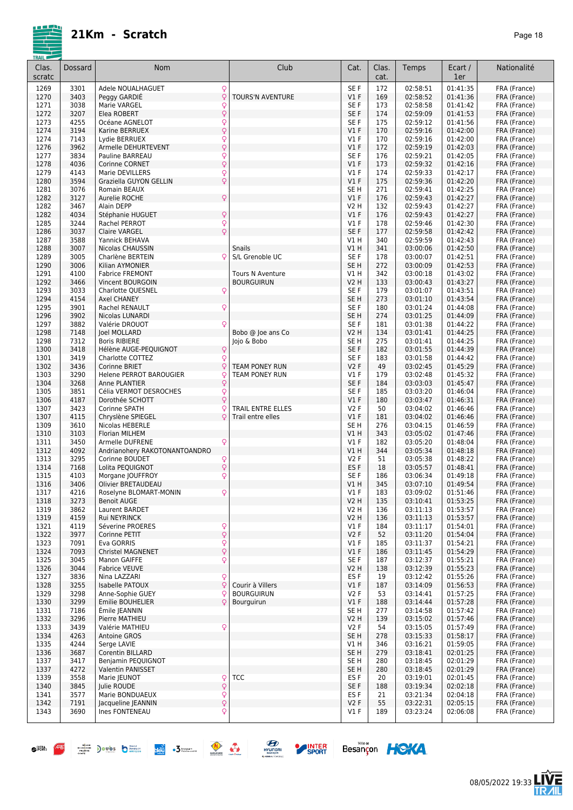

| Clas.<br>scratc | Dossard      | Nom                                       |                      | Club                             | Cat.                      | Clas.<br>cat. | Temps                | Ecart /<br>1er       | Nationalité                  |
|-----------------|--------------|-------------------------------------------|----------------------|----------------------------------|---------------------------|---------------|----------------------|----------------------|------------------------------|
| 1269            | 3301         | Adele NOUALHAGUET                         | Q                    |                                  | SE F                      | 172           | 02:58:51             | 01:41:35             | FRA (France)                 |
| 1270            | 3403         | Peggy GARDIÉ                              | Q                    | <b>TOURS'N AVENTURE</b>          | V1F                       | 169           | 02:58:52             | 01:41:36             | FRA (France)                 |
| 1271            | 3038         | Marie VARGEL                              | $\frac{Q}{Q}$        |                                  | SE F                      | 173           | 02:58:58             | 01:41:42             | FRA (France)                 |
| 1272<br>1273    | 3207<br>4255 | Elea ROBERT<br>Océane AGNELOT             |                      |                                  | SE <sub>F</sub><br>SE F   | 174<br>175    | 02:59:09<br>02:59:12 | 01:41:53<br>01:41:56 | FRA (France)<br>FRA (France) |
| 1274            | 3194         | Karine BERRUEX                            | Q<br>$\dot{\varphi}$ |                                  | $VI$ F                    | 170           | 02:59:16             | 01:42:00             | FRA (France)                 |
| 1274            | 7143         | Lydie BERRUEX                             | Q                    |                                  | $VI$ F                    | 170           | 02:59:16             | 01:42:00             | FRA (France)                 |
| 1276            | 3962         | Armelle DEHURTEVENT                       | Q                    |                                  | $VI$ F                    | 172           | 02:59:19             | 01:42:03             | FRA (France)                 |
| 1277            | 3834         | Pauline BARREAU                           | $\frac{Q}{Q}$        |                                  | SE F                      | 176           | 02:59:21             | 01:42:05             | FRA (France)                 |
| 1278            | 4036         | Corinne CORNET                            |                      |                                  | $VI$ F                    | 173           | 02:59:32             | 01:42:16             | FRA (France)                 |
| 1279            | 4143         | Marie DEVILLERS<br>Graziella GUYON GELLIN | Q<br>Q               |                                  | $VI$ F<br>$VI$ F          | 174<br>175    | 02:59:33             | 01:42:17             | FRA (France)                 |
| 1280<br>1281    | 3594<br>3076 | Romain BEAUX                              |                      |                                  | SE <sub>H</sub>           | 271           | 02:59:36<br>02:59:41 | 01:42:20<br>01:42:25 | FRA (France)<br>FRA (France) |
| 1282            | 3127         | Aurelie ROCHE                             | Q                    |                                  | $VI$ F                    | 176           | 02:59:43             | 01:42:27             | FRA (France)                 |
| 1282            | 3467         | Alain DEPP                                |                      |                                  | V2 H                      | 132           | 02:59:43             | 01:42:27             | FRA (France)                 |
| 1282            | 4034         | Stéphanie HUGUET                          | Q                    |                                  | $VI$ F                    | 176           | 02:59:43             | 01:42:27             | FRA (France)                 |
| 1285            | 3244         | Rachel PERROT                             | Q                    |                                  | V1F                       | 178           | 02:59:46             | 01:42:30             | FRA (France)                 |
| 1286            | 3037         | <b>Claire VARGEL</b>                      | Q                    |                                  | SE F                      | 177           | 02:59:58             | 01:42:42             | FRA (France)                 |
| 1287            | 3588         | Yannick BEHAVA                            |                      |                                  | V1 H                      | 340           | 02:59:59<br>03:00:06 | 01:42:43             | FRA (France)                 |
| 1288<br>1289    | 3007<br>3005 | Nicolas CHAUSSIN<br>Charlène BERTEIN      | Q                    | <b>Snails</b><br>S/L Grenoble UC | VIH<br>SE F               | 341<br>178    | 03:00:07             | 01:42:50<br>01:42:51 | FRA (France)<br>FRA (France) |
| 1290            | 3006         | Kilian AYMONIER                           |                      |                                  | SE <sub>H</sub>           | 272           | 03:00:09             | 01:42:53             | FRA (France)                 |
| 1291            | 4100         | <b>Fabrice FREMONT</b>                    |                      | Tours N Aventure                 | V1 H                      | 342           | 03:00:18             | 01:43:02             | FRA (France)                 |
| 1292            | 3466         | Vincent BOURGOIN                          |                      | <b>BOURGUIRUN</b>                | <b>V2 H</b>               | 133           | 03:00:43             | 01:43:27             | FRA (France)                 |
| 1293            | 3033         | Charlotte QUESNEL                         | Q                    |                                  | SE F                      | 179           | 03:01:07             | 01:43:51             | FRA (France)                 |
| 1294            | 4154         | Axel CHANEY                               |                      |                                  | SE <sub>H</sub>           | 273           | 03:01:10             | 01:43:54             | FRA (France)                 |
| 1295            | 3901         | Rachel RENAULT                            | Q                    |                                  | SE F                      | 180           | 03:01:24             | 01:44:08             | FRA (France)                 |
| 1296            | 3902         | Nicolas LUNARDI                           |                      |                                  | SE <sub>H</sub>           | 274           | 03:01:25             | 01:44:09             | FRA (France)                 |
| 1297<br>1298    | 3882<br>7148 | Valérie DROUOT<br><b>Joel MOLLARD</b>     | Ō                    | Bobo @ Joe ans Co                | SE F<br><b>V2 H</b>       | 181<br>134    | 03:01:38<br>03:01:41 | 01:44:22<br>01:44:25 | FRA (France)<br>FRA (France) |
| 1298            | 7312         | <b>Boris RIBIERE</b>                      |                      | Jojo & Bobo                      | SE <sub>H</sub>           | 275           | 03:01:41             | 01:44:25             | FRA (France)                 |
| 1300            | 3418         | Hélène AUGE-PEQUIGNOT                     | Q                    |                                  | SE F                      | 182           | 03:01:55             | 01:44:39             | FRA (France)                 |
| 1301            | 3419         | Charlotte COTTEZ                          | Q                    |                                  | SE <sub>F</sub>           | 183           | 03:01:58             | 01:44:42             | FRA (France)                 |
| 1302            | 3436         | <b>Corinne BRIET</b>                      | Q                    | TEAM PONEY RUN                   | V2F                       | 49            | 03:02:45             | 01:45:29             | FRA (France)                 |
| 1303            | 3290         | Helene PERROT BAROUGIER                   | Q                    | TEAM PONEY RUN                   | $VI$ F                    | 179           | 03:02:48             | 01:45:32             | FRA (France)                 |
| 1304            | 3268         | Anne PLANTIER                             | Q                    |                                  | SE <sub>F</sub>           | 184           | 03:03:03             | 01:45:47             | FRA (France)                 |
| 1305            | 3851         | Célia VERMOT DESROCHES                    | Q<br>Q               |                                  | SE F                      | 185           | 03:03:20             | 01:46:04             | FRA (France)                 |
| 1306<br>1307    | 4187<br>3423 | Dorothée SCHOTT<br>Corinne SPATH          | Ç                    | TRAIL ENTRE ELLES                | $VI$ F<br>V2F             | 180<br>50     | 03:03:47<br>03:04:02 | 01:46:31<br>01:46:46 | FRA (France)<br>FRA (France) |
| 1307            | 4115         | Chryslène SPIEGEL                         | C                    | Trail entre elles                | V1F                       | 181           | 03:04:02             | 01:46:46             | FRA (France)                 |
| 1309            | 3610         | Nicolas HEBERLE                           |                      |                                  | SE <sub>H</sub>           | 276           | 03:04:15             | 01:46:59             | FRA (France)                 |
| 1310            | 3103         | <b>Florian MILHEM</b>                     |                      |                                  | V1H                       | 343           | 03:05:02             | 01:47:46             | FRA (France)                 |
| 1311            | 3450         | Armelle DUFRENE                           | Q                    |                                  | $VI$ F                    | 182           | 03:05:20             | 01:48:04             | FRA (France)                 |
| 1312            | 4092         | Andrianohery RAKOTONANTOANDRO             |                      |                                  | V1H                       | 344           | 03:05:34             | 01:48:18             | FRA (France)                 |
| 1313            | 3295         | Corinne BOUDET                            | Q                    |                                  | <b>V2F</b>                | 51            | 03:05:38             | 01:48:22             | FRA (France)                 |
| 1314<br>1315    | 7168<br>4103 | Lolita PEQUIGNOT<br>Morgane JOUFFROY      | Q<br>Q               |                                  | ES <sub>F</sub><br>SE F   | 18<br>186     | 03:05:57<br>03:06:34 | 01:48:41<br>01:49:18 | FRA (France)<br>FRA (France) |
| 1316            | 3406         | Olivier BRETAUDEAU                        |                      |                                  | VIH                       | 345           | 03:07:10             | 01:49:54             | FRA (France)                 |
| 1317            | 4216         | Roselyne BLOMART-MONIN                    | ò                    |                                  | V1 F                      | 183           | 03:09:02             | 01:51:46             | FRA (France)                 |
| 1318            | 3273         | <b>Benoit AUGE</b>                        |                      |                                  | V2H                       | 135           | 03:10:41             | 01:53:25             | FRA (France)                 |
| 1319            | 3862         | Laurent BARDET                            |                      |                                  | V2 H                      | 136           | 03:11:13             | 01:53:57             | FRA (France)                 |
| 1319            | 4159         | Rui NEYRINCK                              |                      |                                  | V2H                       | 136           | 03:11:13             | 01:53:57             | FRA (France)                 |
| 1321            | 4119         | Séverine PROERES                          | $\frac{Q}{Q}$        |                                  | $VI$ F                    | 184           | 03:11:17             | 01:54:01             | FRA (France)                 |
| 1322<br>1323    | 3977<br>7091 | Corinne PETIT<br>Eva GORRIS               | Q                    |                                  | V2F<br>$VI$ F             | 52<br>185     | 03:11:20<br>03:11:37 | 01:54:04<br>01:54:21 | FRA (France)<br>FRA (France) |
| 1324            | 7093         | <b>Christel MAGNENET</b>                  | Q                    |                                  | $VI$ F                    | 186           | 03:11:45             | 01:54:29             | FRA (France)                 |
| 1325            | 3045         | Manon GAIFFE                              | Q                    |                                  | SE F                      | 187           | 03:12:37             | 01:55:21             | FRA (France)                 |
| 1326            | 3044         | <b>Fabrice VEUVE</b>                      |                      |                                  | <b>V2 H</b>               | 138           | 03:12:39             | 01:55:23             | FRA (France)                 |
| 1327            | 3836         | Nina LAZZARI                              | Q                    |                                  | ES F                      | 19            | 03:12:42             | 01:55:26             | FRA (France)                 |
| 1328            | 3255         | Isabelle PATOUX                           | Q                    | Courir à Villers                 | $VI$ F                    | 187           | 03:14:09             | 01:56:53             | FRA (France)                 |
| 1329            | 3298         | Anne-Sophie GUEY                          | Q                    | <b>BOURGUIRUN</b>                | V2F                       | 53            | 03:14:41             | 01:57:25             | FRA (France)                 |
| 1330<br>1331    | 3299<br>7186 | <b>Emilie BOUHELIER</b><br>Émile JEANNIN  | C                    | Bourguirun                       | $VI$ F<br>SE <sub>H</sub> | 188<br>277    | 03:14:44<br>03:14:58 | 01:57:28<br>01:57:42 | FRA (France)                 |
| 1332            | 3296         | Pierre MATHIEU                            |                      |                                  | <b>V2 H</b>               | 139           | 03:15:02             | 01:57:46             | FRA (France)<br>FRA (France) |
| 1333            | 3439         | Valérie MATHIEU                           | Q                    |                                  | V2F                       | 54            | 03:15:05             | 01:57:49             | FRA (France)                 |
| 1334            | 4263         | <b>Antoine GROS</b>                       |                      |                                  | SE <sub>H</sub>           | 278           | 03:15:33             | 01:58:17             | FRA (France)                 |
| 1335            | 4244         | Serge LAVIE                               |                      |                                  | V1 H                      | 346           | 03:16:21             | 01:59:05             | FRA (France)                 |
| 1336            | 3687         | Corentin BILLARD                          |                      |                                  | SE <sub>H</sub>           | 279           | 03:18:41             | 02:01:25             | FRA (France)                 |
| 1337            | 3417         | Benjamin PEQUIGNOT                        |                      |                                  | SE <sub>H</sub>           | 280           | 03:18:45             | 02:01:29             | FRA (France)                 |
| 1337            | 4272         | Valentin PANISSET                         |                      |                                  | SE <sub>H</sub>           | 280           | 03:18:45             | 02:01:29             | FRA (France)                 |
| 1339<br>1340    | 3558<br>3845 | Marie JEUNOT<br>Julie ROUDE               | Q<br>Q               | <b>TCC</b>                       | ES F<br>SE F              | 20<br>188     | 03:19:01<br>03:19:34 | 02:01:45<br>02:02:18 | FRA (France)<br>FRA (France) |
| 1341            | 3577         | Marie BONDUAEUX                           |                      |                                  | ES F                      | 21            | 03:21:34             | 02:04:18             | FRA (France)                 |
| 1342            | 7191         | Jacqueline JEANNIN                        | $\frac{1}{2}$        |                                  | V2F                       | 55            | 03:22:31             | 02:05:15             | FRA (France)                 |
| 1343            | 3690         | Ines FONTENEAU                            | Q                    |                                  | V1 F                      | 189           | 03:23:24             | 02:06:08             | FRA (France)                 |
|                 |              |                                           |                      |                                  |                           |               |                      |                      |                              |